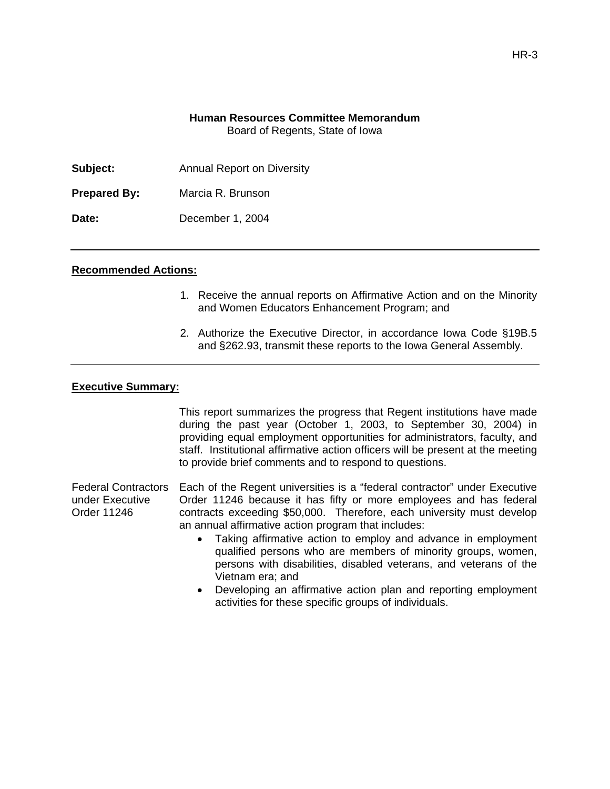#### **Human Resources Committee Memorandum**  Board of Regents, State of Iowa

| Subject: | <b>Annual Report on Diversity</b> |  |
|----------|-----------------------------------|--|
|----------|-----------------------------------|--|

**Prepared By:** Marcia R. Brunson

**Date:** December 1, 2004

#### **Recommended Actions:**

- 1. Receive the annual reports on Affirmative Action and on the Minority and Women Educators Enhancement Program; and
- 2. Authorize the Executive Director, in accordance Iowa Code §19B.5 and §262.93, transmit these reports to the Iowa General Assembly.

#### **Executive Summary:**

This report summarizes the progress that Regent institutions have made during the past year (October 1, 2003, to September 30, 2004) in providing equal employment opportunities for administrators, faculty, and staff. Institutional affirmative action officers will be present at the meeting to provide brief comments and to respond to questions.

Federal Contractors under Executive Order 11246 Each of the Regent universities is a "federal contractor" under Executive Order 11246 because it has fifty or more employees and has federal contracts exceeding \$50,000. Therefore, each university must develop an annual affirmative action program that includes:

- Taking affirmative action to employ and advance in employment qualified persons who are members of minority groups, women, persons with disabilities, disabled veterans, and veterans of the Vietnam era; and
- Developing an affirmative action plan and reporting employment activities for these specific groups of individuals.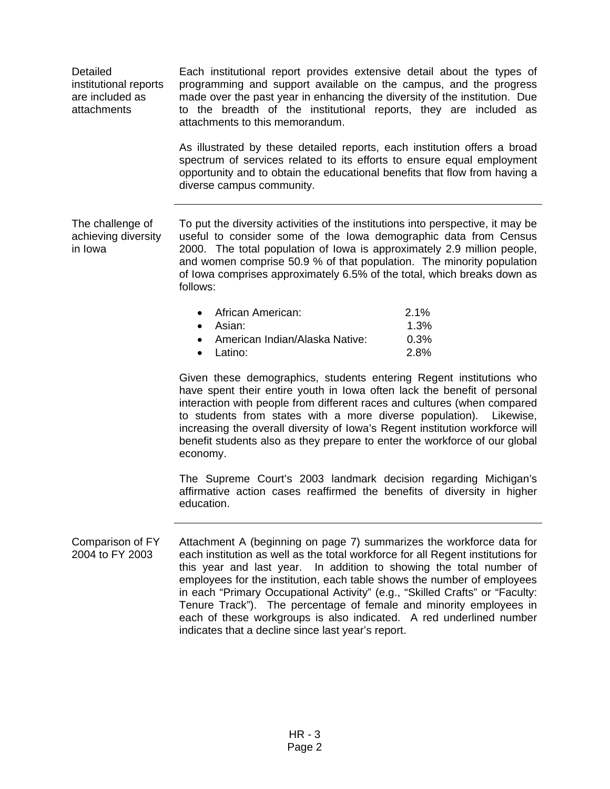| Detailed<br>institutional reports<br>are included as<br>attachments | Each institutional report provides extensive detail about the types of<br>programming and support available on the campus, and the progress<br>made over the past year in enhancing the diversity of the institution. Due<br>to the breadth of the institutional reports, they are included as<br>attachments to this memorandum.<br>As illustrated by these detailed reports, each institution offers a broad                                                                                                                                                                               |              |
|---------------------------------------------------------------------|----------------------------------------------------------------------------------------------------------------------------------------------------------------------------------------------------------------------------------------------------------------------------------------------------------------------------------------------------------------------------------------------------------------------------------------------------------------------------------------------------------------------------------------------------------------------------------------------|--------------|
|                                                                     | spectrum of services related to its efforts to ensure equal employment<br>opportunity and to obtain the educational benefits that flow from having a<br>diverse campus community.                                                                                                                                                                                                                                                                                                                                                                                                            |              |
| The challenge of<br>achieving diversity<br>in Iowa                  | To put the diversity activities of the institutions into perspective, it may be<br>useful to consider some of the lowa demographic data from Census<br>2000. The total population of Iowa is approximately 2.9 million people,<br>and women comprise 50.9 % of that population. The minority population<br>of lowa comprises approximately 6.5% of the total, which breaks down as<br>follows:                                                                                                                                                                                               |              |
|                                                                     | African American:<br>٠                                                                                                                                                                                                                                                                                                                                                                                                                                                                                                                                                                       | 2.1%         |
|                                                                     | Asian:<br>٠<br>American Indian/Alaska Native:<br>$\bullet$                                                                                                                                                                                                                                                                                                                                                                                                                                                                                                                                   | 1.3%<br>0.3% |
|                                                                     | Latino:<br>$\bullet$                                                                                                                                                                                                                                                                                                                                                                                                                                                                                                                                                                         | 2.8%         |
|                                                                     | Given these demographics, students entering Regent institutions who<br>have spent their entire youth in lowa often lack the benefit of personal<br>interaction with people from different races and cultures (when compared<br>to students from states with a more diverse population).<br>increasing the overall diversity of Iowa's Regent institution workforce will<br>benefit students also as they prepare to enter the workforce of our global<br>economy.                                                                                                                            | Likewise,    |
|                                                                     | The Supreme Court's 2003 landmark decision regarding Michigan's<br>affirmative action cases reaffirmed the benefits of diversity in higher<br>education.                                                                                                                                                                                                                                                                                                                                                                                                                                     |              |
| Comparison of FY<br>2004 to FY 2003                                 | Attachment A (beginning on page 7) summarizes the workforce data for<br>each institution as well as the total workforce for all Regent institutions for<br>this year and last year. In addition to showing the total number of<br>employees for the institution, each table shows the number of employees<br>in each "Primary Occupational Activity" (e.g., "Skilled Crafts" or "Faculty:<br>Tenure Track"). The percentage of female and minority employees in<br>each of these workgroups is also indicated. A red underlined number<br>indicates that a decline since last year's report. |              |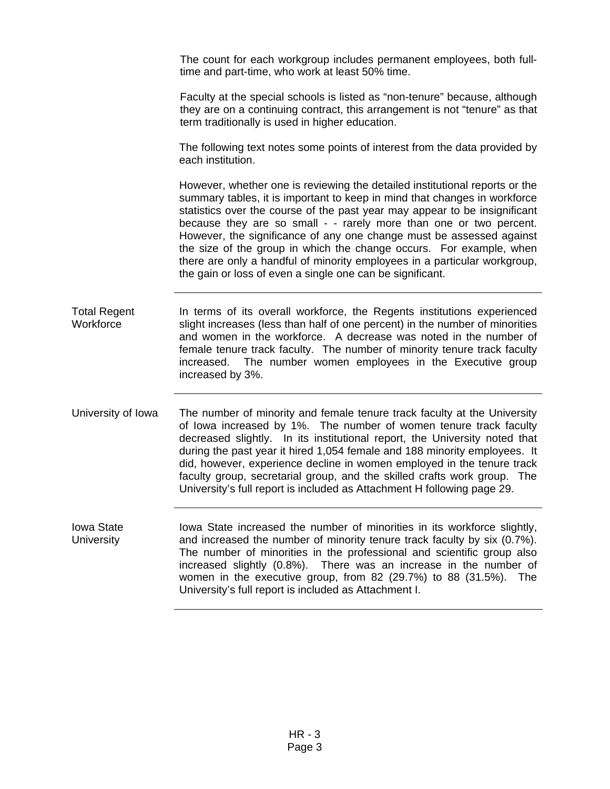The count for each workgroup includes permanent employees, both fulltime and part-time, who work at least 50% time.

 Faculty at the special schools is listed as "non-tenure" because, although they are on a continuing contract, this arrangement is not "tenure" as that term traditionally is used in higher education.

 The following text notes some points of interest from the data provided by each institution.

 However, whether one is reviewing the detailed institutional reports or the summary tables, it is important to keep in mind that changes in workforce statistics over the course of the past year may appear to be insignificant because they are so small - - rarely more than one or two percent. However, the significance of any one change must be assessed against the size of the group in which the change occurs. For example, when there are only a handful of minority employees in a particular workgroup, the gain or loss of even a single one can be significant.

Total Regent **Workforce** In terms of its overall workforce, the Regents institutions experienced slight increases (less than half of one percent) in the number of minorities and women in the workforce. A decrease was noted in the number of female tenure track faculty. The number of minority tenure track faculty increased. The number women employees in the Executive group increased by 3%.

University of Iowa The number of minority and female tenure track faculty at the University of Iowa increased by 1%. The number of women tenure track faculty decreased slightly. In its institutional report, the University noted that during the past year it hired 1,054 female and 188 minority employees. It did, however, experience decline in women employed in the tenure track faculty group, secretarial group, and the skilled crafts work group. The University's full report is included as Attachment H following page 29.

Iowa State **University** Iowa State increased the number of minorities in its workforce slightly, and increased the number of minority tenure track faculty by six (0.7%). The number of minorities in the professional and scientific group also increased slightly (0.8%). There was an increase in the number of women in the executive group, from 82 (29.7%) to 88 (31.5%). The University's full report is included as Attachment I.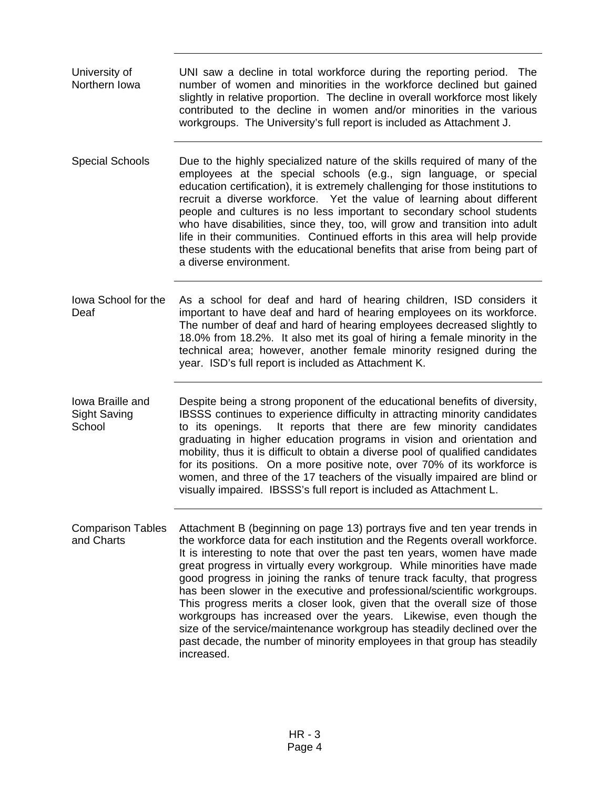University of Northern Iowa UNI saw a decline in total workforce during the reporting period. The number of women and minorities in the workforce declined but gained slightly in relative proportion. The decline in overall workforce most likely contributed to the decline in women and/or minorities in the various workgroups. The University's full report is included as Attachment J. Special Schools Due to the highly specialized nature of the skills required of many of the employees at the special schools (e.g., sign language, or special education certification), it is extremely challenging for those institutions to recruit a diverse workforce. Yet the value of learning about different people and cultures is no less important to secondary school students who have disabilities, since they, too, will grow and transition into adult life in their communities. Continued efforts in this area will help provide these students with the educational benefits that arise from being part of a diverse environment. Iowa School for the Deaf As a school for deaf and hard of hearing children, ISD considers it important to have deaf and hard of hearing employees on its workforce. The number of deaf and hard of hearing employees decreased slightly to 18.0% from 18.2%. It also met its goal of hiring a female minority in the technical area; however, another female minority resigned during the year. ISD's full report is included as Attachment K. Iowa Braille and Sight Saving **School** Despite being a strong proponent of the educational benefits of diversity, IBSSS continues to experience difficulty in attracting minority candidates to its openings. It reports that there are few minority candidates graduating in higher education programs in vision and orientation and mobility, thus it is difficult to obtain a diverse pool of qualified candidates for its positions. On a more positive note, over 70% of its workforce is women, and three of the 17 teachers of the visually impaired are blind or visually impaired. IBSSS's full report is included as Attachment L. Comparison Tables and Charts Attachment B (beginning on page 13) portrays five and ten year trends in the workforce data for each institution and the Regents overall workforce. It is interesting to note that over the past ten years, women have made great progress in virtually every workgroup. While minorities have made good progress in joining the ranks of tenure track faculty, that progress has been slower in the executive and professional/scientific workgroups. This progress merits a closer look, given that the overall size of those workgroups has increased over the years. Likewise, even though the size of the service/maintenance workgroup has steadily declined over the past decade, the number of minority employees in that group has steadily increased.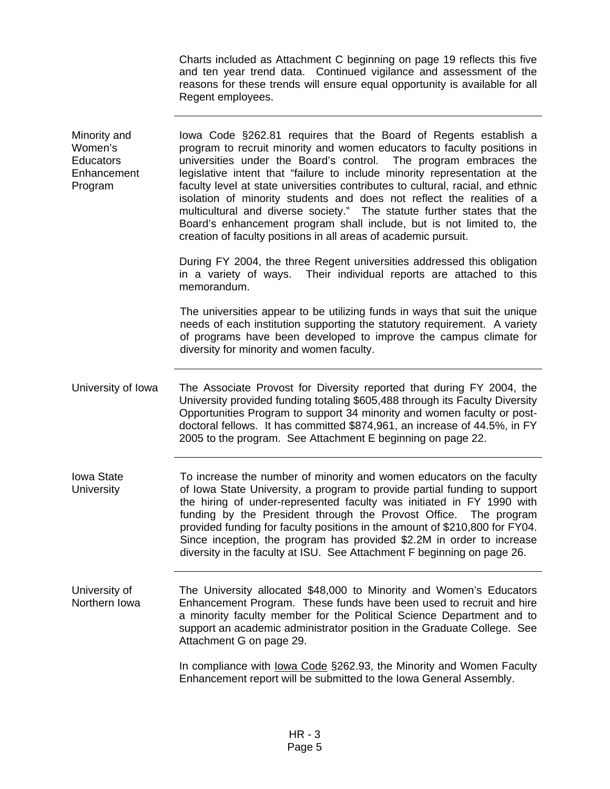Charts included as Attachment C beginning on page 19 reflects this five and ten year trend data. Continued vigilance and assessment of the reasons for these trends will ensure equal opportunity is available for all Regent employees.

| Minority and<br>Women's<br><b>Educators</b><br>Enhancement<br>Program | lowa Code §262.81 requires that the Board of Regents establish a<br>program to recruit minority and women educators to faculty positions in<br>universities under the Board's control. The program embraces the<br>legislative intent that "failure to include minority representation at the<br>faculty level at state universities contributes to cultural, racial, and ethnic<br>isolation of minority students and does not reflect the realities of a<br>multicultural and diverse society." The statute further states that the<br>Board's enhancement program shall include, but is not limited to, the<br>creation of faculty positions in all areas of academic pursuit. |
|-----------------------------------------------------------------------|-----------------------------------------------------------------------------------------------------------------------------------------------------------------------------------------------------------------------------------------------------------------------------------------------------------------------------------------------------------------------------------------------------------------------------------------------------------------------------------------------------------------------------------------------------------------------------------------------------------------------------------------------------------------------------------|
|                                                                       | During FY 2004, the three Regent universities addressed this obligation<br>in a variety of ways. Their individual reports are attached to this<br>memorandum.                                                                                                                                                                                                                                                                                                                                                                                                                                                                                                                     |
|                                                                       | The universities appear to be utilizing funds in ways that suit the unique<br>needs of each institution supporting the statutory requirement. A variety<br>of programs have been developed to improve the campus climate for<br>diversity for minority and women faculty.                                                                                                                                                                                                                                                                                                                                                                                                         |
| University of Iowa                                                    | The Associate Provost for Diversity reported that during FY 2004, the<br>University provided funding totaling \$605,488 through its Faculty Diversity<br>Opportunities Program to support 34 minority and women faculty or post-<br>doctoral fellows. It has committed \$874,961, an increase of 44.5%, in FY<br>2005 to the program. See Attachment E beginning on page 22.                                                                                                                                                                                                                                                                                                      |
| <b>Iowa State</b><br><b>University</b>                                | To increase the number of minority and women educators on the faculty<br>of Iowa State University, a program to provide partial funding to support<br>the hiring of under-represented faculty was initiated in FY 1990 with<br>funding by the President through the Provost Office. The program<br>provided funding for faculty positions in the amount of \$210,800 for FY04.<br>Since inception, the program has provided \$2.2M in order to increase<br>diversity in the faculty at ISU. See Attachment F beginning on page 26.                                                                                                                                                |
| University of<br>Northern Iowa                                        | The University allocated \$48,000 to Minority and Women's Educators<br>Enhancement Program. These funds have been used to recruit and hire<br>a minority faculty member for the Political Science Department and to<br>support an academic administrator position in the Graduate College. See<br>Attachment G on page 29.                                                                                                                                                                                                                                                                                                                                                        |
|                                                                       | In compliance with lowa Code §262.93, the Minority and Women Faculty<br>Enhancement report will be submitted to the Iowa General Assembly.                                                                                                                                                                                                                                                                                                                                                                                                                                                                                                                                        |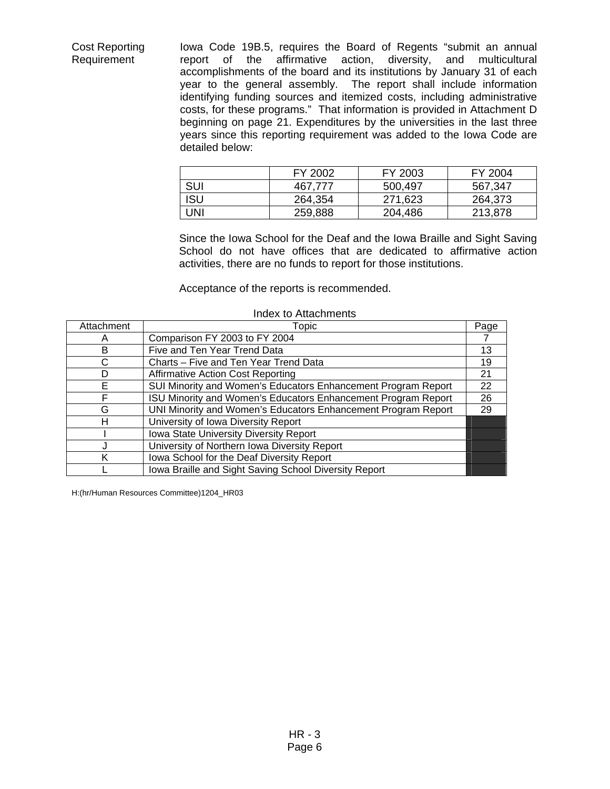Cost Reporting Requirement Iowa Code 19B.5, requires the Board of Regents "submit an annual report of the affirmative action, diversity, and multicultural accomplishments of the board and its institutions by January 31 of each year to the general assembly. The report shall include information identifying funding sources and itemized costs, including administrative costs, for these programs." That information is provided in Attachment D beginning on page 21. Expenditures by the universities in the last three years since this reporting requirement was added to the Iowa Code are detailed below:

|            | FY 2002 | FY 2003 | FY 2004 |
|------------|---------|---------|---------|
| <b>SUI</b> | 467.777 | 500,497 | 567,347 |
| <b>ISU</b> | 264,354 | 271,623 | 264,373 |
| UNI        | 259,888 | 204,486 | 213,878 |

Since the Iowa School for the Deaf and the Iowa Braille and Sight Saving School do not have offices that are dedicated to affirmative action activities, there are no funds to report for those institutions.

Acceptance of the reports is recommended.

| Attachment | Topic                                                         | Page |
|------------|---------------------------------------------------------------|------|
| Α          | Comparison FY 2003 to FY 2004                                 |      |
| В          | Five and Ten Year Trend Data                                  | 13   |
| С          | Charts – Five and Ten Year Trend Data                         | 19   |
| D          | <b>Affirmative Action Cost Reporting</b>                      | 21   |
| Е          | SUI Minority and Women's Educators Enhancement Program Report | 22   |
| F          | ISU Minority and Women's Educators Enhancement Program Report | 26   |
| G          | UNI Minority and Women's Educators Enhancement Program Report | 29   |
| н          | University of Iowa Diversity Report                           |      |
|            | <b>Iowa State University Diversity Report</b>                 |      |
| J          | University of Northern Iowa Diversity Report                  |      |
| K          | Iowa School for the Deaf Diversity Report                     |      |
|            | Iowa Braille and Sight Saving School Diversity Report         |      |

#### Index to Attachments

H:(hr/Human Resources Committee)1204\_HR03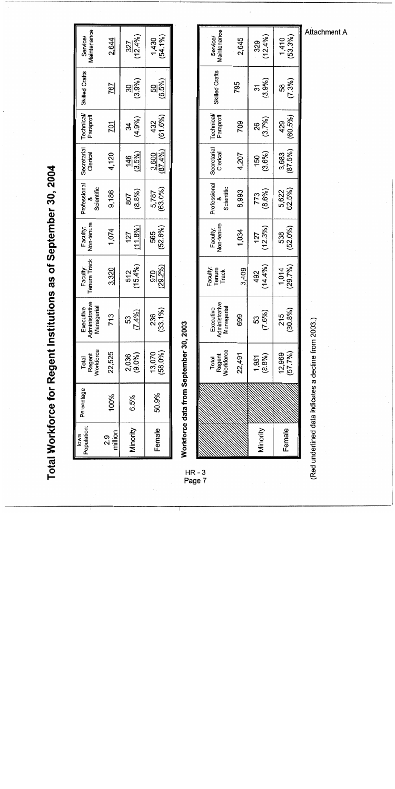Total Workforce for Regent Institutions as of September 30, 2004

| Population:<br>lowa | Percentage | <b>Vorkforce</b><br>Regent<br>Total | Administrative<br>Managerial<br>Executive | <b>Tenure Track</b><br>Faculty: | Non-tenure<br>Faculty: | Professional<br>Scientific | Clerical                 | Secretarial   Technical/<br>Paraprofl | Skilled Crafts        | Maintenance<br>Service/ |
|---------------------|------------|-------------------------------------|-------------------------------------------|---------------------------------|------------------------|----------------------------|--------------------------|---------------------------------------|-----------------------|-------------------------|
| million<br>ი<br>23  | 100%       | 22,525                              | 713                                       | 3,320                           | 1,074                  | 9,186                      | 4,120                    | $\frac{101}{2}$                       | <u>767</u>            | 2.644                   |
| Minority            | 6.5%       | (9.0%)<br>2,036                     | $(7.4\%)$<br>53                           | $(15.4\%)$<br>512               | (11.8%)<br>127         | (8.8%)<br>807              | $\frac{146}{(3.5\%)}$    | (4.9%)<br>34                          | 30<br>(3.9%)          | $\frac{327}{(12.4\%)}$  |
| Female              | 50.9%      | (58.0%)<br>13,070                   | $(33.1\%)$<br>236                         | $(29.2\%)$<br>$\frac{6}{2}$     | $(52.6\%)$<br>565      | 5,787<br>(63.0%)           | $\frac{3,600}{(87.4\%)}$ | (61.6%)<br>432                        | 50<br>(6.5%)<br>0.5%) | $1,430$<br>$(54.1%)$    |

Workforce data from September 30, 2003

HR - 3<br>Page 7

| Maintenance<br>Service/                   | 2,645  | $(12.4\%)$<br>329 | (53.3%)<br>1,410   |  |
|-------------------------------------------|--------|-------------------|--------------------|--|
| Skilled Crafts                            | 795    | (3.9%)<br>31      | (7.3%)<br>58       |  |
| Technical/<br>Paraprofl                   | 709    | (3.7%)<br>26      | $(60.5\%)$<br>429  |  |
| Secretarial<br>Clerical                   | 4,207  | $(3.6\%)$<br>150  | (87.5%)<br>3,683   |  |
| Professional<br>Scientific<br>∞<br>∶      | 8,993  | 773<br>(8.6%)     | 62.5%)<br>5,622    |  |
| Non-tenure<br>Faculty:                    | 1,034  | (12.3%)<br>127    | (52.0%)<br>538     |  |
| Faculty:<br>Tenure<br>Track               | 3,409  | $(14.4\%)$<br>492 | $1,014$<br>(29.7%) |  |
| Executive<br>Administrative<br>Managerial | 699    | (7.6%)<br>53      | 215<br>(30.8%)     |  |
| Total<br>Regent<br>Norkforce              | 22,491 | $(8.8\%)$         | 12,969<br>(57.7%)  |  |
|                                           |        |                   |                    |  |
|                                           |        |                   |                    |  |
|                                           |        | Ainority          | Female             |  |

(Red underlined data indicates a decline from 2003.)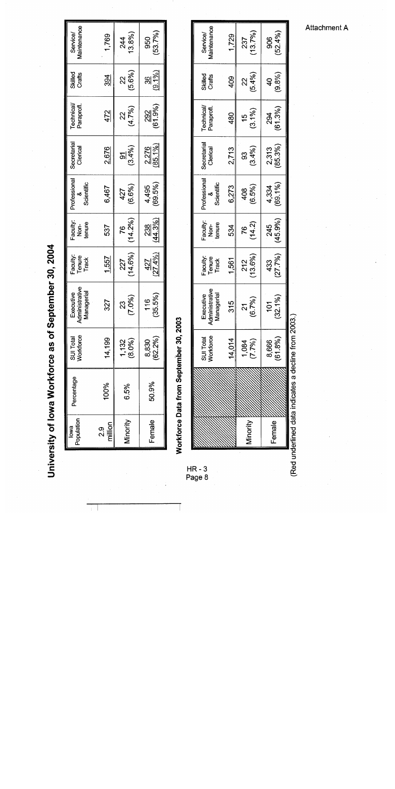University of lowa Workforce as of September 30, 2004

| <b>Maintenance</b><br>Service/            | 1,769                    | 244<br>13.8%)               | (53.7%<br>950                 |
|-------------------------------------------|--------------------------|-----------------------------|-------------------------------|
| Skilled<br>Crafts                         | $\frac{394}{4}$          | (5.6%)<br>$\approx$         | (9.1%)<br><u>කු</u>           |
| Technical/<br>Paraprofl.                  | 472                      | (4.7%)<br>$\approx$         | (61.9%<br>$\frac{29}{2}$      |
| Secretarial<br>Clerical                   | 2,676                    | (3.4%)<br>ञ                 | 2.276<br>(85.1%)              |
| Professional<br>Scientific<br>×<br>>      | 6,467                    | (6.6%)<br>427               | 69.5%)<br>4,495               |
| Faculty:<br>Non-<br>tenure                | 537                      | $(14.2\%)$<br>76            | (44.3%)<br>$\frac{28}{2}$     |
| Faculty:<br>Tenure<br>Track               | 1,557                    | (14.6%)<br>227              | $(27.4\%)$<br>$\frac{427}{2}$ |
| Administrative<br>Managerial<br>Executive | 327                      | $\mathcal{S}^{\circ}$<br>Γ. | .5%<br><u>යු</u>              |
| SUI Total<br>Workforce                    | 14,199                   | $1,132$<br>$(8.0%)$         | 8,830<br>(62.2%)              |
| Percentage                                | 100%                     | 6.5%                        | 50.9%                         |
| Population<br>lowa                        | million<br><u>ი</u><br>ა | Vinority                    | Female                        |

Workforce Data from September 30, 2003

| HR -<br>3<br>Page 8 |                                                      |                        |                                             |                             |                            | Professional     |                         | Technical     |                   | <b>Service/</b> |
|---------------------|------------------------------------------------------|------------------------|---------------------------------------------|-----------------------------|----------------------------|------------------|-------------------------|---------------|-------------------|-----------------|
|                     |                                                      | SUI Total<br>Workforce | Executive<br>Administrative<br>  Managerial | Faculty:<br>Tenure<br>Track | Faculty:<br>Non-<br>tenure | &<br>Scientific  | Secretarial<br>Clerical | Paraprofl.    | Skilled<br>Crafts | Maintenance     |
|                     |                                                      | 14,014                 | 315<br>31                                   | 1,561                       | 534                        | 6,273            | 2,713                   | 480           | 409               | 1,729           |
|                     |                                                      | 1,084                  | <u>ير</u>                                   | 212                         | 76                         | 408              | 3                       | $\frac{5}{1}$ | $\approx$         | 237             |
|                     | Minority                                             | (7.7%)                 | (6.7%)                                      | (13.6%)                     | (14.2)                     | $(6.5\%)$        | (3.4%)                  | (3.1%)        | (5.4%)            | (13.7%)         |
|                     | Female                                               | 8,666                  | 701                                         | 433                         | 245                        | 4,334<br>(69.1%) | 2,313                   | 294           | $\frac{1}{2}$     | 906             |
|                     |                                                      | (61.8%)                | $(32.1\%)$                                  | (27.7%)                     | (45.9%)                    |                  | $(85.3\%)$              | (61.3%)       | (9.8%)            | (52.4%)         |
|                     | (Red underlined data indicates a decline from 2003.) |                        |                                             |                             |                            |                  |                         |               |                   |                 |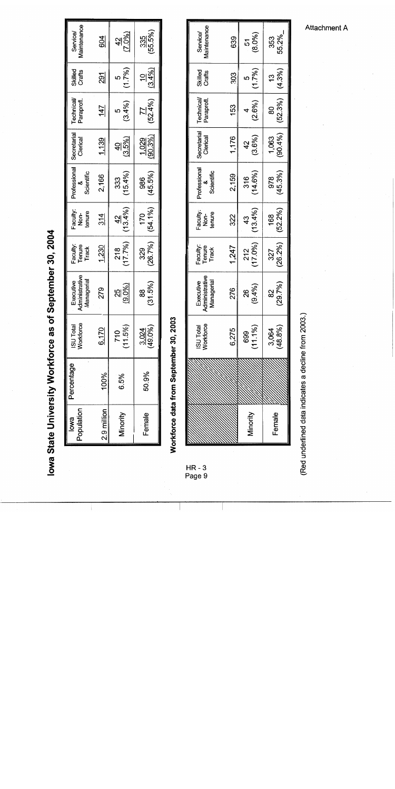lowa State University Workforce as of September 30, 2004

| Population<br>lowa | Percentage | ISU Total<br>Workforce   | dministrativ<br><b>Aanagerial</b><br>Executive | Faculty:<br>Tenure<br>Track | Faculty:<br>Non-<br>tenure | Professional<br>&<br>Scientific | Secretarial<br>Clerical  | Technical/<br>Paraprofi. | Skilled<br>Crafts                             | <b>Aaintenance</b><br>Service |
|--------------------|------------|--------------------------|------------------------------------------------|-----------------------------|----------------------------|---------------------------------|--------------------------|--------------------------|-----------------------------------------------|-------------------------------|
| 2.9 million        | 100%       | 6,170                    | 279                                            | 1,230                       | $\frac{31}{4}$             | 2,166                           | 1,139                    | $\frac{147}{2}$          | ସ୍ଥା                                          | 604                           |
| Minority           | 6.5%       | $(11.5\%)$<br>710        | <u>ଅ</u><br>ଓ.୦%)                              | $^{218}_{(17.7%)}$          | $(13.4\%)$                 | (15.4%)<br>333                  | $\frac{40}{(3.5\%)}$     | (3.4%)                   | (1.7%)                                        | $\frac{42}{(7.0\%)}$          |
| Female             | 50.9%      | $\frac{3.024}{(49.0\%)}$ | (31.5%)<br>æ                                   | (26.7%)<br>329              | $(54.1\%)$<br>170          | $(45.5\%)$<br>986               | $\frac{1,029}{(90.3\%)}$ | $(52.4\%)$               | (3.4%)<br>$\stackrel{\circ}{\phantom{\circ}}$ | 335<br>(55.5%)                |

Workforce data from September 30, 2003

HR - 3<br>Page 9

| Maintenance<br><b>Service/</b>           | 639   | 51                | (8.0%)    | 353                | 55.2%                |
|------------------------------------------|-------|-------------------|-----------|--------------------|----------------------|
| Skilled<br>Crafts                        | 303   |                   | (1.7%)    | $\frac{3}{2}$      |                      |
| Technical<br>Paraprofi.                  | 153   |                   | $(2.6\%)$ | 80                 | $(52.3\%)$ $(4.3\%)$ |
| Secretarial<br>Clerical                  | 1,176 | 42                | (3.6%)    | 1,063              | (90.4%)              |
| Professional<br>Scientific<br>×          | 2,159 | $(14.6\%)$<br>316 |           | 978                | (45.3%)              |
| Faculty:<br>Non-<br>tenure               | 322   | 43                | (13.4%)   | 168                | $(52.2\%)$           |
| Faculty:<br>Tenure<br>Track              | 1,247 | 212               | (17.0%    | 327                | $(26.2\%)$           |
| dministrative<br>Managerial<br>Executive | 276   | 8g                | (9.4%)    | $\frac{2}{3}$      | (29.7%)              |
| ISU Total<br>Workforce                   | 6,275 | 699<br>(11.1%)    |           | $3,064$<br>(48.8%) |                      |
|                                          |       |                   |           |                    |                      |
|                                          |       |                   |           |                    |                      |
|                                          |       |                   |           |                    |                      |
|                                          |       |                   |           |                    |                      |
|                                          |       | Minority          |           | Female             |                      |

(Red underlined data indicates a decline from 2003.)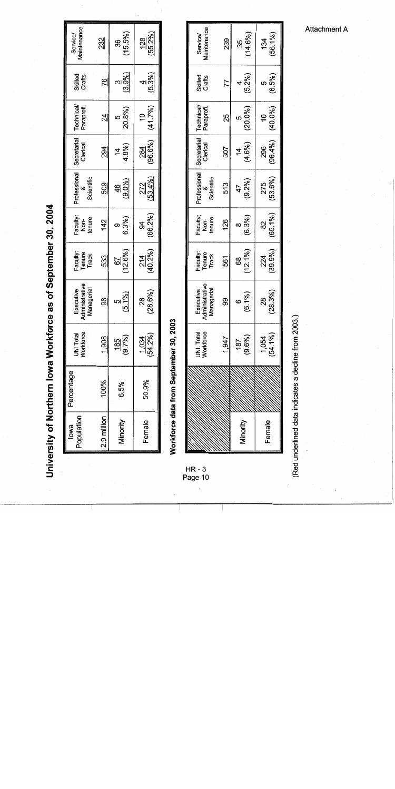University of Northern lowa Workforce as of September 30, 2004

| Population<br>lowa | Percentage | UNI Total<br>Workforce | Administrative<br>Managerial<br>Executive | Faculty:<br>Tenure<br>Track   | Faculty:<br>Non-<br>tenure | hofessional<br>Scientific | Secretarial I<br>  Clerical | Technical/<br>Paraprofi. | Skilled<br>Crafts | Service/<br>Maintenance |
|--------------------|------------|------------------------|-------------------------------------------|-------------------------------|----------------------------|---------------------------|-----------------------------|--------------------------|-------------------|-------------------------|
| 2.9 million        | 100%       | 1,908                  | 3                                         | 533                           | 142                        | 509                       | 294                         | $\overline{\mathcal{Z}}$ | 76                | 232                     |
| Minority           | 6.5%       | $\frac{185}{(9.7%)}$   | (5.1%)                                    | $(12.6\%)$<br>$\overline{67}$ | 6.3%                       | $\frac{46}{9.0\%}$        | 4.8%)<br>$\dot{4}$          | 20.8%)                   | (3.9%)            | $(15.5\%)$<br>శి        |
| Female             | 50.9%      | $\frac{1034}{(54.2%)}$ | 28.6%<br>జ<br>$\widetilde{\omega}$        | 214<br>(40.2%)                | (66.2%<br>g<br>2           | 272<br>(53.4%)            | 284<br>(96.6%)              | (41.7%)<br>$\frac{1}{2}$ | (5.3%)            | <u>128</u><br>(55.2%)   |

Workforce data from September 30, 2003

(Red underlined data indicates a decline from 2003.)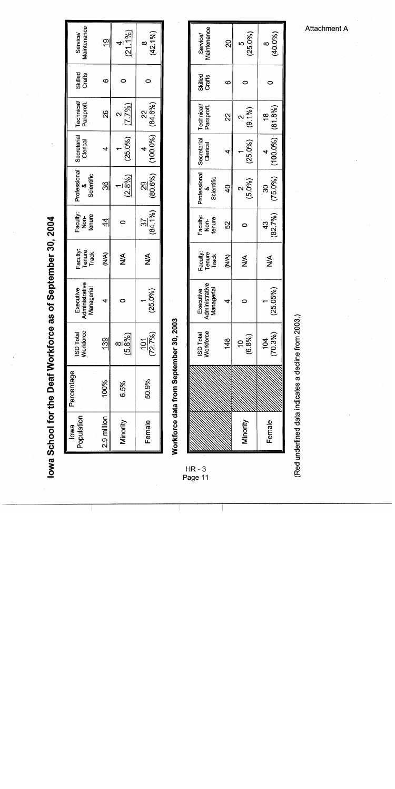lowa School for the Deaf Workforce as of September 30, 2004

|             | Percentage | ISD Total<br>Workforce | Executive<br>  Administrative<br>  Managerial | Faculty:<br>Tenure<br>Track | Faculty:<br>Non-<br>tenure   | Professional<br>&<br>Scientific | Secretarial<br>Clerical | Technical/<br>Paraprofl. | Skilled<br>Crafts | <b>Aaintenance</b><br>Service/ |
|-------------|------------|------------------------|-----------------------------------------------|-----------------------------|------------------------------|---------------------------------|-------------------------|--------------------------|-------------------|--------------------------------|
| 2.9 million | 100%       | 139                    |                                               | <b>RIA</b>                  | $\frac{4}{4}$                | 36                              |                         | 8                        |                   | $\frac{6}{1}$                  |
| Viinority   | 6.5%       | (5.8%)<br>œΙ           |                                               | ⋚                           |                              | (2.8%)                          | (25.0%)                 | $(7.7\%)$                |                   | $(21.1\%$                      |
| Female      | 50.9%      | $\frac{101}{(72.7\%)}$ | (25.0%)                                       | ⋚                           | $(84.1\%)$<br>$\frac{27}{3}$ | (80.6%)<br>ସ୍ତ୍ରା               | $(100.0\%)$ (84.6%)     | ี<br>2                   |                   | $(42.1\%)$<br>∝                |

Workforce data from September 30, 2003

| Maintenance<br><b>Service/</b>                  | 20             | $(25.0\%)$<br><sub>ယ</sub> | (40.0%<br>$\infty$  |
|-------------------------------------------------|----------------|----------------------------|---------------------|
| Skilled<br>Crafts                               | œ              |                            |                     |
| Technical<br>Paraprofl.                         | $\overline{2}$ | $(9.1\%)$                  | <u>ო</u>            |
| Secretarial<br>Clencal                          |                | (25.0%)                    | $(100.0\%)$ (81.8%) |
| Professional<br>Scientific                      | $\frac{40}{5}$ | (5.0%)<br>$\sim$           | $(75.0\%)$<br>ခွ    |
| Faculty:<br>Non-<br>tenure                      | 52             |                            | (82.7%)<br>43       |
| Faculty:<br>Tenure<br>Track                     | <b>RIA)</b>    | $\leq$                     | ⋚                   |
| Iministrative<br><b>Aanagerial</b><br>Executive |                |                            | 25.05%)             |
| ISD Total<br>Workforce                          | 148            | (6.8%)                     | 104<br>70.3%)       |
|                                                 |                |                            |                     |
|                                                 |                | linority                   | <b>Hemale</b>       |

(Red underlined data indicates a decline from 2003.)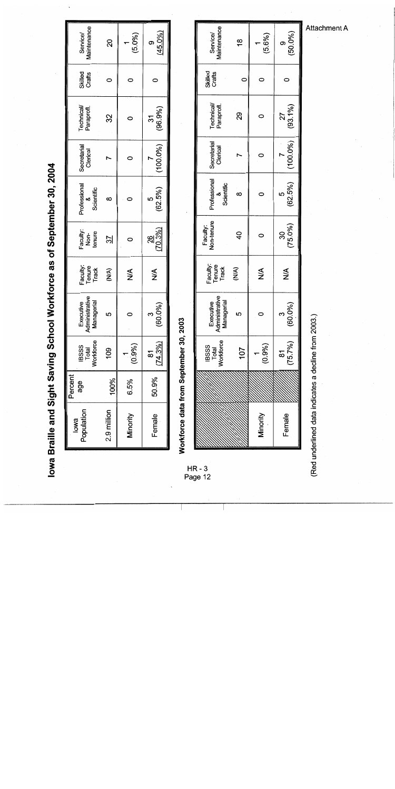lowa Braille and Sight Saving School Workforce as of September 30, 2004

| (5.0%)<br>ನ                                  | 31<br>32                        |                         | <u> LO</u><br>œ                 | ଞ୍ଜା<br>$\frac{2}{3}$      | (N/A)<br>≸<br>≸             | <sub>လ</sub>                              | (0.9%)<br>109<br><u>ಹ</u>     | 50.9%<br>100%<br>6.5% | 2.9 million<br>Minority<br>Female |
|----------------------------------------------|---------------------------------|-------------------------|---------------------------------|----------------------------|-----------------------------|-------------------------------------------|-------------------------------|-----------------------|-----------------------------------|
|                                              |                                 |                         |                                 |                            |                             |                                           |                               |                       |                                   |
| Maintenance<br>Service/<br>Skilled<br>Crafts | <b>Technical/</b><br>Paraprofl. | Secretarial<br>Clerical | Professional<br>Scientific<br>∞ | Faculty:<br>Non-<br>tenure | Faculty:<br>Tenure<br>Track | Executive<br>Administrative<br>Managerial | 1 IBSSS<br>Total<br>Workforce | Percent<br>age        | Population<br>lowa                |

Workforce data from September 30, 2003

| Maintenance<br>Service/                   | $\frac{8}{1}$  | $(5.6\%)$ | $(50.0\%)$<br>$\sigma$       |
|-------------------------------------------|----------------|-----------|------------------------------|
| Skilled<br>Crafts                         |                |           |                              |
| Technical<br>Paraprofl.                   | 29             |           | $(93.1\%)$<br>27             |
| Secretarial<br>Clerical                   |                |           | $(100.0\%)$                  |
| Professional<br>&<br>Scientific           | $\alpha$       |           | $(62.5\%)$                   |
| Faculty:<br>Non-tenure                    | $\overline{4}$ |           | (75.0%)<br>ခ္တ               |
| Faculty:<br>Tenure<br>Track               | (NA)           | ≸         | ≸                            |
| Executive<br>Administrative<br>Managerial | ıΩ             |           | $(60.0\%)$<br>$\mathfrak{S}$ |
| <b>IBSSS</b><br>Total<br>Morkforce        | 107            | (0.9%)    | $(75.7\%)$<br>ಹ<br>ಹ         |
|                                           |                |           |                              |
|                                           |                | Minority  | Female                       |

(Red underlined data indicates a decline from 2003.)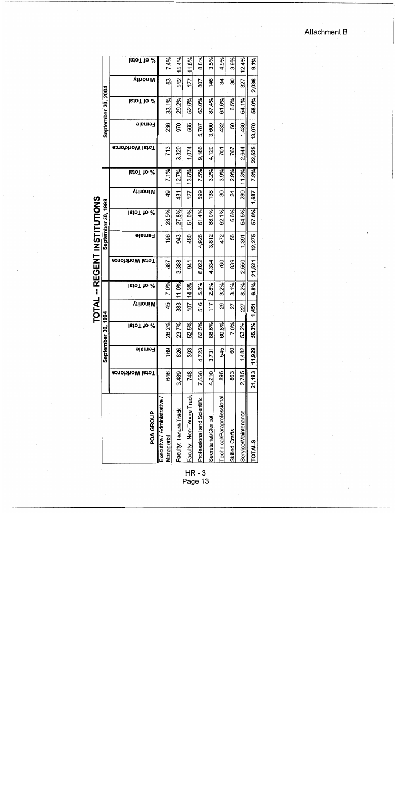|                                          |                 |        |                           |                |                   |                        | TOTAL -- REGENT INSTITUTIONS |                    |         |                      |                        |               |                    |          |                   |
|------------------------------------------|-----------------|--------|---------------------------|----------------|-------------------|------------------------|------------------------------|--------------------|---------|----------------------|------------------------|---------------|--------------------|----------|-------------------|
|                                          |                 | Septer | nber 30, 1994             |                |                   |                        |                              | September 30, 1999 |         |                      |                        |               | September 30, 2004 |          |                   |
| POA GROUP                                | Fotal Workforce | Female | <b>IstoT</b> to $\approx$ | <b>VinoniM</b> | lstoT to $\infty$ | <b>Total Workforce</b> | <b>Female</b>                | lstoT to $\%$      | VinoniM | <b>IstoT</b> to $\%$ | <b>Total Workforce</b> | <b>Female</b> | lstoT to &         | Winority | lstoT to $\infty$ |
| Executive / Administrative<br>Managerial | 646             | 169    | 26.2%                     | 45             | 7.0%              | 687                    | 196                          | 28.5%              | 49      | 7.1%                 | 713                    | 236           | 33.1%              | S3       | 7.4%              |
| Faculty: Tenure Track                    | 3,489           | 826    | 23.7%                     | 383            | 11.0%             | 3,388                  | 343                          | 27.8%              | 431     | 12.7%                | 3,320                  | 970           | 29.2%              | 512      | 15.4%             |
| Faculty: Non-Tenure Track                | 748             | 393    | 52.5%                     | 107            | 14.3%             | $\frac{3}{4}$          | 480                          | 51.0%              | 127     | 13.5%                | 1,074                  | 565           | 52.6%              | 127      | 11.8%             |
| Professional and Scientific              | 7,556           | 4,723  | 62.5%                     | 516            | 6.8%              | 8,022                  | 4,926                        | 61.4%              | 599     | 7.5%                 | 9,186                  | 5,787         | 63.0%              | 208      | 8.8%              |
| Secretarial/Clerical                     | 4,210           | 3,731  | 88.6%                     | 117            | 2.8%              | 4,334                  | 3,812                        | 88.0%              | 138     | 3.2%                 | 4,120                  | 3,600         | 87.4%              | 146      | 3.5%              |
| Technical/Paraprofessional               | 896             | 545    | 60.8%                     | 29             | 3.2%              | 760                    | 472                          | 62.1%              | వి      | 3.9%                 | 701                    | 432           | 61.6%              | z        | 4.9%              |
| Skilled Crafts                           | 863             | 8      | 7.0%                      | 27             | 3.1%              | 839                    | 55                           | 6.6%               | 24      | 2.9%                 | 767                    | 8             | 6.5%               | ఇ        | 3.9%              |
| Service/Maintenance                      | 2,785           | 1,482  | 53.2%                     | 227            | 8.2%              | 2,550                  | 1,391                        | 54.5%              | 289     | 11.3%                | 2,644                  | 1,430         | 54.1%              | 327      | 12.4%             |
| <b>TOTALS</b>                            | 21,193          | 11,929 | 56.3%                     | 1,451          | 6.8%              | 21,521                 | 12,275                       | 57.0%              | 1,687   | 7.8%                 | 22,525                 | 13,070        | 58.0%              | 2,036    | 9.0%              |

HR - 3<br>Page 13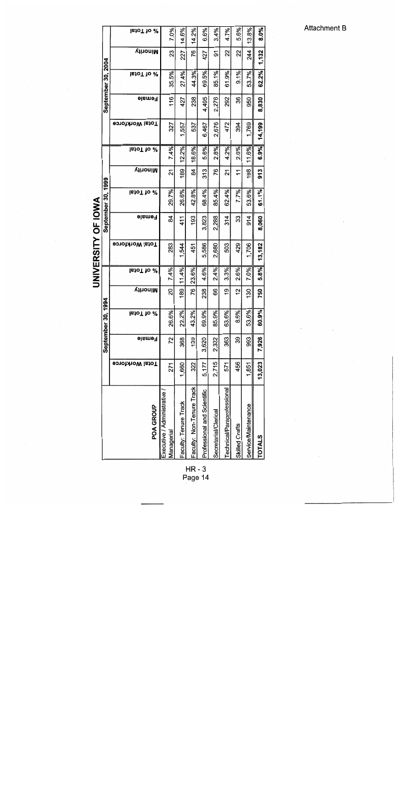|                    | <b>IstoT</b> to $\%$   | 7.0%                                     | 14.6%                 | 14.2%                     | 6.6%                        | 3.4%                 | 4.7%                       | 5.6%           | 13.8%               | 8.0%          |
|--------------------|------------------------|------------------------------------------|-----------------------|---------------------------|-----------------------------|----------------------|----------------------------|----------------|---------------------|---------------|
|                    | <b>VinoniM</b>         | 23                                       | 227                   | 76                        | 427                         | ଚ                    | 22                         | ನ              | 244                 | 1,132         |
| September 30, 2004 | <b>IstoT</b> to $\%$   | 35.5%                                    | 27.4%                 | 44.3%                     | 69.5%                       | 85.1%                | 61.9%                      | 9.1%           | 53.7%               | 62.2%         |
|                    | Female                 | 116                                      | 427                   | 238                       | 4,495                       | 2.276                | 292                        | 36             | 950                 | 8,830         |
|                    | Fotal Workforce        | 327                                      | 1,557                 | 537                       | 6,467                       | 2,676                | 472                        | 394            | 1,769               | 14,199        |
|                    | IstoT to<br>%          | 7.4%                                     | 12.2%                 | 18.6%                     | 5.6%                        | 2.8%                 | 4.2%                       | 2.6%           | 11.6%               | 6.9%          |
|                    | <b>VinoniM</b>         | 24                                       | 189                   | \$                        | 313                         | 76                   | 21                         | 71             | $\frac{8}{2}$       | 913           |
| September 30, 1999 | <b>IstoT</b> to $\%$   | 29.7%                                    | 26.6%                 | 42.8%                     | 68.4%                       | 85.4%                | 62.4%                      | 7.7%           | 53.6%               | 61.1%         |
|                    | Female                 | 84                                       | 41                    | 193                       | 3,823                       | 2,288                | 314                        | 33             | 914                 | 8,060         |
|                    | <b>Fotal Workforce</b> | 283                                      | 1,544                 | $45^{\circ}$              | 5,586                       | 2,680                | 503                        | 429            | 1,706               | 13,182        |
|                    | <b>IstoT</b> to $\%$   | .4%<br>Z                                 | 11.4%                 | 23.6%                     | 4.6%                        | 2.4%                 | 3.3%                       | 2.6%           | 7.0%                | 5.8%          |
| 1994               | VinoniM                | ຊ                                        | 189                   | 76                        | 238                         | 86                   | ë                          | 57             | 130                 | 750           |
| September 30,      | lstoT<br>%             | 26.6%                                    | 22.2%                 | 43.2%                     | 69.9%                       | 85.9%                | 63.6%                      | 8.6%           | 53.6%               | ڃ<br>60.9°    |
|                    | Female                 | 72                                       | 368                   | 139                       | 3,620                       | 2,332                | 363                        | 39             | 993                 | 7,926         |
|                    | Fotal Workforce        | 271                                      | 1,660                 | 322                       | 5,177                       | 2,715                | 571                        | 456            | 1,851               | 13,023        |
|                    | POA GROUP              | Executive / Administrative<br>Managerial | Faculty: Tenure Track | Faculty: Non-Tenure Track | Professional and Scientific | Secretarial/Clerical | Technical/Paraprofessional | Skilled Crafts | Service/Maintenance | <b>TOTALS</b> |

UNIVERSITY OF IOWA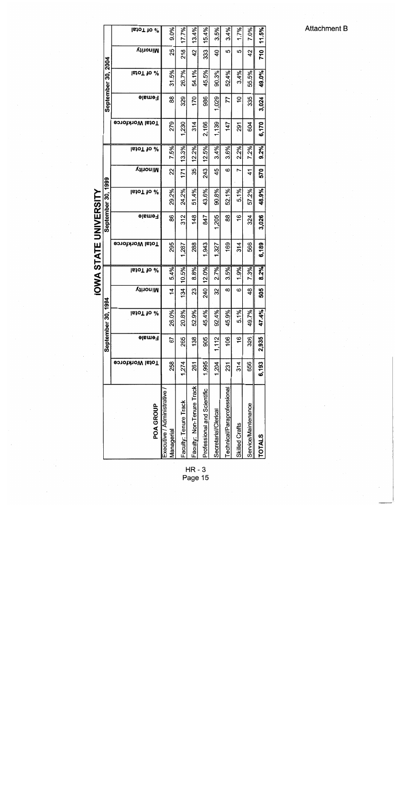|                    | <b>StoT</b> to $\%$       | 9.0%                                     | 17.7%                 | 13.4%                    | 15.4%                       | 3.5%                 | 3.4%                      | 1.7%           | 7.0%                | 11.5%                            |
|--------------------|---------------------------|------------------------------------------|-----------------------|--------------------------|-----------------------------|----------------------|---------------------------|----------------|---------------------|----------------------------------|
|                    | <b>Winonity</b>           | 25                                       | 218                   | $\frac{2}{3}$            | 333                         | $\overline{6}$       | 5                         | 5              | 42                  | 710                              |
| September 30, 2004 | % of Total                | 31.5%                                    | 26.7%                 | 54.1%                    | 45.5%                       | 90.3%                | 52.4%                     | 3.4%           | 55.5%               | 49.0%                            |
|                    | <b>Female</b>             | 88                                       | 329                   | 170                      | 986                         | .029                 | 77                        | Ş              | 335                 | 3,024                            |
|                    | <b>Fotal Workforce</b>    | 279                                      | 1,230                 | $\frac{314}{5}$          | 2,166                       | 1,139                | 147                       | 291            | 604                 | 6,170                            |
|                    | <b>StoT</b> to $\%$       | 7.5%                                     | 13.3%                 | 12.2%                    | 12.5%                       | 3.4%                 | 3.6%                      | 2.2%           | 7.2%                | 9.2%                             |
|                    | <b>Winority</b>           | ನಿ                                       | 171                   | 35                       | 243                         | 45                   | ဖ                         |                | $\mathbf{4}$        | 570                              |
| September 30, 1999 | <b>StoT</b> to $\sqrt{ }$ | 29.2%                                    | 24.2%                 | 51.4%                    | 43.6%                       | 90.8%                | 52.1%                     | 5.1%           | 57.2%               | 48.9%                            |
|                    | Female                    | 86                                       | 312                   | $rac{48}{1}$             | 28                          | 205                  | 88                        | $\frac{6}{1}$  | 324                 | 3,026                            |
|                    | <b>Total Workforce</b>    | 295                                      | 1,287                 | 288                      | 1,943                       | 1.327                | 169                       | $\frac{4}{3}$  | 566                 | 6,189                            |
|                    | lstoT to $\%$             | 5.4%                                     | 10.5%                 | 8.8%                     | 12.0%                       | 2.7%                 | 3.5%                      | 1.9%           | 7.3%                | 8.2%                             |
| 1994               | Minority                  | $\dot{4}$                                | $\frac{34}{5}$        | 23                       | 240                         | 32                   | ∞                         | ဖ              | $\frac{8}{3}$       | 505                              |
| September 30,      | lstoT t<br>%              | 26.0%                                    | 20.8%                 | 52.9%                    | 45.4%                       | 92.4%                | 45.9%                     | 5.1%           | 49.7%               | $\overline{\mathbf{x}}$<br>47.4° |
|                    | Female                    | 59                                       | 265                   | 138                      | 905                         | 1,112                | $\frac{6}{5}$             | $\frac{6}{5}$  | 326                 | 2,935                            |
|                    | <b>Fotal Workforce</b>    | 258                                      | 1,274                 | 261                      | 1,995                       | 1,204                | 231                       | 314            | 656                 | 6,193                            |
|                    | POA GROUP                 | Executive / Administrative<br>Aanagerial | Faculty: Tenure Track | aculty: Non-Tenure Track | Professional and Scientific | Secretarial/Clerical | echnical/Paraprofessional | Skilled Crafts | Service/Maintenance | <b>TOTALS</b>                    |

IOWA STATE UNIVERSITY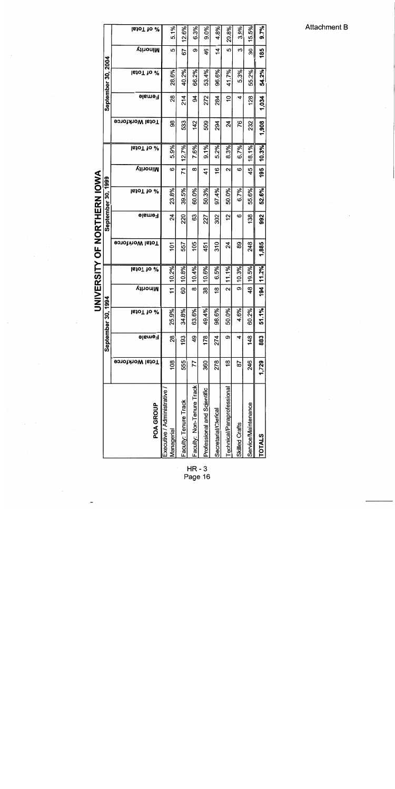|                                          |                 |        | September 30                   | 1,1994          |               |                  |                | September 30, 1999       |                 |            |                 |        | September 30, 2004 |                 |               |
|------------------------------------------|-----------------|--------|--------------------------------|-----------------|---------------|------------------|----------------|--------------------------|-----------------|------------|-----------------|--------|--------------------|-----------------|---------------|
| POA GROUP                                | Fotal Workforce | Female | lstoT to &                     | <b>Winority</b> | lstoT to $\%$ | Fotal Workforce  | Female         | <b>IstoT</b> to $\infty$ | <b>Winority</b> | lstoT to & | Fotal Workforce | Female | lstoT to &         | <b>Winority</b> | lstoT to $\%$ |
| Executive / Administrative<br>Managerial | 108             | 28     | $\frac{5}{6}$<br>25.9          | $\mathbf{r}$    | 10.2%         | $\overline{101}$ | $\overline{2}$ | 23.8%                    | ဖ               | 5.9%       | 88              | 28     | 28.6%              | 5               | 5.1%          |
| Faculty: Tenure Track                    | 555             | 193    | $\frac{8}{5}$<br>34.8          | 60              | 10.8%         | 557              | 220            | 39.5%                    | 71              | 12.7%      | 533             | 214    | 40.2%              | 59              | 12.6%         |
| Faculty: Non-Tenure Track                | 77              | 49     | $\frac{8}{3}$<br>63.6          | $^{\circ}$      | 10.4%         | 105              | යි             | 60.0%                    | $^{\circ}$      | 7.6%       | 142             | क्र    | 66.2%              | Φ               | 6.3%          |
| Professional and Scientific              | 360             | 178    | ೩<br>49.4                      | 38              | 10.6%         | 451              | 227            | 50.3%                    | 4               | 9.1%       | 509             | 272    | 53.4%              | 46              | 9.0%          |
| Secretarial/Clerical                     | 278             | 274    | ೫<br>98.6                      | $\frac{8}{2}$   | 6.5%          | 310              | 302            | 97.4%                    | $\frac{6}{5}$   | 5.2%       | 294             | 284    | 96.6%              | 4               | 4.8%          |
| Technical/Paraprofessional               | $\frac{8}{2}$   | თ      | 50.0%                          | 2               | 11.1%         | र्द              | 2              | 50.0%                    | 2               | 8.3%       | 24              | Ś      | 41.7%              | 5               | 20.8%         |
| Skilled Crafts                           | 87              | 4      | 80 <sub>6</sub><br>$rac{6}{4}$ | Φ               | 10.3%         | 89               | စ              | 6.7%                     | ဖ               | 6.7%       | 76              | 4      | 5.3%               | ო               | 3.9%          |
| Service/Maintenance                      | 246             | 148    | 60.2%                          | $\frac{48}{5}$  | 19.5%         | 248              | 138            | 55.6%                    | 45              | 18.1%      | 232             | 128    | 55.2%              | 36              | 15.5%         |
| <b>TOTALS</b>                            | 1,729           | 883    | ৡ<br><b>211</b>                | 194             | 11.2%         | 1,885            | 992            | 52.6%                    | 195             | 10.3%      | 1,908           | 1,034  | 54.2%              | 185             | 9.7%          |
|                                          |                 |        |                                |                 |               |                  |                |                          |                 |            |                 |        |                    |                 |               |

UNIVERSITY OF NORTHERN IOWA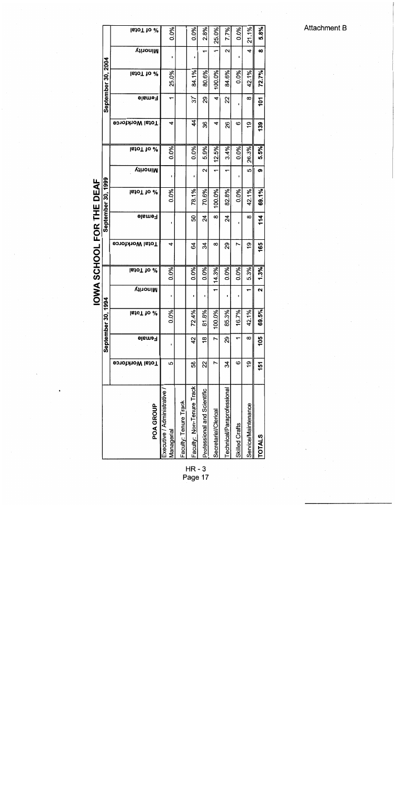|                    | <b>IstoT</b> to $\infty$   | 0.0%                                     |                       | 0.0%                      | 2.8%                        | 25.0%                | 7.7%                              | 0.0%           | 21.1%               | 5.8%           |
|--------------------|----------------------------|------------------------------------------|-----------------------|---------------------------|-----------------------------|----------------------|-----------------------------------|----------------|---------------------|----------------|
|                    | Minority                   | ı                                        |                       | ,                         |                             |                      | $\mathbf{\Omega}$                 | ı              | 4                   | ထ              |
| September 30, 2004 | % of Total                 | 25.0%                                    |                       | 84.1%                     | 80.6%                       | 100.0%               | 84.6%                             | 0.0%           | 42.1%               | 72.7%          |
|                    | <b>Female</b>              | ↽                                        |                       | ಸ                         | 29                          | 4                    | 22                                | ı              | $\infty$            | $\overline{5}$ |
|                    | <b>Total Workforce</b>     | 4                                        |                       | 4                         | 36                          | 4                    | 26                                | ဖ              | ღ<br>ლ              | $\frac{39}{2}$ |
|                    | lstoT to $\infty$          | 0.0%                                     |                       | 0.0%                      | 5.9%                        | 12.5%                | 3.4%                              | 0.0%           | 26.3%               | 5.5%           |
|                    | <b>Winonity</b>            | $\blacksquare$                           |                       | ı                         | $\scriptstyle\mathtt{N}$    |                      |                                   | ı              | 5                   | ၈              |
| September 30, 1999 | <b>IstoT</b> to $\sqrt{ }$ | 0.0%                                     |                       | 78.1%                     | 70.6%                       | $100.0\%$            | 82.8%                             | $0.0\%$        | 42.1%               | 69.1%          |
|                    | <b>Female</b>              | ı                                        |                       | ິສ                        | 24                          | $\infty$             | 24                                |                | ∞                   | 114            |
|                    | <b>Fotal Workforce</b>     | 4                                        |                       | S,                        | ≭                           | $^{\circ}$           | 8                                 |                | \$                  | 165            |
|                    | lstoT to $\%$              | 0.0%                                     |                       | 0.0%                      | 0.0%                        | 14.3%                | 0.0%                              | 0.0%           | 5.3%                | 1.3%           |
| 1994               | <b>Winonity</b>            |                                          |                       | ۱                         | ı                           |                      | ı                                 | ٠              |                     | ุ              |
|                    | lstoT to<br>70             | 0.0%                                     |                       | 72.4%                     | 81.8%                       | 100.0%               | 85.3%                             | 16.7%          | 42.1%               | ے<br>69.5%     |
| September 30,      | <b>Female</b>              |                                          |                       | $\frac{2}{3}$             | $\frac{8}{1}$               | N                    | 8                                 |                | $\infty$            | 105            |
|                    | <b>Fotal Workforce</b>     | ю                                        |                       | 58                        | 22                          |                      | న                                 | ဖ              | ი<br>1              | 151            |
|                    | POA GROUP                  | Executive / Administrative<br>Managerial | Faculty: Tenure Track | Faculty: Non-Tenure Track | Professional and Scientific | Secretarial/Clerical | <b>Technical/Paraprofessional</b> | Skilled Crafts | Service/Maintenance | <b>TOTALS</b>  |

**IOWA SCHOOL FOR THE DEAF**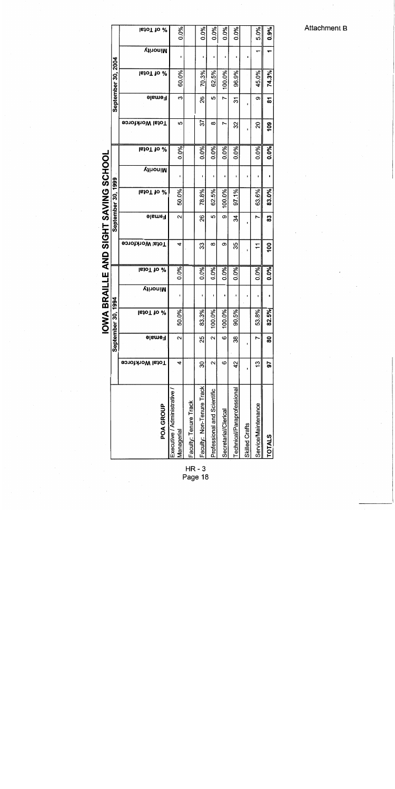|                    | <b>IstoT</b> to $\%$ | 0.0%                                            |                       | 0.0%                      | 0.0%                        | 0.0%                 | 0.0%                       |                | 5.0%                | 0.9%            |
|--------------------|----------------------|-------------------------------------------------|-----------------------|---------------------------|-----------------------------|----------------------|----------------------------|----------------|---------------------|-----------------|
|                    | <b>VinoniM</b>       | ı                                               |                       | ı                         | ï                           | ı                    | ı                          |                |                     |                 |
| September 30, 2004 | lstoT to $\%$        | 60.0%                                           |                       | 70.3%                     | 62.5%                       | 100.0%               | 96.9%                      |                | 45.0%               | 74.3%           |
|                    | Female               | ω                                               |                       | 26                        | 5                           | r                    | స్                         | ı              | တ                   | ౚ               |
|                    | Fotal Workforce      | <u>က</u>                                        |                       | 22                        | ∞                           | Ņ                    | 32                         |                | ຊ                   | ខ្ល             |
|                    | <b>StoT</b> to $\%$  | 0.0%                                            |                       | 0.0%                      | 0.0%                        | 0.0%                 | 0.0%                       |                | 0.0%                | 0.0%            |
|                    | VinoniM              | ı                                               |                       | ı                         | ı                           | ı                    | ı                          | ı              | ı                   | ٠               |
| September 30, 1999 | <b>IstoT</b> to $\%$ | 50.0%                                           |                       | 78.8%                     | 62.5%                       | 100.0%               | 97.1%                      |                | 63.6%               | 83.0%           |
|                    | <b>Female</b>        | 2                                               |                       | 26                        | 5                           | တ                    | ≵                          |                | ٣                   | 33              |
|                    | Fotal Workforce      | 4                                               |                       | 33                        | $^{\circ}$                  | တ                    | 35                         |                | 7                   | $\frac{8}{100}$ |
|                    | <b>IstoT</b> to $\%$ | 0.0%                                            |                       | 0.0%                      | 0.0%                        | 0.0%                 | 0.0%                       |                | 0.0%                | 0.0%            |
| 1994               | <b>VinoniM</b>       |                                                 |                       | ۱                         | ٠                           | ٠                    | ۱                          |                | ۱                   |                 |
| September 30,      | lstoT to<br>%        | 50.0%                                           |                       | 83.3%                     | 100.0%                      | 100.0%               | 90.5%                      |                | 53.8%               | ە<br>82.5%      |
|                    | Female               | $\sim$                                          |                       | 25                        | $\sim$                      | $\circ$              | 38                         |                | r                   | 80              |
|                    | Fotal Workforce      | 4                                               |                       | 30                        | $\sim$                      | ဖ                    | 42                         |                | 13                  | 56              |
|                    | POA GROUP            | Executive / Administrative<br><b>Managerial</b> | Faculty: Tenure Track | Faculty: Non-Tenure Track | Professional and Scientific | Secretarial/Clerical | Fechnical/Paraprofessional | Skilled Crafts | Service/Maintenance | <b>TOTALS</b>   |

**IOWA BRAILLE AND SIGHT SAVING SCHOOL**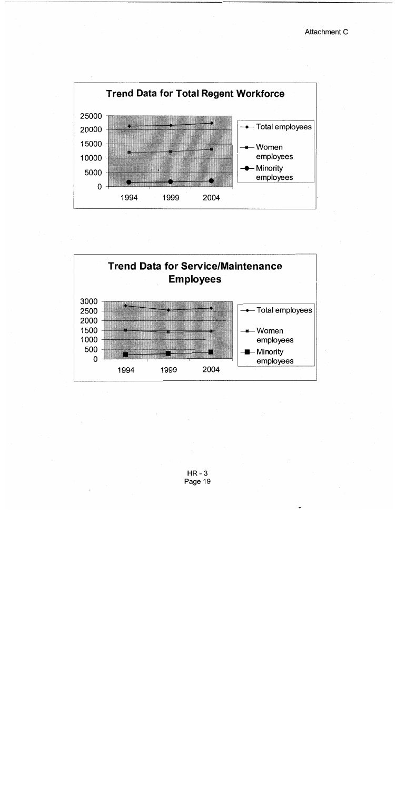



 $HR - 3$ Page 19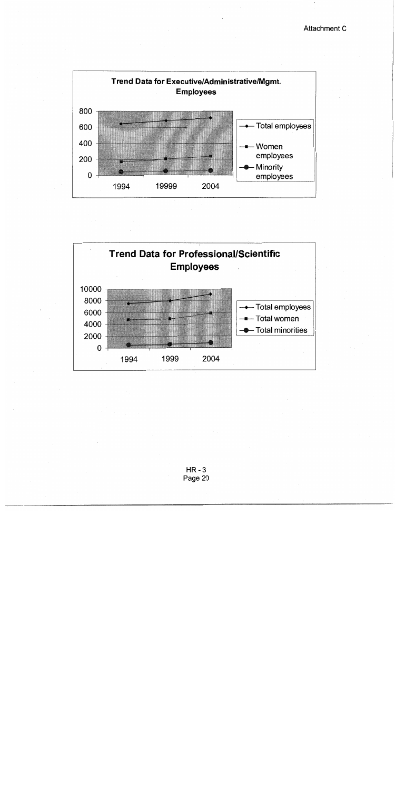



 $HR - 3$ Page 20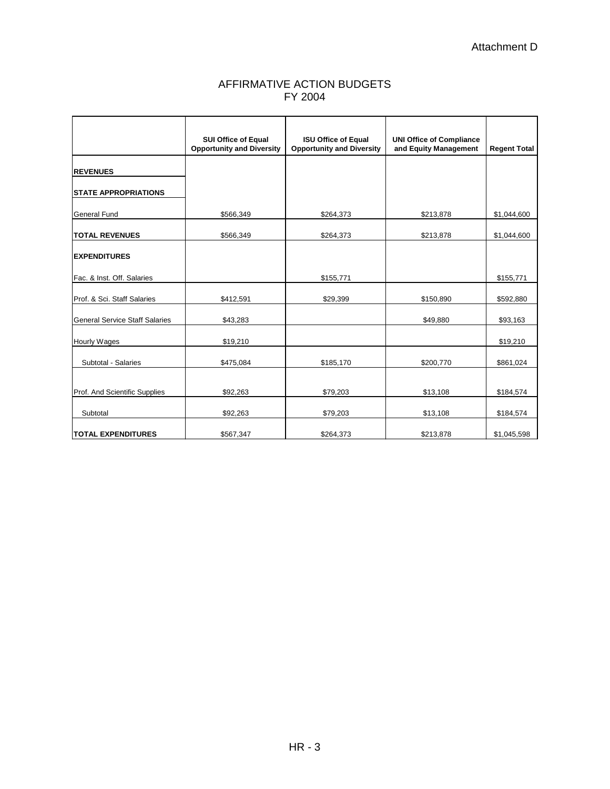### AFFIRMATIVE ACTION BUDGETS FY 2004

|                                       | <b>SUI Office of Equal</b><br><b>Opportunity and Diversity</b> | <b>ISU Office of Equal</b><br><b>Opportunity and Diversity</b> | <b>UNI Office of Compliance</b><br>and Equity Management | <b>Regent Total</b> |
|---------------------------------------|----------------------------------------------------------------|----------------------------------------------------------------|----------------------------------------------------------|---------------------|
| <b>REVENUES</b>                       |                                                                |                                                                |                                                          |                     |
| <b>STATE APPROPRIATIONS</b>           |                                                                |                                                                |                                                          |                     |
| <b>General Fund</b>                   | \$566,349                                                      | \$264,373                                                      | \$213,878                                                | \$1,044,600         |
| <b>TOTAL REVENUES</b>                 | \$566,349                                                      | \$264,373                                                      | \$213,878                                                | \$1,044,600         |
| <b>EXPENDITURES</b>                   |                                                                |                                                                |                                                          |                     |
| Fac. & Inst. Off. Salaries            |                                                                | \$155,771                                                      |                                                          | \$155,771           |
| Prof. & Sci. Staff Salaries           | \$412,591                                                      | \$29,399                                                       | \$150,890                                                | \$592,880           |
| <b>General Service Staff Salaries</b> | \$43,283                                                       |                                                                | \$49,880                                                 | \$93,163            |
| <b>Hourly Wages</b>                   | \$19,210                                                       |                                                                |                                                          | \$19,210            |
| Subtotal - Salaries                   | \$475,084                                                      | \$185,170                                                      | \$200,770                                                | \$861,024           |
| Prof. And Scientific Supplies         | \$92,263                                                       | \$79,203                                                       | \$13,108                                                 | \$184,574           |
| Subtotal                              | \$92,263                                                       | \$79,203                                                       | \$13,108                                                 | \$184,574           |
| <b>TOTAL EXPENDITURES</b>             | \$567,347                                                      | \$264,373                                                      | \$213,878                                                | \$1,045,598         |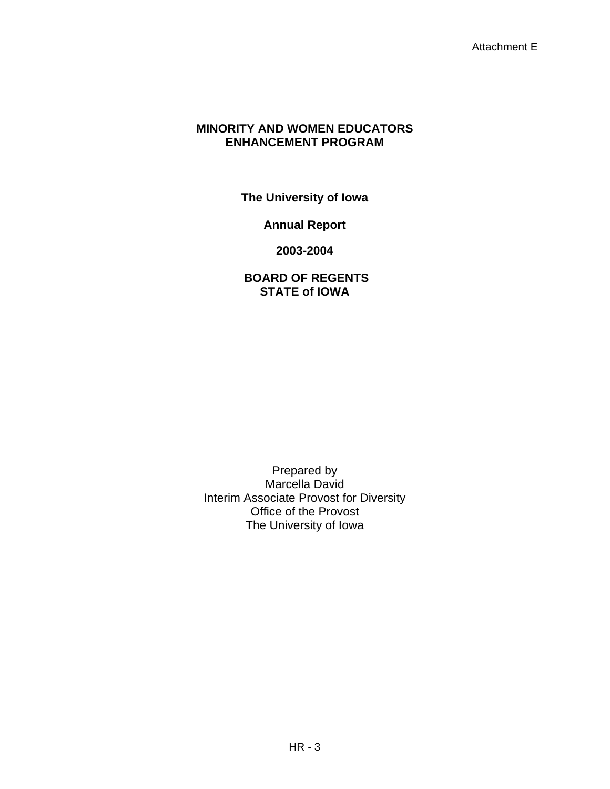# **MINORITY AND WOMEN EDUCATORS ENHANCEMENT PROGRAM**

**The University of Iowa** 

**Annual Report** 

**2003-2004** 

 **BOARD OF REGENTS STATE of IOWA** 

Prepared by Marcella David Interim Associate Provost for Diversity Office of the Provost The University of Iowa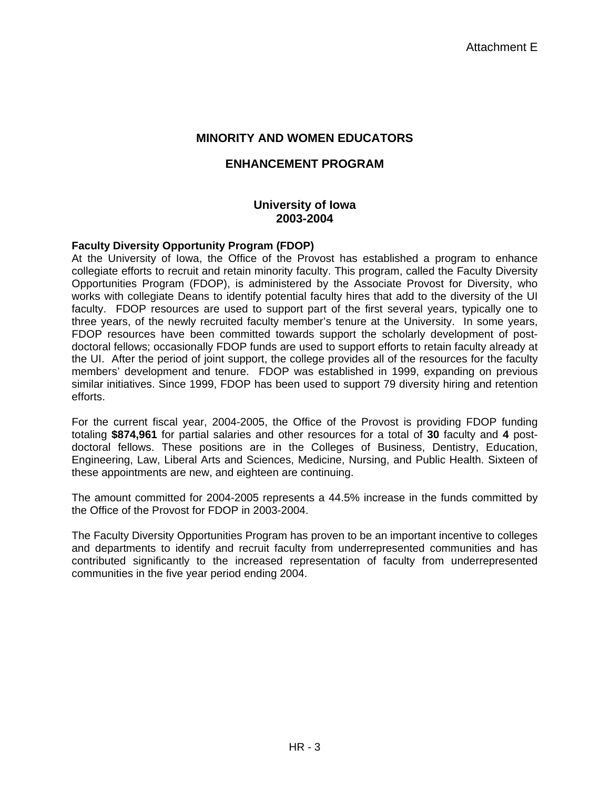# **MINORITY AND WOMEN EDUCATORS**

# **ENHANCEMENT PROGRAM**

#### **University of Iowa 2003-2004**

#### **Faculty Diversity Opportunity Program (FDOP)**

At the University of Iowa, the Office of the Provost has established a program to enhance collegiate efforts to recruit and retain minority faculty. This program, called the Faculty Diversity Opportunities Program (FDOP), is administered by the Associate Provost for Diversity, who works with collegiate Deans to identify potential faculty hires that add to the diversity of the UI faculty. FDOP resources are used to support part of the first several years, typically one to three years, of the newly recruited faculty member's tenure at the University. In some years, FDOP resources have been committed towards support the scholarly development of postdoctoral fellows; occasionally FDOP funds are used to support efforts to retain faculty already at the UI. After the period of joint support, the college provides all of the resources for the faculty members' development and tenure. FDOP was established in 1999, expanding on previous similar initiatives. Since 1999, FDOP has been used to support 79 diversity hiring and retention efforts.

For the current fiscal year, 2004-2005, the Office of the Provost is providing FDOP funding totaling **\$874,961** for partial salaries and other resources for a total of **30** faculty and **4** postdoctoral fellows. These positions are in the Colleges of Business, Dentistry, Education, Engineering, Law, Liberal Arts and Sciences, Medicine, Nursing, and Public Health. Sixteen of these appointments are new, and eighteen are continuing.

The amount committed for 2004-2005 represents a 44.5% increase in the funds committed by the Office of the Provost for FDOP in 2003-2004.

The Faculty Diversity Opportunities Program has proven to be an important incentive to colleges and departments to identify and recruit faculty from underrepresented communities and has contributed significantly to the increased representation of faculty from underrepresented communities in the five year period ending 2004.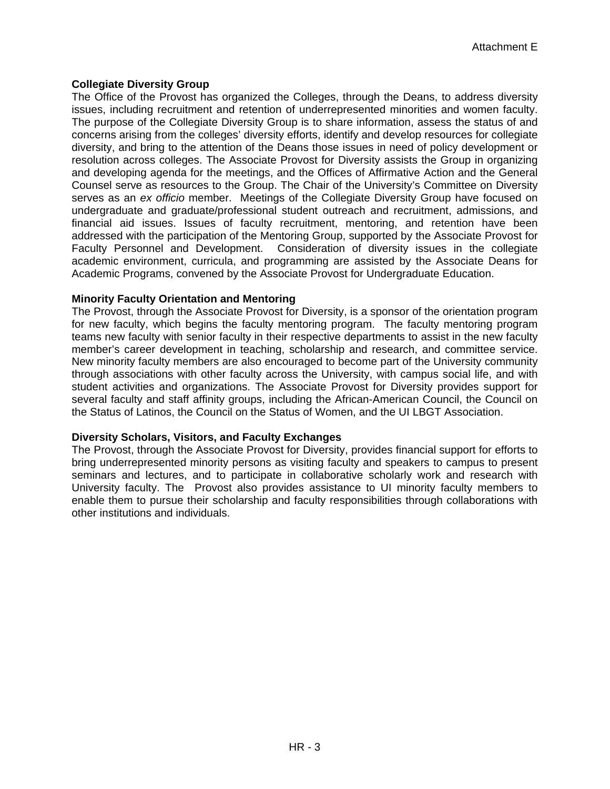### **Collegiate Diversity Group**

The Office of the Provost has organized the Colleges, through the Deans, to address diversity issues, including recruitment and retention of underrepresented minorities and women faculty. The purpose of the Collegiate Diversity Group is to share information, assess the status of and concerns arising from the colleges' diversity efforts, identify and develop resources for collegiate diversity, and bring to the attention of the Deans those issues in need of policy development or resolution across colleges. The Associate Provost for Diversity assists the Group in organizing and developing agenda for the meetings, and the Offices of Affirmative Action and the General Counsel serve as resources to the Group. The Chair of the University's Committee on Diversity serves as an *ex officio* member. Meetings of the Collegiate Diversity Group have focused on undergraduate and graduate/professional student outreach and recruitment, admissions, and financial aid issues. Issues of faculty recruitment, mentoring, and retention have been addressed with the participation of the Mentoring Group, supported by the Associate Provost for Faculty Personnel and Development. Consideration of diversity issues in the collegiate academic environment, curricula, and programming are assisted by the Associate Deans for Academic Programs, convened by the Associate Provost for Undergraduate Education.

#### **Minority Faculty Orientation and Mentoring**

The Provost, through the Associate Provost for Diversity, is a sponsor of the orientation program for new faculty, which begins the faculty mentoring program. The faculty mentoring program teams new faculty with senior faculty in their respective departments to assist in the new faculty member's career development in teaching, scholarship and research, and committee service. New minority faculty members are also encouraged to become part of the University community through associations with other faculty across the University, with campus social life, and with student activities and organizations. The Associate Provost for Diversity provides support for several faculty and staff affinity groups, including the African-American Council, the Council on the Status of Latinos, the Council on the Status of Women, and the UI LBGT Association.

#### **Diversity Scholars, Visitors, and Faculty Exchanges**

The Provost, through the Associate Provost for Diversity, provides financial support for efforts to bring underrepresented minority persons as visiting faculty and speakers to campus to present seminars and lectures, and to participate in collaborative scholarly work and research with University faculty. The Provost also provides assistance to UI minority faculty members to enable them to pursue their scholarship and faculty responsibilities through collaborations with other institutions and individuals.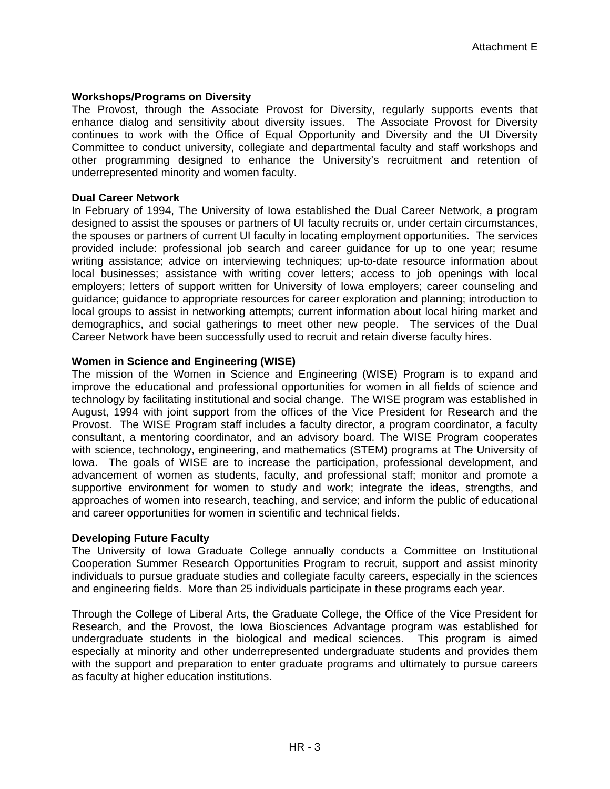#### **Workshops/Programs on Diversity**

The Provost, through the Associate Provost for Diversity, regularly supports events that enhance dialog and sensitivity about diversity issues. The Associate Provost for Diversity continues to work with the Office of Equal Opportunity and Diversity and the UI Diversity Committee to conduct university, collegiate and departmental faculty and staff workshops and other programming designed to enhance the University's recruitment and retention of underrepresented minority and women faculty.

#### **Dual Career Network**

In February of 1994, The University of Iowa established the Dual Career Network, a program designed to assist the spouses or partners of UI faculty recruits or, under certain circumstances, the spouses or partners of current UI faculty in locating employment opportunities. The services provided include: professional job search and career guidance for up to one year; resume writing assistance; advice on interviewing techniques; up-to-date resource information about local businesses; assistance with writing cover letters; access to job openings with local employers; letters of support written for University of Iowa employers; career counseling and guidance; guidance to appropriate resources for career exploration and planning; introduction to local groups to assist in networking attempts; current information about local hiring market and demographics, and social gatherings to meet other new people. The services of the Dual Career Network have been successfully used to recruit and retain diverse faculty hires.

#### **Women in Science and Engineering (WISE)**

The mission of the Women in Science and Engineering (WISE) Program is to expand and improve the educational and professional opportunities for women in all fields of science and technology by facilitating institutional and social change. The WISE program was established in August, 1994 with joint support from the offices of the Vice President for Research and the Provost. The WISE Program staff includes a faculty director, a program coordinator, a faculty consultant, a mentoring coordinator, and an advisory board. The WISE Program cooperates with science, technology, engineering, and mathematics (STEM) programs at The University of Iowa. The goals of WISE are to increase the participation, professional development, and advancement of women as students, faculty, and professional staff; monitor and promote a supportive environment for women to study and work; integrate the ideas, strengths, and approaches of women into research, teaching, and service; and inform the public of educational and career opportunities for women in scientific and technical fields.

#### **Developing Future Faculty**

The University of Iowa Graduate College annually conducts a Committee on Institutional Cooperation Summer Research Opportunities Program to recruit, support and assist minority individuals to pursue graduate studies and collegiate faculty careers, especially in the sciences and engineering fields. More than 25 individuals participate in these programs each year.

Through the College of Liberal Arts, the Graduate College, the Office of the Vice President for Research, and the Provost, the Iowa Biosciences Advantage program was established for undergraduate students in the biological and medical sciences. This program is aimed especially at minority and other underrepresented undergraduate students and provides them with the support and preparation to enter graduate programs and ultimately to pursue careers as faculty at higher education institutions.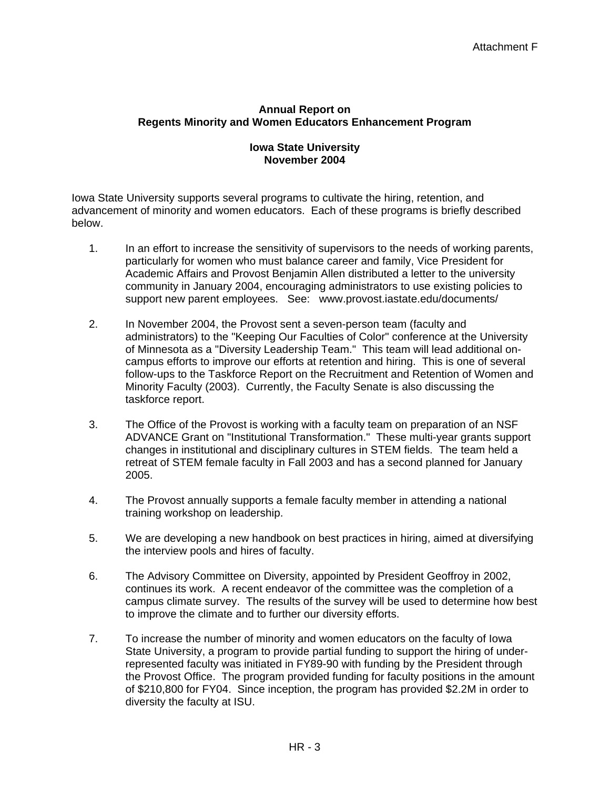### **Annual Report on Regents Minority and Women Educators Enhancement Program**

#### **Iowa State University November 2004**

Iowa State University supports several programs to cultivate the hiring, retention, and advancement of minority and women educators. Each of these programs is briefly described below.

- 1. In an effort to increase the sensitivity of supervisors to the needs of working parents, particularly for women who must balance career and family, Vice President for Academic Affairs and Provost Benjamin Allen distributed a letter to the university community in January 2004, encouraging administrators to use existing policies to support new parent employees. See: www.provost.iastate.edu/documents/
- 2. In November 2004, the Provost sent a seven-person team (faculty and administrators) to the "Keeping Our Faculties of Color" conference at the University of Minnesota as a "Diversity Leadership Team." This team will lead additional oncampus efforts to improve our efforts at retention and hiring. This is one of several follow-ups to the Taskforce Report on the Recruitment and Retention of Women and Minority Faculty (2003). Currently, the Faculty Senate is also discussing the taskforce report.
- 3. The Office of the Provost is working with a faculty team on preparation of an NSF ADVANCE Grant on "Institutional Transformation." These multi-year grants support changes in institutional and disciplinary cultures in STEM fields. The team held a retreat of STEM female faculty in Fall 2003 and has a second planned for January 2005.
- 4. The Provost annually supports a female faculty member in attending a national training workshop on leadership.
- 5. We are developing a new handbook on best practices in hiring, aimed at diversifying the interview pools and hires of faculty.
- 6. The Advisory Committee on Diversity, appointed by President Geoffroy in 2002, continues its work. A recent endeavor of the committee was the completion of a campus climate survey. The results of the survey will be used to determine how best to improve the climate and to further our diversity efforts.
- 7. To increase the number of minority and women educators on the faculty of Iowa State University, a program to provide partial funding to support the hiring of underrepresented faculty was initiated in FY89-90 with funding by the President through the Provost Office. The program provided funding for faculty positions in the amount of \$210,800 for FY04. Since inception, the program has provided \$2.2M in order to diversity the faculty at ISU.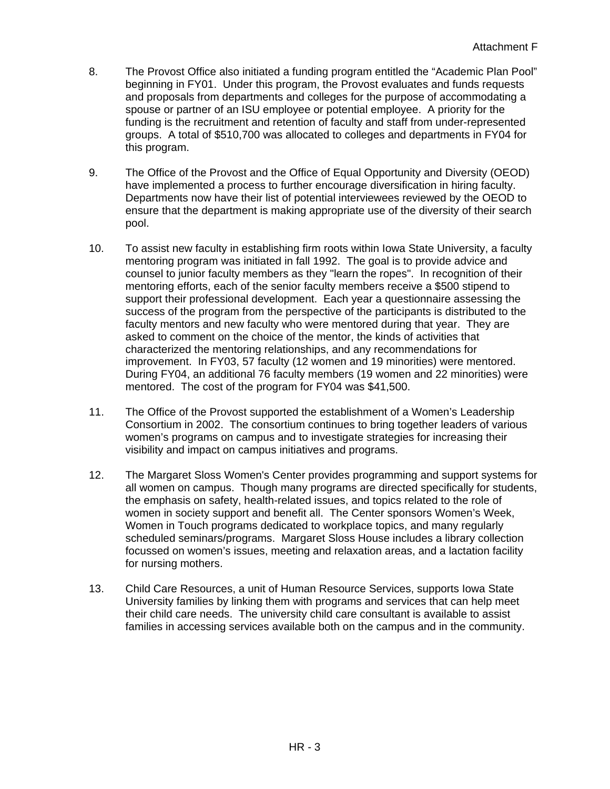- 8. The Provost Office also initiated a funding program entitled the "Academic Plan Pool" beginning in FY01. Under this program, the Provost evaluates and funds requests and proposals from departments and colleges for the purpose of accommodating a spouse or partner of an ISU employee or potential employee. A priority for the funding is the recruitment and retention of faculty and staff from under-represented groups. A total of \$510,700 was allocated to colleges and departments in FY04 for this program.
- 9. The Office of the Provost and the Office of Equal Opportunity and Diversity (OEOD) have implemented a process to further encourage diversification in hiring faculty. Departments now have their list of potential interviewees reviewed by the OEOD to ensure that the department is making appropriate use of the diversity of their search pool.
- 10. To assist new faculty in establishing firm roots within Iowa State University, a faculty mentoring program was initiated in fall 1992. The goal is to provide advice and counsel to junior faculty members as they "learn the ropes". In recognition of their mentoring efforts, each of the senior faculty members receive a \$500 stipend to support their professional development. Each year a questionnaire assessing the success of the program from the perspective of the participants is distributed to the faculty mentors and new faculty who were mentored during that year. They are asked to comment on the choice of the mentor, the kinds of activities that characterized the mentoring relationships, and any recommendations for improvement. In FY03, 57 faculty (12 women and 19 minorities) were mentored. During FY04, an additional 76 faculty members (19 women and 22 minorities) were mentored. The cost of the program for FY04 was \$41,500.
- 11. The Office of the Provost supported the establishment of a Women's Leadership Consortium in 2002. The consortium continues to bring together leaders of various women's programs on campus and to investigate strategies for increasing their visibility and impact on campus initiatives and programs.
- 12. The Margaret Sloss Women's Center provides programming and support systems for all women on campus. Though many programs are directed specifically for students, the emphasis on safety, health-related issues, and topics related to the role of women in society support and benefit all. The Center sponsors Women's Week, Women in Touch programs dedicated to workplace topics, and many regularly scheduled seminars/programs. Margaret Sloss House includes a library collection focussed on women's issues, meeting and relaxation areas, and a lactation facility for nursing mothers.
- 13. Child Care Resources, a unit of Human Resource Services, supports Iowa State University families by linking them with programs and services that can help meet their child care needs. The university child care consultant is available to assist families in accessing services available both on the campus and in the community.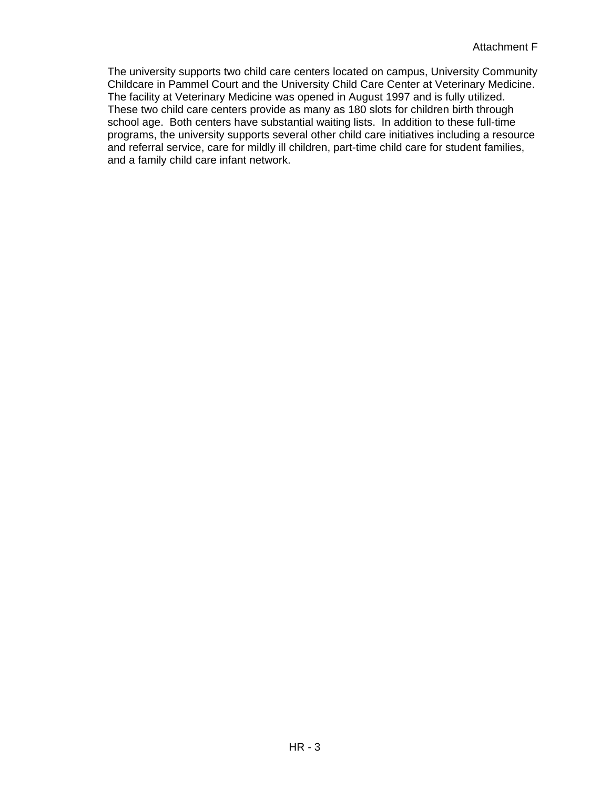The university supports two child care centers located on campus, University Community Childcare in Pammel Court and the University Child Care Center at Veterinary Medicine. The facility at Veterinary Medicine was opened in August 1997 and is fully utilized. These two child care centers provide as many as 180 slots for children birth through school age. Both centers have substantial waiting lists. In addition to these full-time programs, the university supports several other child care initiatives including a resource and referral service, care for mildly ill children, part-time child care for student families, and a family child care infant network.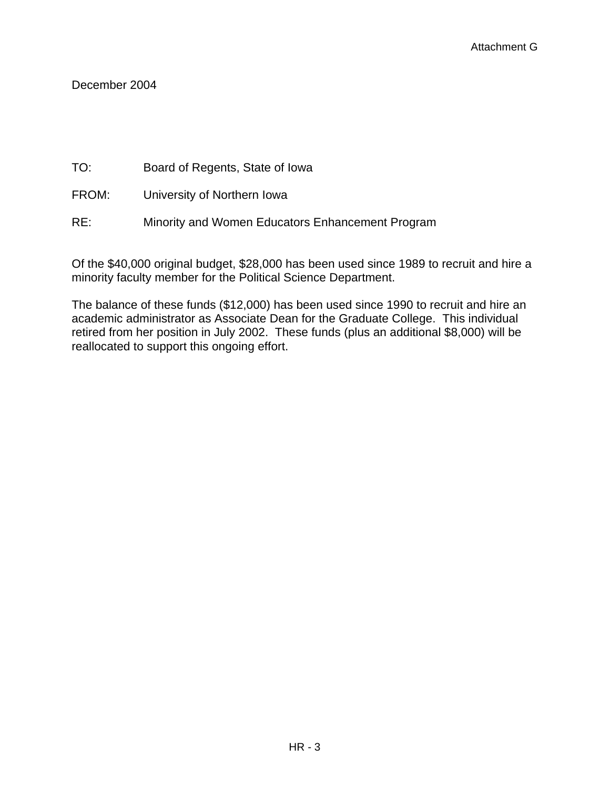# December 2004

TO: Board of Regents, State of Iowa

- FROM: University of Northern Iowa
- RE: Minority and Women Educators Enhancement Program

Of the \$40,000 original budget, \$28,000 has been used since 1989 to recruit and hire a minority faculty member for the Political Science Department.

The balance of these funds (\$12,000) has been used since 1990 to recruit and hire an academic administrator as Associate Dean for the Graduate College. This individual retired from her position in July 2002. These funds (plus an additional \$8,000) will be reallocated to support this ongoing effort.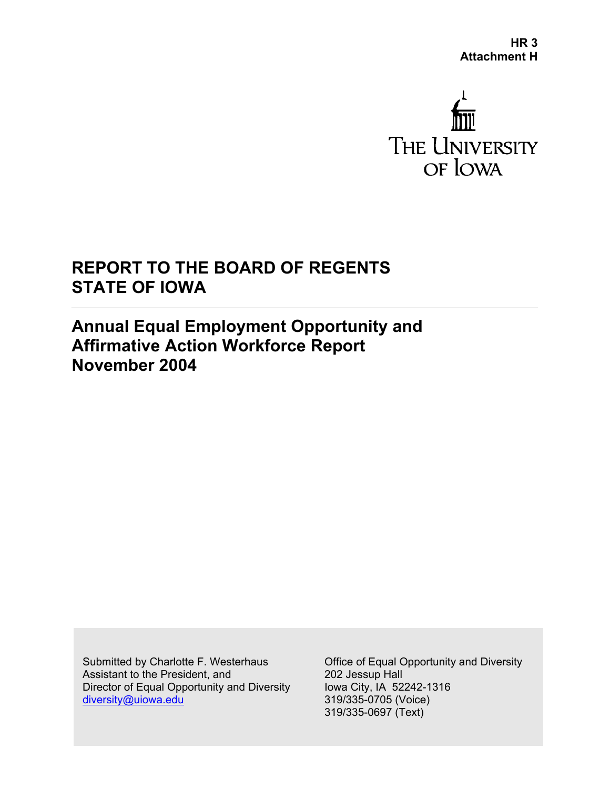

# **REPORT TO THE BOARD OF REGENTS STATE OF IOWA**

**Annual Equal Employment Opportunity and Affirmative Action Workforce Report November 2004** 

Submitted by Charlotte F. Westerhaus **Office of Equal Opportunity and Diversity**  Assistant to the President, and 202 Jessup Hall Director of Equal Opportunity and Diversity Iowa City, IA 52242-1316 diversity@uiowa.edu 319/335-0705 (Voice)

319/335-0697 (Text)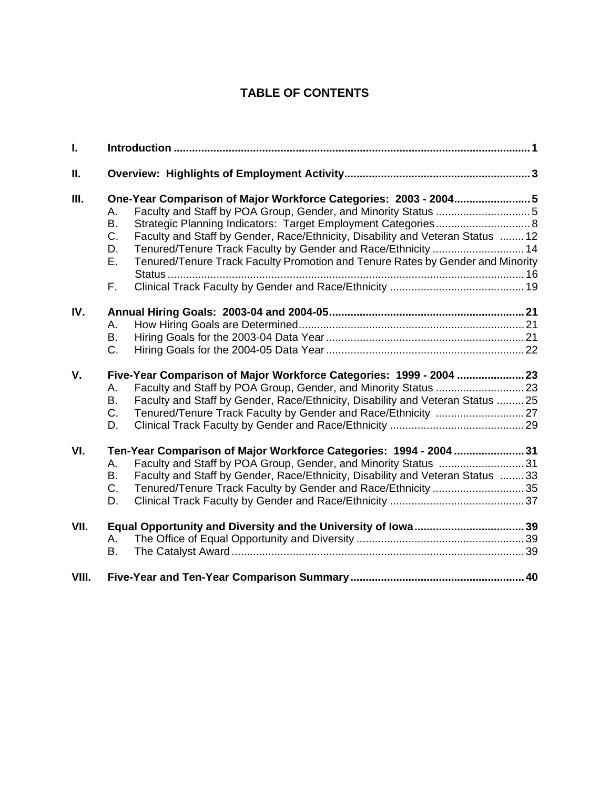# **TABLE OF CONTENTS**

| I.    |                                                                     |                                                                                |  |  |  |  |  |  |
|-------|---------------------------------------------------------------------|--------------------------------------------------------------------------------|--|--|--|--|--|--|
| Ш.    |                                                                     |                                                                                |  |  |  |  |  |  |
| Ш.    |                                                                     | One-Year Comparison of Major Workforce Categories: 2003 - 20045                |  |  |  |  |  |  |
|       | А.                                                                  |                                                                                |  |  |  |  |  |  |
|       | В.                                                                  | Strategic Planning Indicators: Target Employment Categories 8                  |  |  |  |  |  |  |
|       | C.                                                                  | Faculty and Staff by Gender, Race/Ethnicity, Disability and Veteran Status  12 |  |  |  |  |  |  |
|       | D.                                                                  | Tenured/Tenure Track Faculty by Gender and Race/Ethnicity  14                  |  |  |  |  |  |  |
|       | Е.                                                                  | Tenured/Tenure Track Faculty Promotion and Tenure Rates by Gender and Minority |  |  |  |  |  |  |
|       | F.                                                                  |                                                                                |  |  |  |  |  |  |
|       |                                                                     |                                                                                |  |  |  |  |  |  |
| IV.   |                                                                     |                                                                                |  |  |  |  |  |  |
|       | Α.                                                                  |                                                                                |  |  |  |  |  |  |
|       | B.                                                                  |                                                                                |  |  |  |  |  |  |
|       | C.                                                                  |                                                                                |  |  |  |  |  |  |
| V.    | Five-Year Comparison of Major Workforce Categories: 1999 - 2004  23 |                                                                                |  |  |  |  |  |  |
|       | Α.                                                                  |                                                                                |  |  |  |  |  |  |
|       | В.                                                                  | Faculty and Staff by Gender, Race/Ethnicity, Disability and Veteran Status  25 |  |  |  |  |  |  |
|       | C.                                                                  |                                                                                |  |  |  |  |  |  |
|       | D.                                                                  |                                                                                |  |  |  |  |  |  |
| VI.   |                                                                     | Ten-Year Comparison of Major Workforce Categories: 1994 - 2004 31              |  |  |  |  |  |  |
|       | Α.                                                                  | Faculty and Staff by POA Group, Gender, and Minority Status 31                 |  |  |  |  |  |  |
|       | B.                                                                  | Faculty and Staff by Gender, Race/Ethnicity, Disability and Veteran Status 33  |  |  |  |  |  |  |
|       | C.                                                                  | Tenured/Tenure Track Faculty by Gender and Race/Ethnicity 35                   |  |  |  |  |  |  |
|       | D.                                                                  |                                                                                |  |  |  |  |  |  |
| VII.  |                                                                     |                                                                                |  |  |  |  |  |  |
|       | А.                                                                  |                                                                                |  |  |  |  |  |  |
|       | В.                                                                  |                                                                                |  |  |  |  |  |  |
|       |                                                                     |                                                                                |  |  |  |  |  |  |
| VIII. |                                                                     |                                                                                |  |  |  |  |  |  |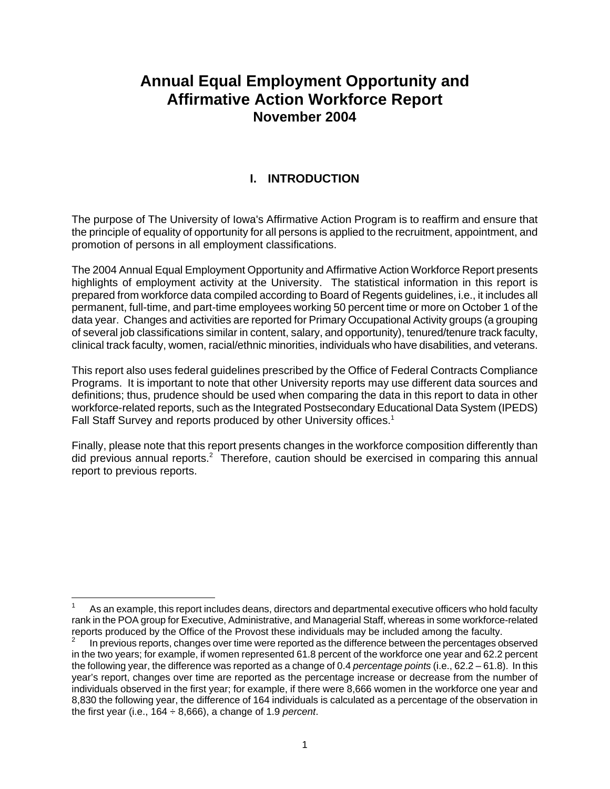# **Annual Equal Employment Opportunity and Affirmative Action Workforce Report November 2004**

# **I. INTRODUCTION**

The purpose of The University of Iowa's Affirmative Action Program is to reaffirm and ensure that the principle of equality of opportunity for all persons is applied to the recruitment, appointment, and promotion of persons in all employment classifications.

The 2004 Annual Equal Employment Opportunity and Affirmative Action Workforce Report presents highlights of employment activity at the University. The statistical information in this report is prepared from workforce data compiled according to Board of Regents guidelines, i.e., it includes all permanent, full-time, and part-time employees working 50 percent time or more on October 1 of the data year. Changes and activities are reported for Primary Occupational Activity groups (a grouping of several job classifications similar in content, salary, and opportunity), tenured/tenure track faculty, clinical track faculty, women, racial/ethnic minorities, individuals who have disabilities, and veterans.

This report also uses federal guidelines prescribed by the Office of Federal Contracts Compliance Programs. It is important to note that other University reports may use different data sources and definitions; thus, prudence should be used when comparing the data in this report to data in other workforce-related reports, such as the Integrated Postsecondary Educational Data System (IPEDS) Fall Staff Survey and reports produced by other University offices.<sup>1</sup>

Finally, please note that this report presents changes in the workforce composition differently than did previous annual reports.<sup>2</sup> Therefore, caution should be exercised in comparing this annual report to previous reports.

 $\overline{a}$ 

<sup>1</sup> As an example, this report includes deans, directors and departmental executive officers who hold faculty rank in the POA group for Executive, Administrative, and Managerial Staff, whereas in some workforce-related reports produced by the Office of the Provost these individuals may be included among the faculty.

In previous reports, changes over time were reported as the difference between the percentages observed in the two years; for example, if women represented 61.8 percent of the workforce one year and 62.2 percent the following year, the difference was reported as a change of 0.4 *percentage points* (i.e., 62.2 – 61.8). In this year's report, changes over time are reported as the percentage increase or decrease from the number of individuals observed in the first year; for example, if there were 8,666 women in the workforce one year and 8,830 the following year, the difference of 164 individuals is calculated as a percentage of the observation in the first year (i.e., 164 ÷ 8,666), a change of 1.9 *percent*.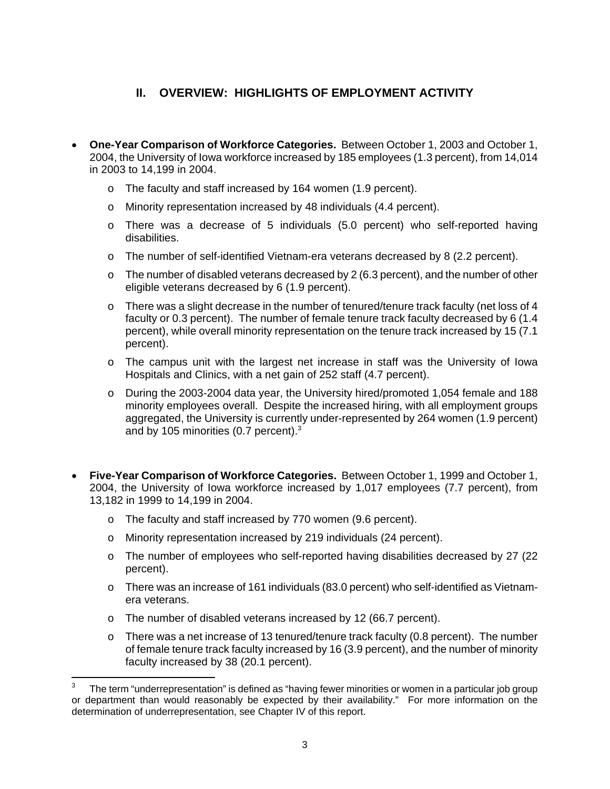# **II. OVERVIEW: HIGHLIGHTS OF EMPLOYMENT ACTIVITY**

- **One-Year Comparison of Workforce Categories.** Between October 1, 2003 and October 1, 2004, the University of Iowa workforce increased by 185 employees (1.3 percent), from 14,014 in 2003 to 14,199 in 2004.
	- o The faculty and staff increased by 164 women (1.9 percent).
	- o Minority representation increased by 48 individuals (4.4 percent).
	- o There was a decrease of 5 individuals (5.0 percent) who self-reported having disabilities.
	- o The number of self-identified Vietnam-era veterans decreased by 8 (2.2 percent).
	- $\circ$  The number of disabled veterans decreased by 2 (6.3 percent), and the number of other eligible veterans decreased by 6 (1.9 percent).
	- o There was a slight decrease in the number of tenured/tenure track faculty (net loss of 4 faculty or 0.3 percent). The number of female tenure track faculty decreased by 6 (1.4 percent), while overall minority representation on the tenure track increased by 15 (7.1 percent).
	- o The campus unit with the largest net increase in staff was the University of Iowa Hospitals and Clinics, with a net gain of 252 staff (4.7 percent).
	- o During the 2003-2004 data year, the University hired/promoted 1,054 female and 188 minority employees overall. Despite the increased hiring, with all employment groups aggregated, the University is currently under-represented by 264 women (1.9 percent) and by 105 minorities (0.7 percent).<sup>3</sup>
- **Five-Year Comparison of Workforce Categories.** Between October 1, 1999 and October 1, 2004, the University of Iowa workforce increased by 1,017 employees (7.7 percent), from 13,182 in 1999 to 14,199 in 2004.
	- o The faculty and staff increased by 770 women (9.6 percent).
	- o Minority representation increased by 219 individuals (24 percent).
	- o The number of employees who self-reported having disabilities decreased by 27 (22 percent).
	- $\circ$  There was an increase of 161 individuals (83.0 percent) who self-identified as Vietnamera veterans.
	- o The number of disabled veterans increased by 12 (66.7 percent).
	- $\circ$  There was a net increase of 13 tenured/tenure track faculty (0.8 percent). The number of female tenure track faculty increased by 16 (3.9 percent), and the number of minority faculty increased by 38 (20.1 percent).

 $\mathsf 3$ The term "underrepresentation" is defined as "having fewer minorities or women in a particular job group or department than would reasonably be expected by their availability." For more information on the determination of underrepresentation, see Chapter IV of this report.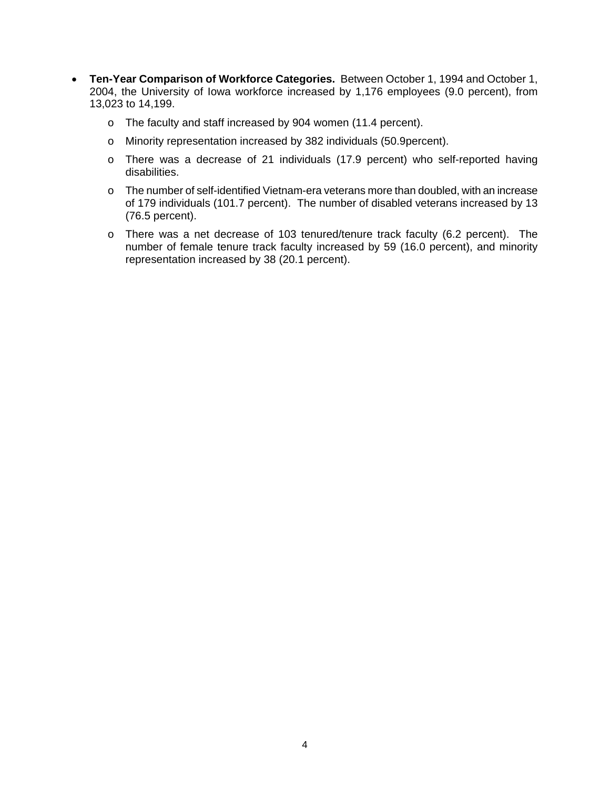- **Ten-Year Comparison of Workforce Categories.** Between October 1, 1994 and October 1, 2004, the University of Iowa workforce increased by 1,176 employees (9.0 percent), from 13,023 to 14,199.
	- o The faculty and staff increased by 904 women (11.4 percent).
	- o Minority representation increased by 382 individuals (50.9percent).
	- o There was a decrease of 21 individuals (17.9 percent) who self-reported having disabilities.
	- o The number of self-identified Vietnam-era veterans more than doubled, with an increase of 179 individuals (101.7 percent). The number of disabled veterans increased by 13 (76.5 percent).
	- o There was a net decrease of 103 tenured/tenure track faculty (6.2 percent). The number of female tenure track faculty increased by 59 (16.0 percent), and minority representation increased by 38 (20.1 percent).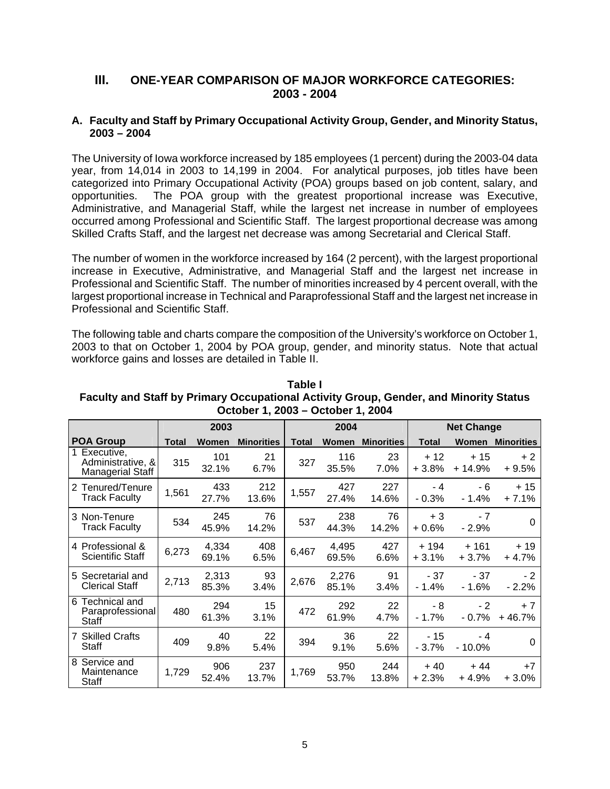# **III. ONE-YEAR COMPARISON OF MAJOR WORKFORCE CATEGORIES: 2003 - 2004**

#### **A. Faculty and Staff by Primary Occupational Activity Group, Gender, and Minority Status, 2003 – 2004**

The University of Iowa workforce increased by 185 employees (1 percent) during the 2003-04 data year, from 14,014 in 2003 to 14,199 in 2004. For analytical purposes, job titles have been categorized into Primary Occupational Activity (POA) groups based on job content, salary, and opportunities. The POA group with the greatest proportional increase was Executive, Administrative, and Managerial Staff, while the largest net increase in number of employees occurred among Professional and Scientific Staff. The largest proportional decrease was among Skilled Crafts Staff, and the largest net decrease was among Secretarial and Clerical Staff.

The number of women in the workforce increased by 164 (2 percent), with the largest proportional increase in Executive, Administrative, and Managerial Staff and the largest net increase in Professional and Scientific Staff. The number of minorities increased by 4 percent overall, with the largest proportional increase in Technical and Paraprofessional Staff and the largest net increase in Professional and Scientific Staff.

The following table and charts compare the composition of the University's workforce on October 1, 2003 to that on October 1, 2004 by POA group, gender, and minority status. Note that actual workforce gains and losses are detailed in Table II.

|                  |                                                            |              | 2003           |                   | 2004  |                |                   | <b>Net Change</b> |                   |                   |  |
|------------------|------------------------------------------------------------|--------------|----------------|-------------------|-------|----------------|-------------------|-------------------|-------------------|-------------------|--|
| <b>POA Group</b> |                                                            | <b>Total</b> | Women          | <b>Minorities</b> | Total | Women          | <b>Minorities</b> | <b>Total</b>      | Women             | <b>Minorities</b> |  |
| $\overline{1}$   | Executive,<br>Administrative, &<br><b>Managerial Staff</b> | 315          | 101<br>32.1%   | 21<br>6.7%        | 327   | 116<br>35.5%   | 23<br>7.0%        | $+12$<br>$+3.8%$  | $+15$<br>$+14.9%$ | $+2$<br>$+9.5%$   |  |
|                  | 2 Tenured/Tenure<br><b>Track Faculty</b>                   | 1,561        | 433<br>27.7%   | 212<br>13.6%      | 1,557 | 427<br>27.4%   | 227<br>14.6%      | - 4<br>$-0.3\%$   | - 6<br>$-1.4%$    | + 15<br>$+7.1%$   |  |
|                  | 3 Non-Tenure<br><b>Track Faculty</b>                       | 534          | 245<br>45.9%   | 76<br>14.2%       | 537   | 238<br>44.3%   | 76<br>14.2%       | $+3$<br>$+0.6%$   | $-7$<br>$-2.9%$   | 0                 |  |
|                  | 4 Professional &<br><b>Scientific Staff</b>                | 6,273        | 4,334<br>69.1% | 408<br>6.5%       | 6,467 | 4,495<br>69.5% | 427<br>6.6%       | + 194<br>$+3.1%$  | $+161$<br>$+3.7%$ | $+19$<br>$+4.7%$  |  |
|                  | 5 Secretarial and<br><b>Clerical Staff</b>                 | 2,713        | 2,313<br>85.3% | 93<br>3.4%        | 2,676 | 2,276<br>85.1% | 91<br>3.4%        | $-37$<br>- 1.4%   | $-37$<br>$-1.6%$  | $-2$<br>$-2.2%$   |  |
|                  | 6 Technical and<br>Paraprofessional<br>Staff               | 480          | 294<br>61.3%   | 15<br>3.1%        | 472   | 292<br>61.9%   | 22<br>4.7%        | - 8<br>- 1.7%     | $-2$<br>$-0.7%$   | $+7$<br>$+46.7%$  |  |
|                  | 7 Skilled Crafts<br>Staff                                  | 409          | 40<br>9.8%     | 22<br>5.4%        | 394   | 36<br>9.1%     | 22<br>5.6%        | - 15<br>$-3.7\%$  | - 4<br>$-10.0\%$  | 0                 |  |
|                  | 8 Service and<br>Maintenance<br>Staff                      | 1,729        | 906<br>52.4%   | 237<br>13.7%      | 1,769 | 950<br>53.7%   | 244<br>13.8%      | $+40$<br>$+2.3%$  | $+44$<br>$+4.9%$  | $+7$<br>$+3.0%$   |  |

**Table I Faculty and Staff by Primary Occupational Activity Group, Gender, and Minority Status October 1, 2003 – October 1, 2004**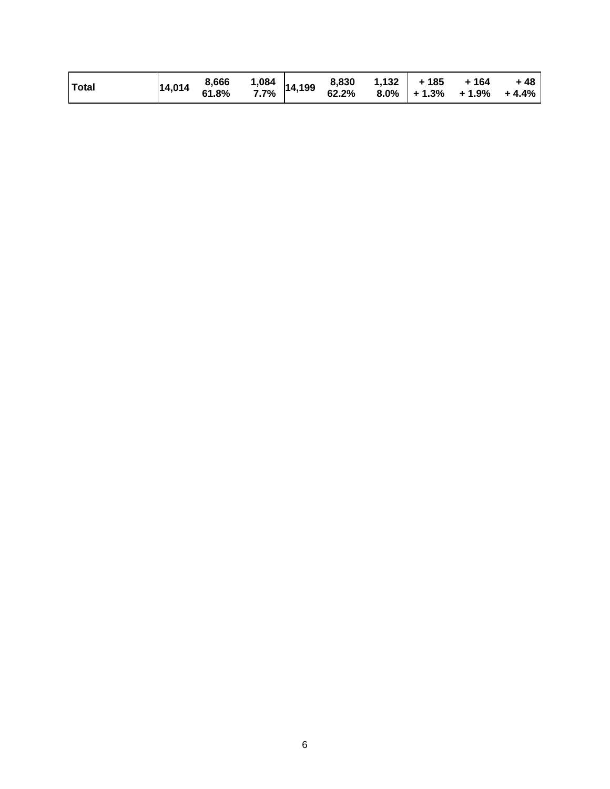| Total | 14,014 |  |  |  |  |  |  | $\begin{array}{ccccccccc}\n 8,666 & & 1,084 & 14,199 & & 8,830 & & 1,132 & +185 & +164 \\ 61.8\% & & 7.7\% & & 14,199 & & 62.2\% & & 8.0\% & +1.3\% & +1.9\% & +1.1\end{array}$<br>$62.2\%$ $8.0\%$ + 1.3% + 1.9% + 4.4% | + 48 |
|-------|--------|--|--|--|--|--|--|--------------------------------------------------------------------------------------------------------------------------------------------------------------------------------------------------------------------------|------|
|-------|--------|--|--|--|--|--|--|--------------------------------------------------------------------------------------------------------------------------------------------------------------------------------------------------------------------------|------|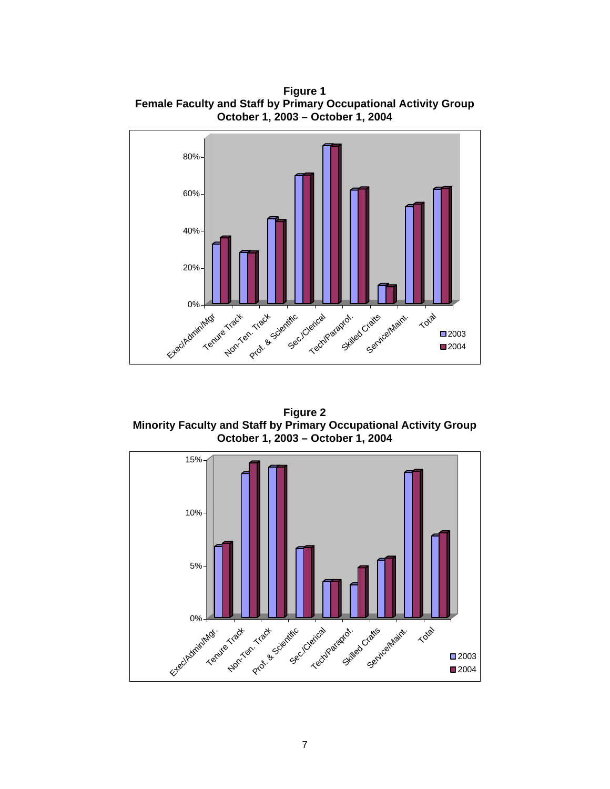

**Figure 1 Female Faculty and Staff by Primary Occupational Activity Group October 1, 2003 – October 1, 2004**

**Figure 2 Minority Faculty and Staff by Primary Occupational Activity Group October 1, 2003 – October 1, 2004**

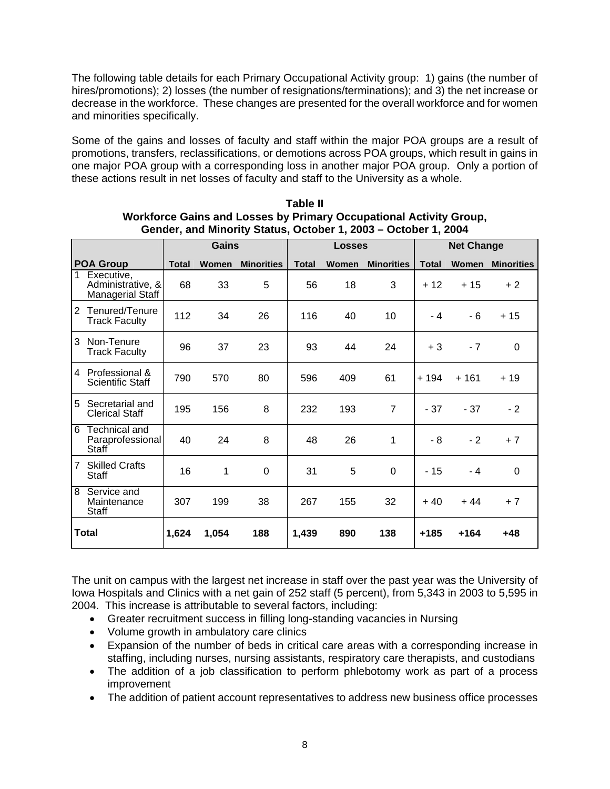The following table details for each Primary Occupational Activity group: 1) gains (the number of hires/promotions); 2) losses (the number of resignations/terminations); and 3) the net increase or decrease in the workforce. These changes are presented for the overall workforce and for women and minorities specifically.

Some of the gains and losses of faculty and staff within the major POA groups are a result of promotions, transfers, reclassifications, or demotions across POA groups, which result in gains in one major POA group with a corresponding loss in another major POA group. Only a portion of these actions result in net losses of faculty and staff to the University as a whole.

|                |                                                              | Gains        |       |                   | <b>Losses</b> |       |                   | <b>Net Change</b> |              |                   |
|----------------|--------------------------------------------------------------|--------------|-------|-------------------|---------------|-------|-------------------|-------------------|--------------|-------------------|
|                | <b>POA Group</b>                                             | <b>Total</b> | Women | <b>Minorities</b> | <b>Total</b>  | Women | <b>Minorities</b> | <b>Total</b>      | <b>Women</b> | <b>Minorities</b> |
|                | 1 Executive,<br>Administrative, &<br><b>Managerial Staff</b> | 68           | 33    | 5                 | 56            | 18    | 3                 | + 12              | $+15$        | $+2$              |
| $\overline{2}$ | Tenured/Tenure<br><b>Track Faculty</b>                       | 112          | 34    | 26                | 116           | 40    | 10                | - 4               | - 6          | $+15$             |
| 3              | Non-Tenure<br><b>Track Faculty</b>                           | 96           | 37    | 23                | 93            | 44    | 24                | $+3$              | $-7$         | $\Omega$          |
|                | 4 Professional &<br><b>Scientific Staff</b>                  | 790          | 570   | 80                | 596           | 409   | 61                | $+194$            | $+161$       | $+19$             |
| 5              | Secretarial and<br><b>Clerical Staff</b>                     | 195          | 156   | 8                 | 232           | 193   | $\overline{7}$    | $-37$             | $-37$        | $-2$              |
| 6              | Technical and<br>Paraprofessional<br>Staff                   | 40           | 24    | 8                 | 48            | 26    | 1                 | - 8               | $-2$         | $+7$              |
| 7              | <b>Skilled Crafts</b><br>Staff                               | 16           | 1     | $\mathbf 0$       | 31            | 5     | $\mathbf 0$       | $-15$             | $-4$         | 0                 |
| 8              | Service and<br>Maintenance<br>Staff                          | 307          | 199   | 38                | 267           | 155   | 32                | $+40$             | $+44$        | $+7$              |
|                | <b>Total</b>                                                 | 1,624        | 1,054 | 188               | 1,439         | 890   | 138               | $+185$            | $+164$       | $+48$             |

**Table II Workforce Gains and Losses by Primary Occupational Activity Group, Gender, and Minority Status, October 1, 2003 – October 1, 2004**

The unit on campus with the largest net increase in staff over the past year was the University of Iowa Hospitals and Clinics with a net gain of 252 staff (5 percent), from 5,343 in 2003 to 5,595 in 2004. This increase is attributable to several factors, including:

- Greater recruitment success in filling long-standing vacancies in Nursing
- Volume growth in ambulatory care clinics
- Expansion of the number of beds in critical care areas with a corresponding increase in staffing, including nurses, nursing assistants, respiratory care therapists, and custodians
- The addition of a job classification to perform phlebotomy work as part of a process improvement
- The addition of patient account representatives to address new business office processes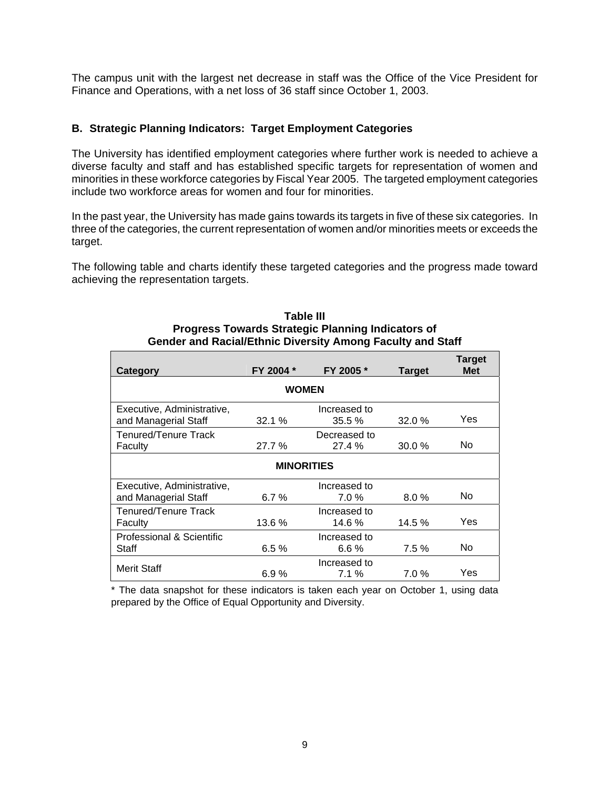The campus unit with the largest net decrease in staff was the Office of the Vice President for Finance and Operations, with a net loss of 36 staff since October 1, 2003.

#### **B. Strategic Planning Indicators: Target Employment Categories**

The University has identified employment categories where further work is needed to achieve a diverse faculty and staff and has established specific targets for representation of women and minorities in these workforce categories by Fiscal Year 2005. The targeted employment categories include two workforce areas for women and four for minorities.

In the past year, the University has made gains towards its targets in five of these six categories. In three of the categories, the current representation of women and/or minorities meets or exceeds the target.

The following table and charts identify these targeted categories and the progress made toward achieving the representation targets.

| Category                   | FY 2004 * | FY 2005 *    | <b>Target</b> | <b>Target</b><br><b>Met</b> |  |  |  |  |  |
|----------------------------|-----------|--------------|---------------|-----------------------------|--|--|--|--|--|
| <b>WOMEN</b>               |           |              |               |                             |  |  |  |  |  |
| Executive, Administrative, |           | Increased to |               |                             |  |  |  |  |  |
| and Managerial Staff       | 32.1 %    | 35.5%        | 32.0%         | Yes                         |  |  |  |  |  |
| Tenured/Tenure Track       |           | Decreased to |               |                             |  |  |  |  |  |
| Faculty                    | 27.7 %    | 27.4 %       | 30.0%         | No.                         |  |  |  |  |  |
| <b>MINORITIES</b>          |           |              |               |                             |  |  |  |  |  |
| Executive, Administrative, |           | Increased to |               |                             |  |  |  |  |  |
| and Managerial Staff       | 6.7%      | 7.0%         | 8.0%          | No.                         |  |  |  |  |  |
| Tenured/Tenure Track       |           | Increased to |               |                             |  |  |  |  |  |
| Faculty                    | 13.6 %    | 14.6 %       | 14.5%         | <b>Yes</b>                  |  |  |  |  |  |
| Professional & Scientific  |           | Increased to |               |                             |  |  |  |  |  |
| Staff                      | 6.5%      | 6.6%         | 7.5%          | No.                         |  |  |  |  |  |
|                            |           | Increased to |               |                             |  |  |  |  |  |
| <b>Merit Staff</b>         | 6.9%      | 7.1%         | 7.0%          | Yes                         |  |  |  |  |  |

#### **Table III Progress Towards Strategic Planning Indicators of Gender and Racial/Ethnic Diversity Among Faculty and Staff**

\* The data snapshot for these indicators is taken each year on October 1, using data prepared by the Office of Equal Opportunity and Diversity.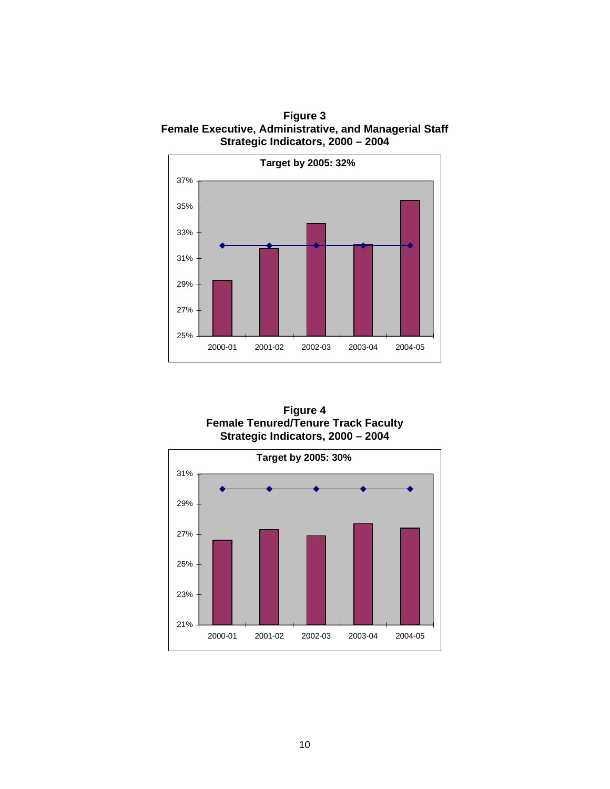**Figure 3 Female Executive, Administrative, and Managerial Staff Strategic Indicators, 2000 – 2004** 



**Figure 4 Female Tenured/Tenure Track Faculty Strategic Indicators, 2000 – 2004** 

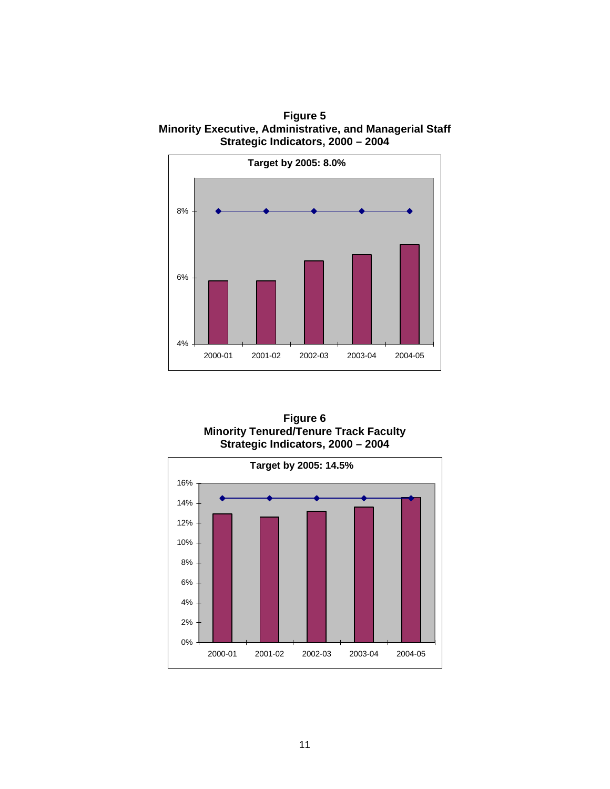**Figure 5 Minority Executive, Administrative, and Managerial Staff Strategic Indicators, 2000 – 2004** 



**Figure 6 Minority Tenured/Tenure Track Faculty Strategic Indicators, 2000 – 2004** 

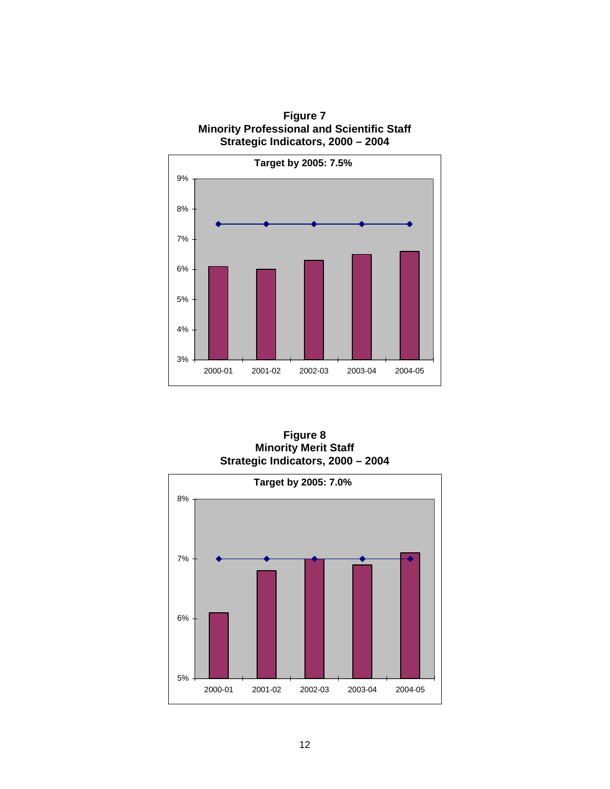**Figure 7 Minority Professional and Scientific Staff Strategic Indicators, 2000 – 2004** 



**Figure 8 Minority Merit Staff Strategic Indicators, 2000 – 2004** 

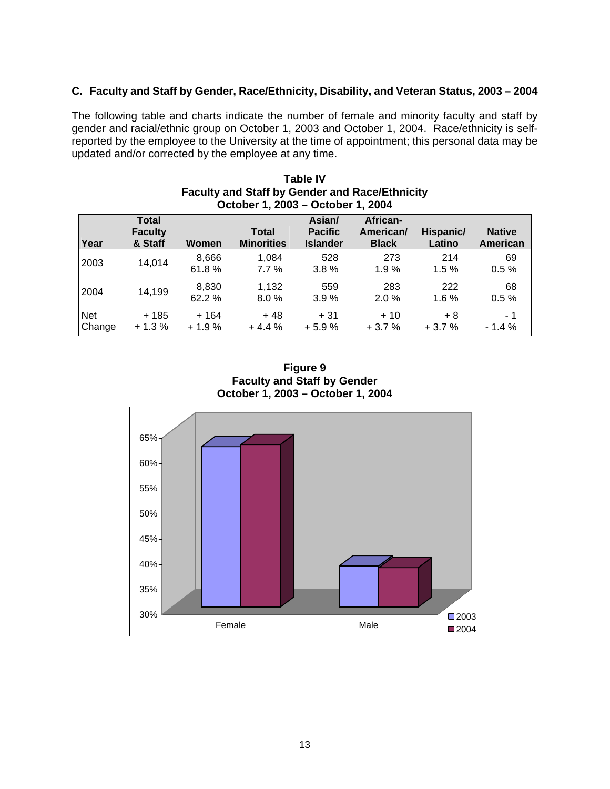## **C. Faculty and Staff by Gender, Race/Ethnicity, Disability, and Veteran Status, 2003 – 2004**

The following table and charts indicate the number of female and minority faculty and staff by gender and racial/ethnic group on October 1, 2003 and October 1, 2004. Race/ethnicity is selfreported by the employee to the University at the time of appointment; this personal data may be updated and/or corrected by the employee at any time.

| October 1, 2003 - October 1, 2004 |                                           |                   |                                   |                                             |                                       |                     |                           |  |  |  |
|-----------------------------------|-------------------------------------------|-------------------|-----------------------------------|---------------------------------------------|---------------------------------------|---------------------|---------------------------|--|--|--|
| Year                              | <b>Total</b><br><b>Faculty</b><br>& Staff | Women             | <b>Total</b><br><b>Minorities</b> | Asian/<br><b>Pacific</b><br><b>Islander</b> | African-<br>American/<br><b>Black</b> | Hispanic/<br>Latino | <b>Native</b><br>American |  |  |  |
| 2003                              | 14,014                                    | 8,666<br>61.8%    | 1.084<br>$7.7\%$                  | 528<br>3.8%                                 | 273<br>1.9%                           | 214<br>1.5%         | 69<br>0.5%                |  |  |  |
| 2004                              | 14,199                                    | 8,830<br>62.2 %   | 1,132<br>8.0%                     | 559<br>3.9%                                 | 283<br>2.0%                           | 222<br>$1.6\%$      | 68<br>0.5%                |  |  |  |
| Net<br>Change                     | + 185<br>$+1.3%$                          | $+164$<br>$+1.9%$ | $+48$<br>$+4.4%$                  | $+31$<br>$+5.9%$                            | $+10$<br>$+3.7%$                      | $+8$<br>$+3.7%$     | - 1<br>$-1.4%$            |  |  |  |

**Table IV Faculty and Staff by Gender and Race/Ethnicity**

**Figure 9 Faculty and Staff by Gender October 1, 2003 – October 1, 2004**

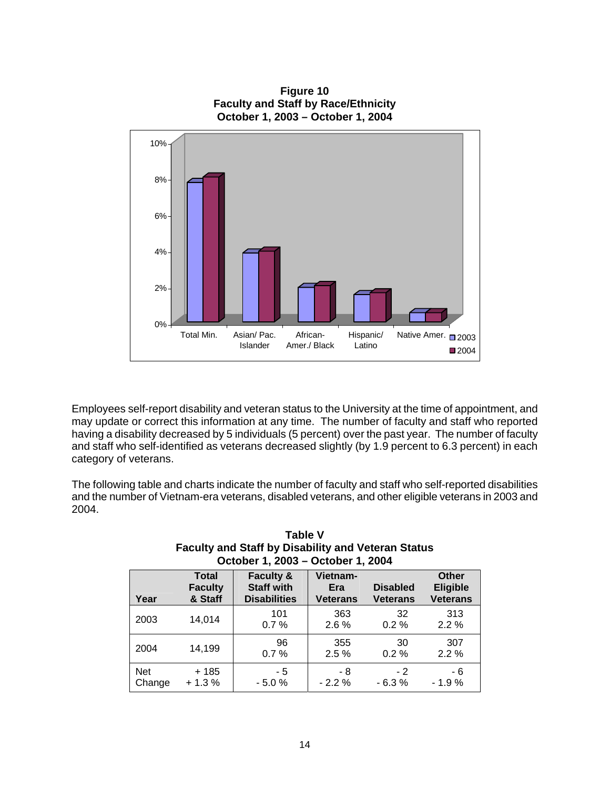

Employees self-report disability and veteran status to the University at the time of appointment, and may update or correct this information at any time. The number of faculty and staff who reported having a disability decreased by 5 individuals (5 percent) over the past year. The number of faculty and staff who self-identified as veterans decreased slightly (by 1.9 percent to 6.3 percent) in each category of veterans.

The following table and charts indicate the number of faculty and staff who self-reported disabilities and the number of Vietnam-era veterans, disabled veterans, and other eligible veterans in 2003 and 2004.

|                      | OCTODER 1, 2003 – OCTODER 1, 2004         |                                                                  |                                    |                             |                                             |  |  |  |  |  |  |
|----------------------|-------------------------------------------|------------------------------------------------------------------|------------------------------------|-----------------------------|---------------------------------------------|--|--|--|--|--|--|
| Year                 | <b>Total</b><br><b>Faculty</b><br>& Staff | <b>Faculty &amp;</b><br><b>Staff with</b><br><b>Disabilities</b> | Vietnam-<br>Era<br><b>Veterans</b> | <b>Disabled</b><br>Veterans | Other<br><b>Eligible</b><br><b>Veterans</b> |  |  |  |  |  |  |
| 2003                 | 14,014                                    | 101<br>0.7%                                                      | 363<br>2.6%                        | 32<br>0.2%                  | 313<br>2.2%                                 |  |  |  |  |  |  |
| 2004                 | 14,199                                    | 96<br>0.7%                                                       | 355<br>2.5%                        | 30<br>0.2%                  | 307<br>2.2%                                 |  |  |  |  |  |  |
| <b>Net</b><br>Change | + 185<br>$+1.3%$                          | - 5<br>$-5.0%$                                                   | - 8<br>$-2.2%$                     | $-2$<br>$-6.3%$             | - 6<br>$-1.9%$                              |  |  |  |  |  |  |

**Table V Faculty and Staff by Disability and Veteran Status October 1, 2003 – October 1, 2004**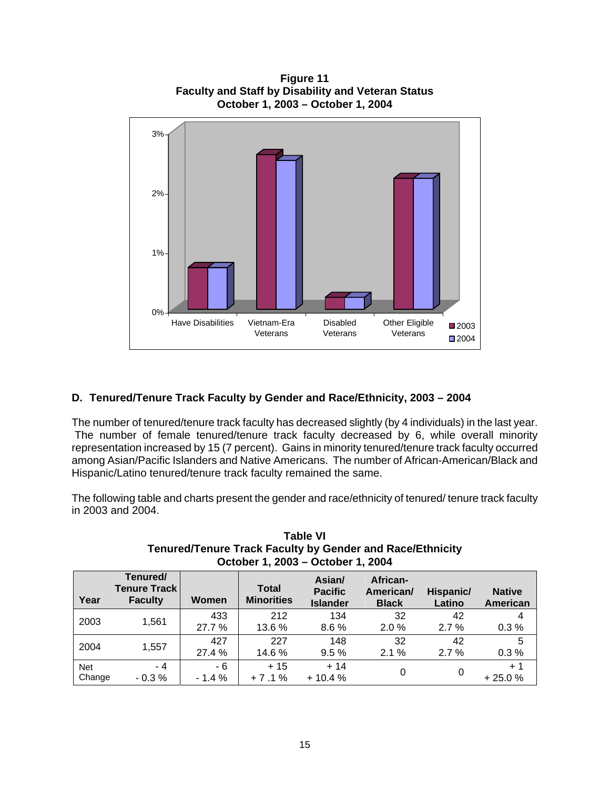

# **Figure 11 Faculty and Staff by Disability and Veteran Status**

# **D. Tenured/Tenure Track Faculty by Gender and Race/Ethnicity, 2003 – 2004**

The number of tenured/tenure track faculty has decreased slightly (by 4 individuals) in the last year. The number of female tenured/tenure track faculty decreased by 6, while overall minority representation increased by 15 (7 percent). Gains in minority tenured/tenure track faculty occurred among Asian/Pacific Islanders and Native Americans. The number of African-American/Black and Hispanic/Latino tenured/tenure track faculty remained the same.

The following table and charts present the gender and race/ethnicity of tenured/ tenure track faculty in 2003 and 2004.

| Year                 | Tenured/<br><b>Tenure Track</b><br><b>Faculty</b> | Women          | <b>Total</b><br><b>Minorities</b> | Asian/<br><b>Pacific</b><br><b>Islander</b> | African-<br>American/<br><b>Black</b> | Hispanic/<br>Latino | <b>Native</b><br>American |
|----------------------|---------------------------------------------------|----------------|-----------------------------------|---------------------------------------------|---------------------------------------|---------------------|---------------------------|
| 2003                 | 1,561                                             | 433<br>27.7 %  | 212<br>13.6 %                     | 134<br>8.6%                                 | 32<br>2.0%                            | 42<br>2.7%          | 4<br>0.3%                 |
| 2004                 | 1,557                                             | 427<br>27.4 %  | 227<br>14.6 %                     | 148<br>9.5%                                 | 32<br>2.1%                            | 42<br>2.7%          | 5<br>0.3%                 |
| <b>Net</b><br>Change | $-4$<br>$-0.3%$                                   | - 6<br>$-1.4%$ | $+15$<br>$+7.1%$                  | $+14$<br>$+10.4%$                           | 0                                     | 0                   | $+1$<br>$+25.0%$          |

#### **Table VI Tenured/Tenure Track Faculty by Gender and Race/Ethnicity October 1, 2003 – October 1, 2004**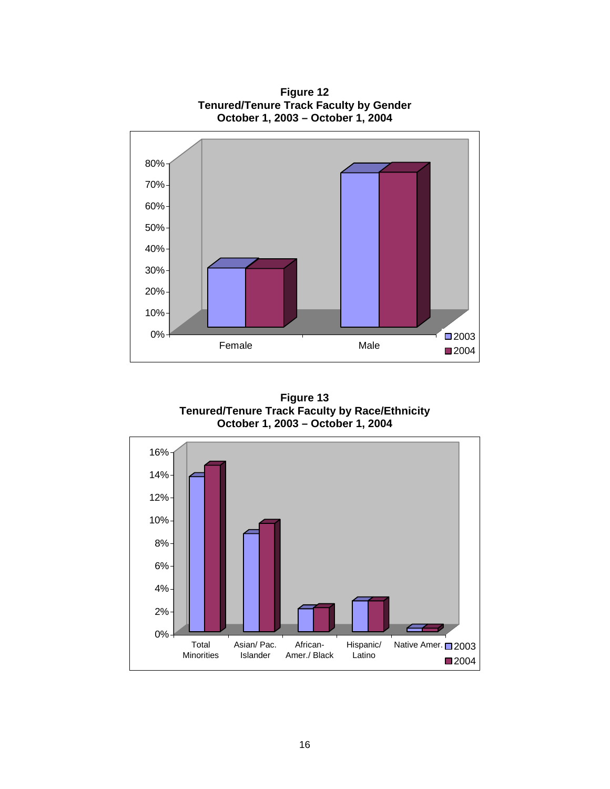

**Figure 12 Tenured/Tenure Track Faculty by Gender** 

**Figure 13 Tenured/Tenure Track Faculty by Race/Ethnicity October 1, 2003 – October 1, 2004** 

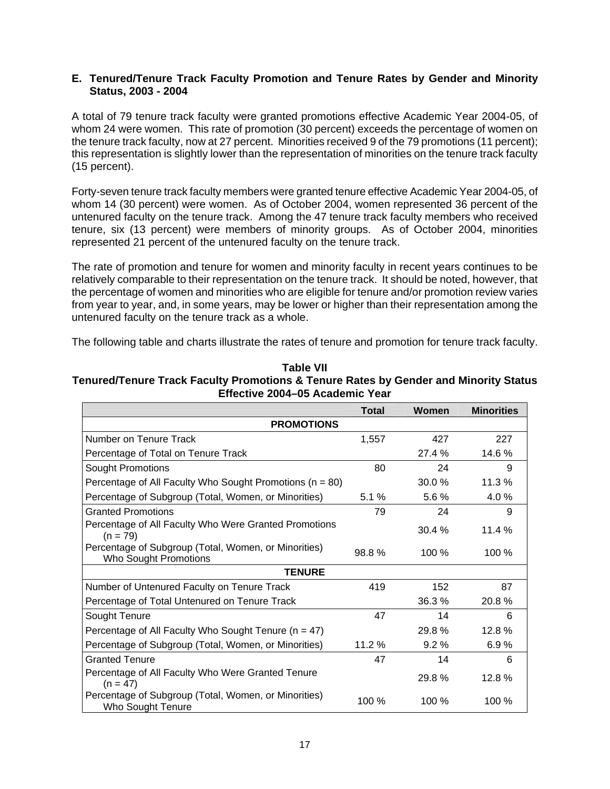#### **E. Tenured/Tenure Track Faculty Promotion and Tenure Rates by Gender and Minority Status, 2003 - 2004**

A total of 79 tenure track faculty were granted promotions effective Academic Year 2004-05, of whom 24 were women. This rate of promotion (30 percent) exceeds the percentage of women on the tenure track faculty, now at 27 percent. Minorities received 9 of the 79 promotions (11 percent); this representation is slightly lower than the representation of minorities on the tenure track faculty (15 percent).

Forty-seven tenure track faculty members were granted tenure effective Academic Year 2004-05, of whom 14 (30 percent) were women. As of October 2004, women represented 36 percent of the untenured faculty on the tenure track. Among the 47 tenure track faculty members who received tenure, six (13 percent) were members of minority groups. As of October 2004, minorities represented 21 percent of the untenured faculty on the tenure track.

The rate of promotion and tenure for women and minority faculty in recent years continues to be relatively comparable to their representation on the tenure track. It should be noted, however, that the percentage of women and minorities who are eligible for tenure and/or promotion review varies from year to year, and, in some years, may be lower or higher than their representation among the untenured faculty on the tenure track as a whole.

The following table and charts illustrate the rates of tenure and promotion for tenure track faculty.

| Table VII                                                                            |  |  |  |  |  |  |  |
|--------------------------------------------------------------------------------------|--|--|--|--|--|--|--|
| Tenured/Tenure Track Faculty Promotions & Tenure Rates by Gender and Minority Status |  |  |  |  |  |  |  |
| <b>Effective 2004-05 Academic Year</b>                                               |  |  |  |  |  |  |  |

|                                                                               | <b>Total</b> | Women   | <b>Minorities</b> |
|-------------------------------------------------------------------------------|--------------|---------|-------------------|
| <b>PROMOTIONS</b>                                                             |              |         |                   |
| Number on Tenure Track                                                        | 1,557        | 427     | 227               |
| Percentage of Total on Tenure Track                                           |              | 27.4 %  | 14.6 %            |
| <b>Sought Promotions</b>                                                      | 80           | 24      | 9                 |
| Percentage of All Faculty Who Sought Promotions ( $n = 80$ )                  |              | 30.0%   | 11.3 %            |
| Percentage of Subgroup (Total, Women, or Minorities)                          | 5.1%         | 5.6 %   | 4.0 %             |
| <b>Granted Promotions</b>                                                     | 79           | 24      | 9                 |
| Percentage of All Faculty Who Were Granted Promotions<br>$(n = 79)$           |              | 30.4%   | 11.4%             |
| Percentage of Subgroup (Total, Women, or Minorities)<br>Who Sought Promotions | 98.8%        | $100\%$ | 100 %             |
| <b>TENURE</b>                                                                 |              |         |                   |
| Number of Untenured Faculty on Tenure Track                                   | 419          | 152     | 87                |
| Percentage of Total Untenured on Tenure Track                                 |              | 36.3 %  | 20.8%             |
| Sought Tenure                                                                 | 47           | 14      | 6                 |
| Percentage of All Faculty Who Sought Tenure ( $n = 47$ )                      |              | 29.8%   | 12.8%             |
| Percentage of Subgroup (Total, Women, or Minorities)                          | 11.2%        | 9.2%    | 6.9%              |
| <b>Granted Tenure</b>                                                         | 47           | 14      | 6                 |
| Percentage of All Faculty Who Were Granted Tenure<br>$(n = 47)$               |              | 29.8%   | 12.8%             |
| Percentage of Subgroup (Total, Women, or Minorities)<br>Who Sought Tenure     | 100%         | 100%    | 100 %             |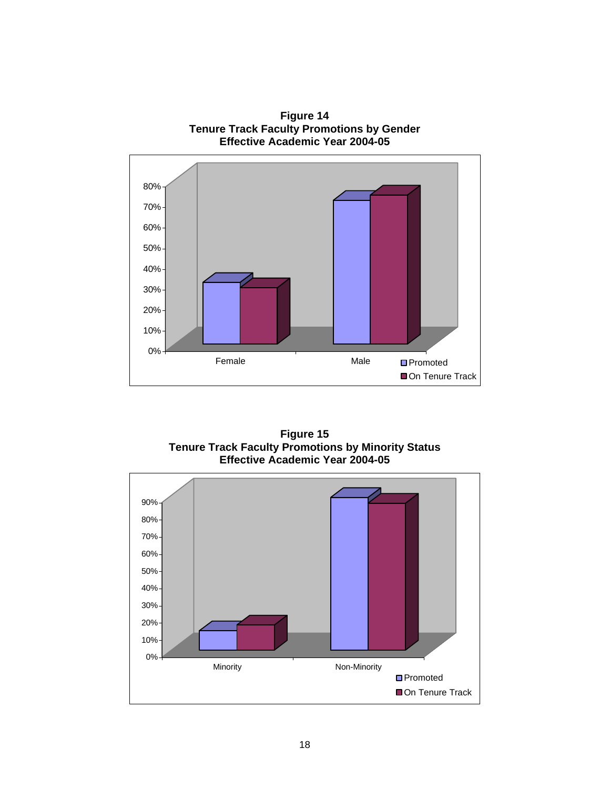

**Figure 15 Tenure Track Faculty Promotions by Minority Status Effective Academic Year 2004-05** 

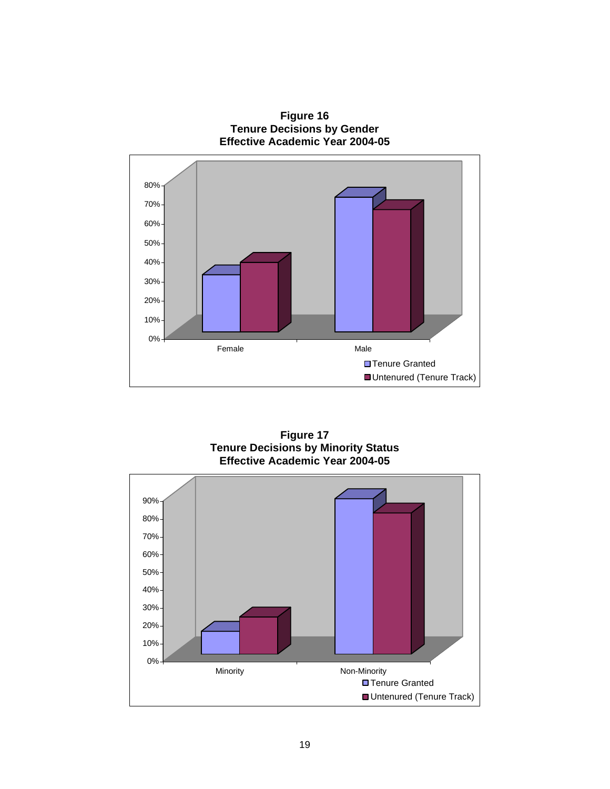**Figure 16 Tenure Decisions by Gender Effective Academic Year 2004-05** 



**Figure 17 Tenure Decisions by Minority Status Effective Academic Year 2004-05** 

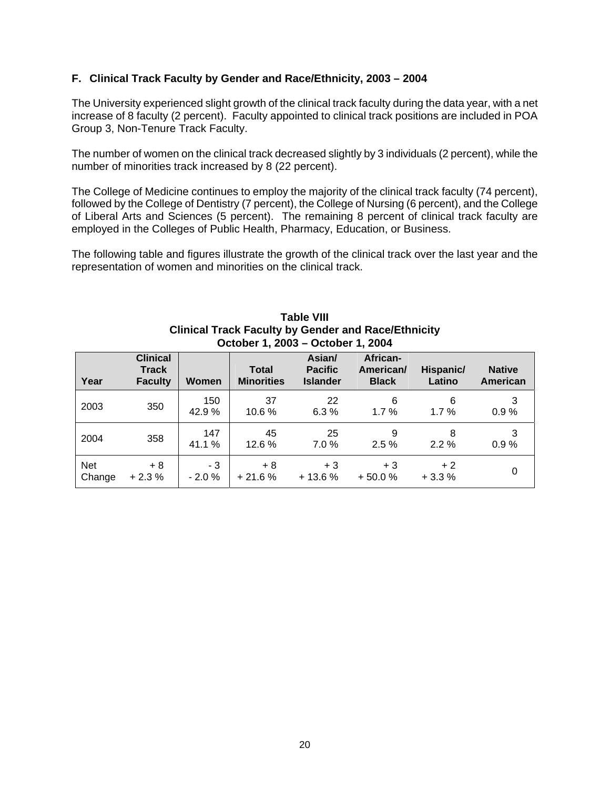#### **F. Clinical Track Faculty by Gender and Race/Ethnicity, 2003 – 2004**

The University experienced slight growth of the clinical track faculty during the data year, with a net increase of 8 faculty (2 percent). Faculty appointed to clinical track positions are included in POA Group 3, Non-Tenure Track Faculty.

The number of women on the clinical track decreased slightly by 3 individuals (2 percent), while the number of minorities track increased by 8 (22 percent).

The College of Medicine continues to employ the majority of the clinical track faculty (74 percent), followed by the College of Dentistry (7 percent), the College of Nursing (6 percent), and the College of Liberal Arts and Sciences (5 percent). The remaining 8 percent of clinical track faculty are employed in the Colleges of Public Health, Pharmacy, Education, or Business.

The following table and figures illustrate the growth of the clinical track over the last year and the representation of women and minorities on the clinical track.

| Year                 | <b>Clinical</b><br><b>Track</b><br><b>Faculty</b> | Women          | <b>Total</b><br><b>Minorities</b> | Asian/<br><b>Pacific</b><br><b>Islander</b> | African-<br>American/<br><b>Black</b> | Hispanic/<br>Latino | <b>Native</b><br>American |
|----------------------|---------------------------------------------------|----------------|-----------------------------------|---------------------------------------------|---------------------------------------|---------------------|---------------------------|
| 2003                 | 350                                               | 150<br>42.9%   | 37<br>10.6%                       | 22<br>6.3%                                  | 6<br>1.7%                             | 6<br>1.7%           | 3<br>0.9%                 |
| 2004                 | 358                                               | 147<br>41.1 %  | 45<br>12.6 %                      | 25<br>7.0%                                  | 9<br>2.5%                             | 2.2%                | 3<br>0.9%                 |
| <b>Net</b><br>Change | $+8$<br>$+2.3%$                                   | - 3<br>$-2.0%$ | $+8$<br>$+21.6%$                  | $+3$<br>$+13.6%$                            | $+3$<br>$+50.0%$                      | $+2$<br>$+3.3%$     | 0                         |

**Table VIII Clinical Track Faculty by Gender and Race/Ethnicity October 1, 2003 – October 1, 2004**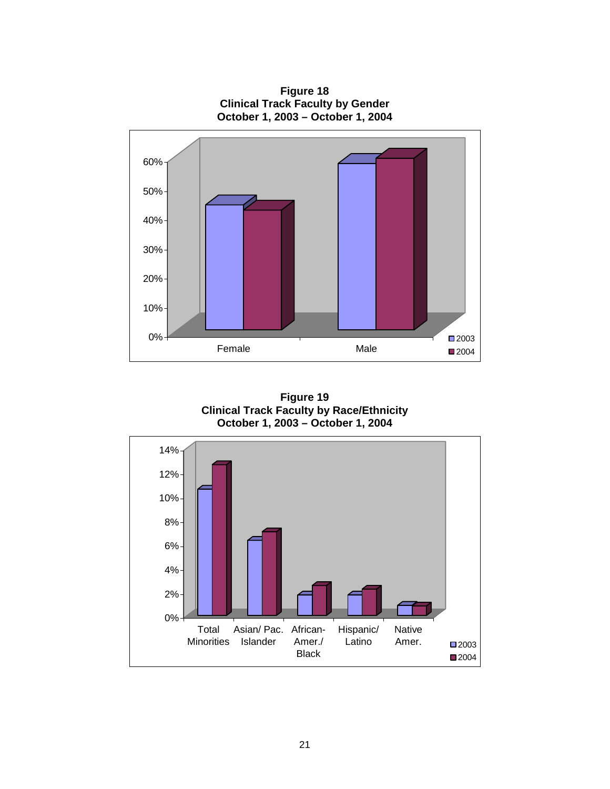

**Figure 19 Clinical Track Faculty by Race/Ethnicity October 1, 2003 – October 1, 2004** 

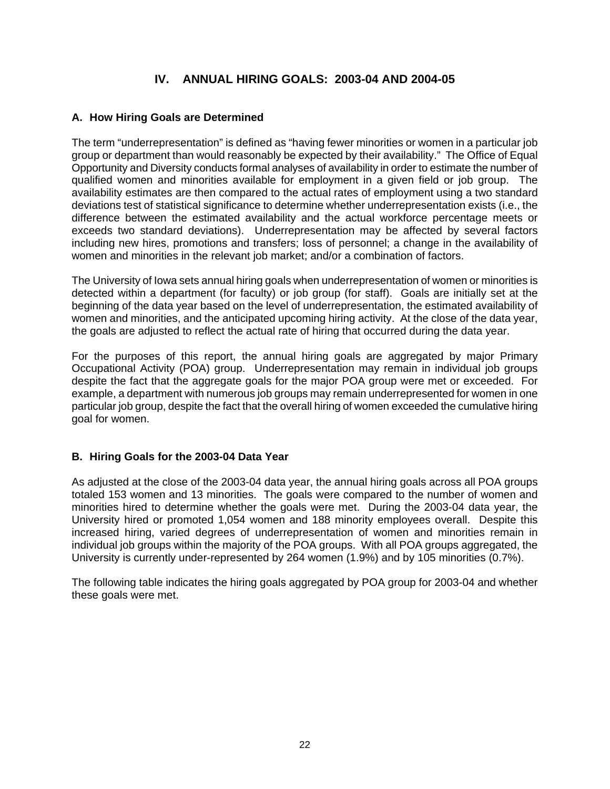# **IV. ANNUAL HIRING GOALS: 2003-04 AND 2004-05**

# **A. How Hiring Goals are Determined**

The term "underrepresentation" is defined as "having fewer minorities or women in a particular job group or department than would reasonably be expected by their availability." The Office of Equal Opportunity and Diversity conducts formal analyses of availability in order to estimate the number of qualified women and minorities available for employment in a given field or job group. The availability estimates are then compared to the actual rates of employment using a two standard deviations test of statistical significance to determine whether underrepresentation exists (i.e., the difference between the estimated availability and the actual workforce percentage meets or exceeds two standard deviations). Underrepresentation may be affected by several factors including new hires, promotions and transfers; loss of personnel; a change in the availability of women and minorities in the relevant job market; and/or a combination of factors.

The University of Iowa sets annual hiring goals when underrepresentation of women or minorities is detected within a department (for faculty) or job group (for staff). Goals are initially set at the beginning of the data year based on the level of underrepresentation, the estimated availability of women and minorities, and the anticipated upcoming hiring activity. At the close of the data year, the goals are adjusted to reflect the actual rate of hiring that occurred during the data year.

For the purposes of this report, the annual hiring goals are aggregated by major Primary Occupational Activity (POA) group. Underrepresentation may remain in individual job groups despite the fact that the aggregate goals for the major POA group were met or exceeded. For example, a department with numerous job groups may remain underrepresented for women in one particular job group, despite the fact that the overall hiring of women exceeded the cumulative hiring goal for women.

## **B. Hiring Goals for the 2003-04 Data Year**

As adjusted at the close of the 2003-04 data year, the annual hiring goals across all POA groups totaled 153 women and 13 minorities. The goals were compared to the number of women and minorities hired to determine whether the goals were met. During the 2003-04 data year, the University hired or promoted 1,054 women and 188 minority employees overall. Despite this increased hiring, varied degrees of underrepresentation of women and minorities remain in individual job groups within the majority of the POA groups. With all POA groups aggregated, the University is currently under-represented by 264 women (1.9%) and by 105 minorities (0.7%).

The following table indicates the hiring goals aggregated by POA group for 2003-04 and whether these goals were met.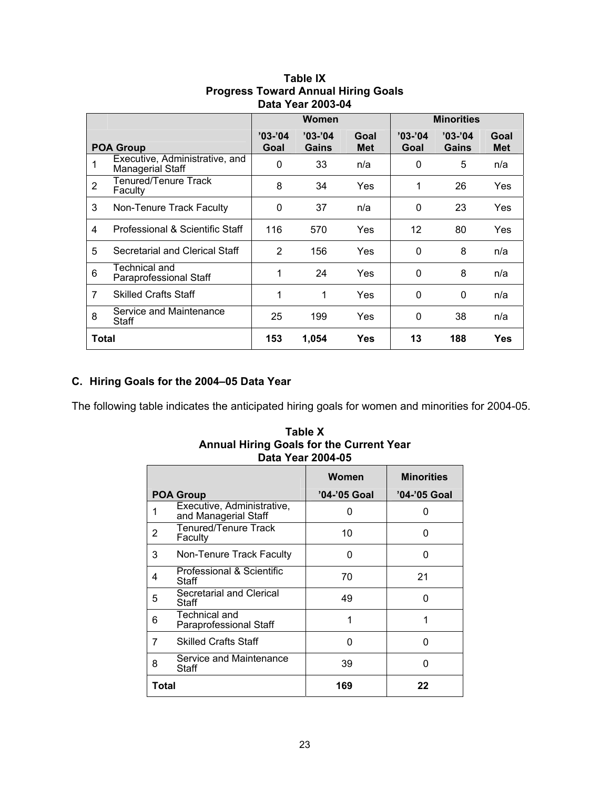|                |                                                    |                   | Women              |                    | <b>Minorities</b> |                    |                    |
|----------------|----------------------------------------------------|-------------------|--------------------|--------------------|-------------------|--------------------|--------------------|
|                | <b>POA Group</b>                                   | $'03-'04$<br>Goal | $'03-'04$<br>Gains | Goal<br><b>Met</b> | $'03-'04$<br>Goal | $'03-'04$<br>Gains | Goal<br><b>Met</b> |
| 1              | Executive, Administrative, and<br>Managerial Staff | 0                 | 33                 | n/a                | $\Omega$          | 5                  | n/a                |
| $\overline{2}$ | Tenured/Tenure Track<br>Faculty                    | 8                 | 34                 | Yes                |                   | 26                 | <b>Yes</b>         |
| 3              | Non-Tenure Track Faculty                           | 0                 | 37                 | n/a                | 0                 | 23                 | Yes                |
| 4              | Professional & Scientific Staff                    | 116               | 570                | Yes                | 12                | 80                 | Yes                |
| 5              | Secretarial and Clerical Staff                     | 2                 | 156                | Yes                | $\Omega$          | 8                  | n/a                |
| 6              | Technical and<br>Paraprofessional Staff            | 1                 | 24                 | Yes                | $\Omega$          | 8                  | n/a                |
| 7              | <b>Skilled Crafts Staff</b>                        | 1                 | 1                  | Yes                | 0                 | 0                  | n/a                |
| 8              | Service and Maintenance<br>Staff                   | 25                | 199                | Yes                | 0                 | 38                 | n/a                |
| Total          |                                                    | 153               | 1,054              | Yes                | 13                | 188                | Yes                |

## **Table IX Progress Toward Annual Hiring Goals Data Year 2003-04**

# **C. Hiring Goals for the 2004–05 Data Year**

The following table indicates the anticipated hiring goals for women and minorities for 2004-05.

| Data Year 2004-05 |                                                    |              |                   |  |  |  |  |  |  |
|-------------------|----------------------------------------------------|--------------|-------------------|--|--|--|--|--|--|
|                   |                                                    | Women        | <b>Minorities</b> |  |  |  |  |  |  |
|                   | <b>POA Group</b>                                   | '04-'05 Goal | '04-'05 Goal      |  |  |  |  |  |  |
| 1                 | Executive, Administrative,<br>and Managerial Staff | O            | O                 |  |  |  |  |  |  |
| 2                 | <b>Tenured/Tenure Track</b><br>Faculty             | 10           | O                 |  |  |  |  |  |  |
| 3                 | Non-Tenure Track Faculty                           | n            | O                 |  |  |  |  |  |  |
| 4                 | Professional & Scientific<br>Staff                 | 70           | 21                |  |  |  |  |  |  |
| 5                 | Secretarial and Clerical<br>Staff                  | 49           | 0                 |  |  |  |  |  |  |
| 6                 | <b>Technical and</b><br>Paraprofessional Staff     |              | 1                 |  |  |  |  |  |  |
| 7                 | <b>Skilled Crafts Staff</b>                        | O            | O                 |  |  |  |  |  |  |
| 8                 | Service and Maintenance<br>Staff                   | 39           | 0                 |  |  |  |  |  |  |
| Total             |                                                    | 169          | 22                |  |  |  |  |  |  |

**Table X Annual Hiring Goals for the Current Year**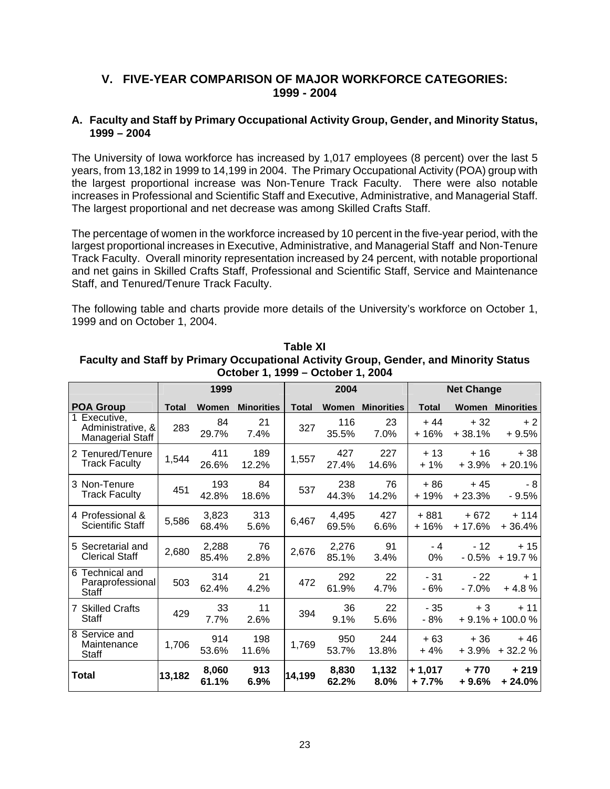# **V. FIVE-YEAR COMPARISON OF MAJOR WORKFORCE CATEGORIES: 1999 - 2004**

#### **A. Faculty and Staff by Primary Occupational Activity Group, Gender, and Minority Status, 1999 – 2004**

The University of Iowa workforce has increased by 1,017 employees (8 percent) over the last 5 years, from 13,182 in 1999 to 14,199 in 2004. The Primary Occupational Activity (POA) group with the largest proportional increase was Non-Tenure Track Faculty. There were also notable increases in Professional and Scientific Staff and Executive, Administrative, and Managerial Staff. The largest proportional and net decrease was among Skilled Crafts Staff.

The percentage of women in the workforce increased by 10 percent in the five-year period, with the largest proportional increases in Executive, Administrative, and Managerial Staff and Non-Tenure Track Faculty. Overall minority representation increased by 24 percent, with notable proportional and net gains in Skilled Crafts Staff, Professional and Scientific Staff, Service and Maintenance Staff, and Tenured/Tenure Track Faculty.

The following table and charts provide more details of the University's workforce on October 1, 1999 and on October 1, 2004.

|                                                              |              | 1999           |                   | 2004   |                |                   | <b>Net Change</b>  |                    |                             |
|--------------------------------------------------------------|--------------|----------------|-------------------|--------|----------------|-------------------|--------------------|--------------------|-----------------------------|
| <b>POA Group</b>                                             | <b>Total</b> | Women          | <b>Minorities</b> | Total  | Women          | <b>Minorities</b> | <b>Total</b>       | Women              | <b>Minorities</b>           |
| 1 Executive,<br>Administrative, &<br><b>Managerial Staff</b> | 283          | 84<br>29.7%    | 21<br>7.4%        | 327    | 116<br>35.5%   | 23<br>7.0%        | $+44$<br>$+16%$    | $+32$<br>$+38.1%$  | $+2$<br>$+9.5%$             |
| 2 Tenured/Tenure<br><b>Track Faculty</b>                     | 1,544        | 411<br>26.6%   | 189<br>12.2%      | 1,557  | 427<br>27.4%   | 227<br>14.6%      | $+13$<br>$+1\%$    | $+16$<br>$+3.9%$   | $+38$<br>$+20.1%$           |
| 3 Non-Tenure<br><b>Track Faculty</b>                         | 451          | 193<br>42.8%   | 84<br>18.6%       | 537    | 238<br>44.3%   | 76<br>14.2%       | $+86$<br>$+19%$    | $+45$<br>$+23.3%$  | - 8<br>$-9.5%$              |
| 4 Professional &<br><b>Scientific Staff</b>                  | 5,586        | 3,823<br>68.4% | 313<br>5.6%       | 6,467  | 4,495<br>69.5% | 427<br>6.6%       | + 881<br>+ 16%     | $+672$<br>$+17.6%$ | $+ 114$<br>$+36.4%$         |
| 5 Secretarial and<br><b>Clerical Staff</b>                   | 2,680        | 2,288<br>85.4% | 76<br>2.8%        | 2,676  | 2,276<br>85.1% | 91<br>3.4%        | - 4<br>$0\%$       | $-12$<br>$-0.5%$   | $+15$<br>$+19.7%$           |
| 6 Technical and<br>Paraprofessional<br><b>Staff</b>          | 503          | 314<br>62.4%   | 21<br>4.2%        | 472    | 292<br>61.9%   | 22<br>4.7%        | - 31<br>- 6%       | $-22$<br>$-7.0\%$  | $+1$<br>$+4.8%$             |
| 7 Skilled Crafts<br>Staff                                    | 429          | 33<br>7.7%     | 11<br>2.6%        | 394    | 36<br>9.1%     | 22<br>5.6%        | $-35$<br>- 8%      | $+3$               | $+11$<br>$+9.1\% + 100.0\%$ |
| 8 Service and<br>Maintenance<br>Staff                        | 1,706        | 914<br>53.6%   | 198<br>11.6%      | 1,769  | 950<br>53.7%   | 244<br>13.8%      | $+63$<br>$+4%$     | $+36$<br>$+3.9%$   | $+46$<br>$+32.2%$           |
| <b>Total</b>                                                 | 13,182       | 8,060<br>61.1% | 913<br>6.9%       | 14,199 | 8,830<br>62.2% | 1,132<br>8.0%     | + 1,017<br>$+7.7%$ | + 770<br>$+9.6%$   | + 219<br>$+24.0%$           |

**Table XI Faculty and Staff by Primary Occupational Activity Group, Gender, and Minority Status October 1, 1999 – October 1, 2004**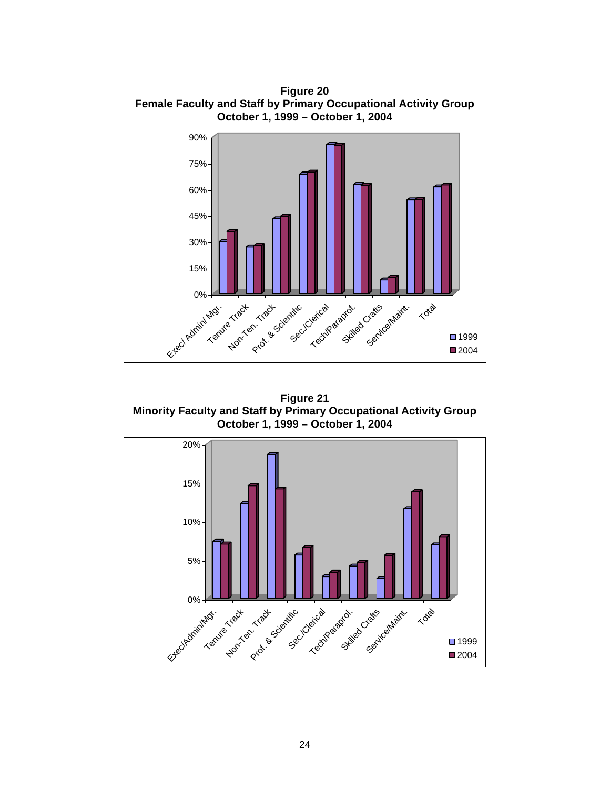

**Figure 20 Female Faculty and Staff by Primary Occupational Activity Group October 1, 1999 – October 1, 2004**

**Figure 21 Minority Faculty and Staff by Primary Occupational Activity Group October 1, 1999 – October 1, 2004**

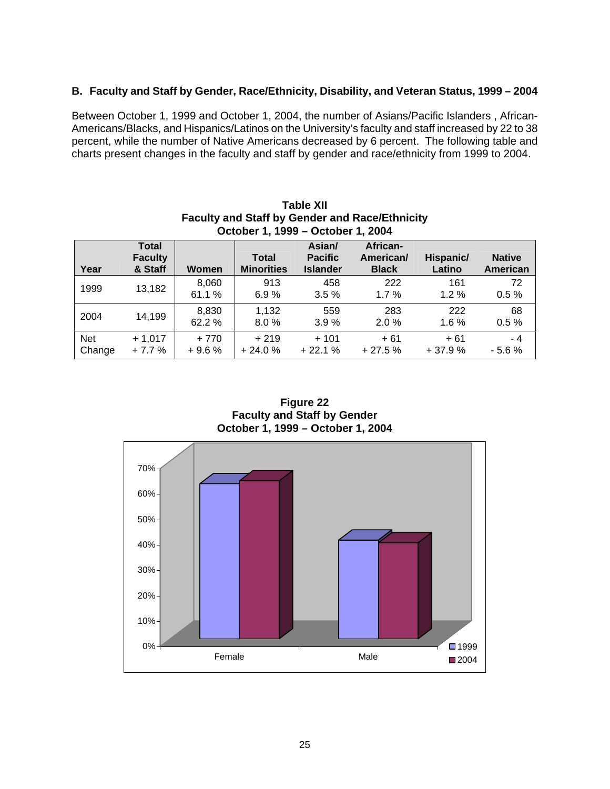# **B. Faculty and Staff by Gender, Race/Ethnicity, Disability, and Veteran Status, 1999 – 2004**

Between October 1, 1999 and October 1, 2004, the number of Asians/Pacific Islanders , African-Americans/Blacks, and Hispanics/Latinos on the University's faculty and staff increased by 22 to 38 percent, while the number of Native Americans decreased by 6 percent. The following table and charts present changes in the faculty and staff by gender and race/ethnicity from 1999 to 2004.

| October 1, 1999 - October 1, 2004 |                                    |                   |                                   |                                             |                                       |                     |                           |  |  |  |
|-----------------------------------|------------------------------------|-------------------|-----------------------------------|---------------------------------------------|---------------------------------------|---------------------|---------------------------|--|--|--|
| Year                              | Total<br><b>Faculty</b><br>& Staff | Women             | <b>Total</b><br><b>Minorities</b> | Asian/<br><b>Pacific</b><br><b>Islander</b> | African-<br>American/<br><b>Black</b> | Hispanic/<br>Latino | <b>Native</b><br>American |  |  |  |
| 1999                              | 13,182                             | 8,060<br>61.1 %   | 913<br>6.9%                       | 458<br>3.5%                                 | 222<br>1.7%                           | 161<br>$1.2 \%$     | 72<br>0.5%                |  |  |  |
| 2004                              | 14,199                             | 8,830<br>62.2 %   | 1,132<br>8.0%                     | 559<br>3.9%                                 | 283<br>$2.0\%$                        | 222<br>$1.6\%$      | 68<br>0.5%                |  |  |  |
| Net<br>Change                     | $+1.017$<br>$+7.7%$                | $+770$<br>$+9.6%$ | $+219$<br>$+24.0%$                | $+101$<br>$+22.1%$                          | $+61$<br>$+27.5%$                     | $+61$<br>$+37.9%$   | $-4$<br>$-5.6%$           |  |  |  |

**Table XII Faculty and Staff by Gender and Race/Ethnicity** 



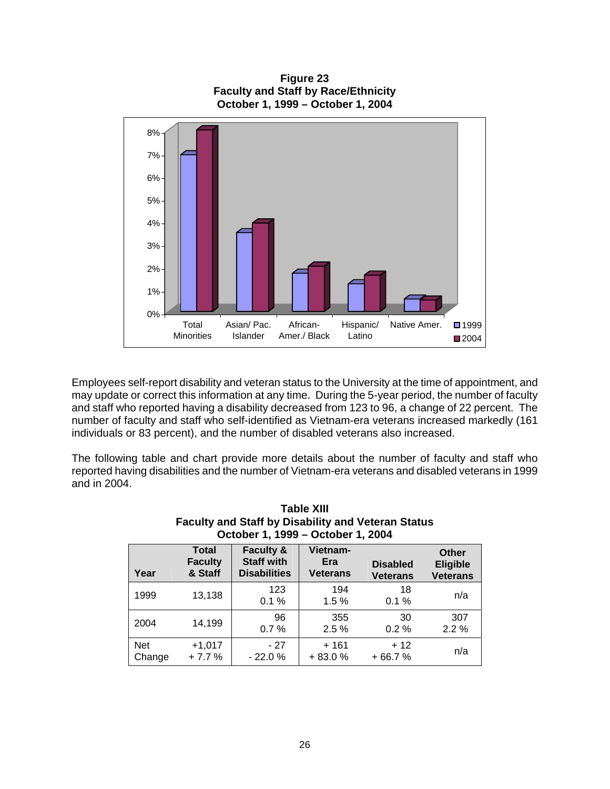**Figure 23 Faculty and Staff by Race/Ethnicity October 1, 1999 – October 1, 2004**



Employees self-report disability and veteran status to the University at the time of appointment, and may update or correct this information at any time. During the 5-year period, the number of faculty and staff who reported having a disability decreased from 123 to 96, a change of 22 percent. The number of faculty and staff who self-identified as Vietnam-era veterans increased markedly (161 individuals or 83 percent), and the number of disabled veterans also increased.

The following table and chart provide more details about the number of faculty and staff who reported having disabilities and the number of Vietnam-era veterans and disabled veterans in 1999 and in 2004.

|                      | October 1, 1999 - October 1, 2004         |                                                                  |                                    |                                    |                                                    |  |  |  |  |  |
|----------------------|-------------------------------------------|------------------------------------------------------------------|------------------------------------|------------------------------------|----------------------------------------------------|--|--|--|--|--|
| Year                 | <b>Total</b><br><b>Faculty</b><br>& Staff | <b>Faculty &amp;</b><br><b>Staff with</b><br><b>Disabilities</b> | Vietnam-<br>Era<br><b>Veterans</b> | <b>Disabled</b><br><b>Veterans</b> | <b>Other</b><br><b>Eligible</b><br><b>Veterans</b> |  |  |  |  |  |
| 1999                 | 13,138                                    | 123<br>0.1%                                                      | 194<br>1.5%                        | 18<br>0.1%                         | n/a                                                |  |  |  |  |  |
| 2004                 | 14,199                                    | 96<br>0.7%                                                       | 355<br>2.5%                        | 30<br>0.2%                         | 307<br>2.2%                                        |  |  |  |  |  |
| <b>Net</b><br>Change | $+1,017$<br>$+7.7%$                       | $-27$<br>$-22.0%$                                                | + 161<br>$+83.0%$                  | $+12$<br>$+66.7%$                  | n/a                                                |  |  |  |  |  |

| <b>Table XIII</b>                                                                              |
|------------------------------------------------------------------------------------------------|
| <b>Faculty and Staff by Disability and Veteran Status</b><br>October 1, 1999 – October 1, 2004 |
|                                                                                                |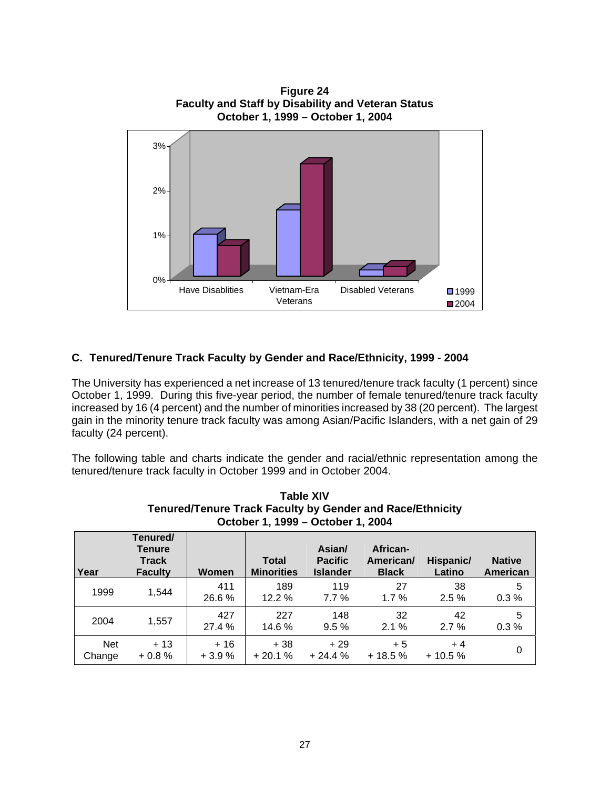

**Figure 24** 

# **C. Tenured/Tenure Track Faculty by Gender and Race/Ethnicity, 1999 - 2004**

The University has experienced a net increase of 13 tenured/tenure track faculty (1 percent) since October 1, 1999. During this five-year period, the number of female tenured/tenure track faculty increased by 16 (4 percent) and the number of minorities increased by 38 (20 percent). The largest gain in the minority tenure track faculty was among Asian/Pacific Islanders, with a net gain of 29 faculty (24 percent).

The following table and charts indicate the gender and racial/ethnic representation among the tenured/tenure track faculty in October 1999 and in October 2004.

|                      | October 1, 1999 - October 1, 2004                    |                  |                                   |                                             |                                       |                     |                           |  |  |  |
|----------------------|------------------------------------------------------|------------------|-----------------------------------|---------------------------------------------|---------------------------------------|---------------------|---------------------------|--|--|--|
| Year                 | Tenured/<br>Tenure<br><b>Track</b><br><b>Faculty</b> | Women            | <b>Total</b><br><b>Minorities</b> | Asian/<br><b>Pacific</b><br><b>Islander</b> | African-<br>American/<br><b>Black</b> | Hispanic/<br>Latino | <b>Native</b><br>American |  |  |  |
| 1999                 | 1,544                                                | 411<br>26.6%     | 189<br>12.2 %                     | 119<br>7.7%                                 | 27<br>1.7%                            | 38<br>2.5%          | 5<br>0.3%                 |  |  |  |
| 2004                 | 1,557                                                | 427<br>27.4 %    | 227<br>14.6 %                     | 148<br>9.5%                                 | 32<br>2.1%                            | 42<br>2.7%          | 5<br>0.3%                 |  |  |  |
| <b>Net</b><br>Change | $+13$<br>$+0.8%$                                     | $+16$<br>$+3.9%$ | $+38$<br>$+20.1%$                 | $+29$<br>$+24.4%$                           | $+5$<br>$+18.5%$                      | $+4$<br>$+10.5%$    | 0                         |  |  |  |

**Table XIV Tenured/Tenure Track Faculty by Gender and Race/Ethnicity**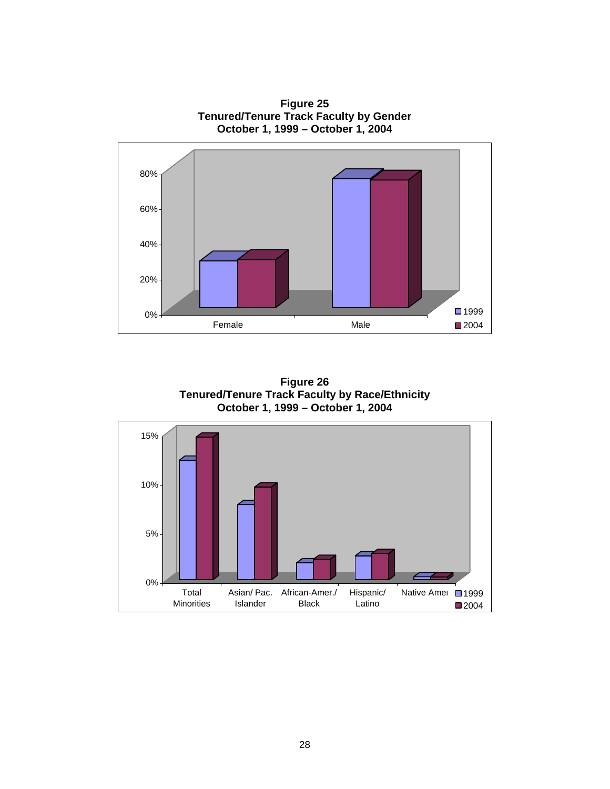

**Figure 26 Tenured/Tenure Track Faculty by Race/Ethnicity October 1, 1999 – October 1, 2004**

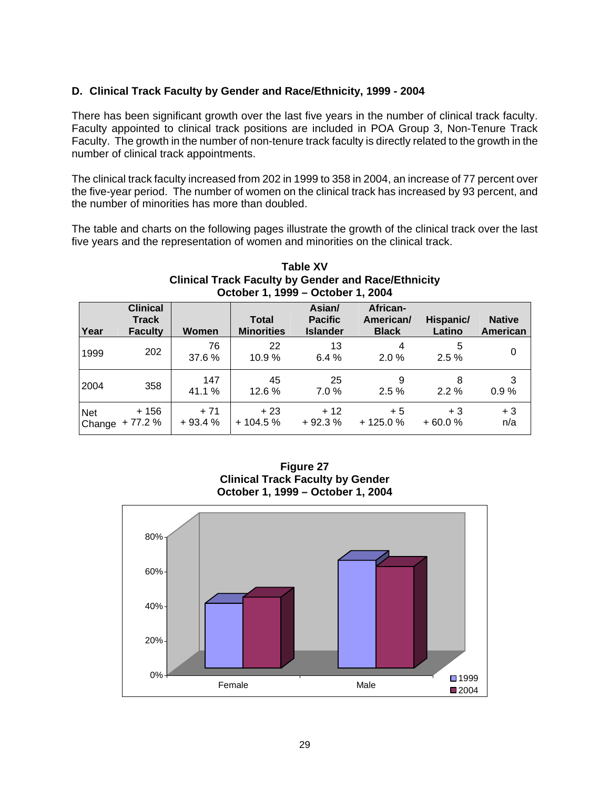# **D. Clinical Track Faculty by Gender and Race/Ethnicity, 1999 - 2004**

There has been significant growth over the last five years in the number of clinical track faculty. Faculty appointed to clinical track positions are included in POA Group 3, Non-Tenure Track Faculty. The growth in the number of non-tenure track faculty is directly related to the growth in the number of clinical track appointments.

The clinical track faculty increased from 202 in 1999 to 358 in 2004, an increase of 77 percent over the five-year period. The number of women on the clinical track has increased by 93 percent, and the number of minorities has more than doubled.

The table and charts on the following pages illustrate the growth of the clinical track over the last five years and the representation of women and minorities on the clinical track.

| Year       | <b>Clinical</b><br><b>Track</b><br><b>Faculty</b> | Women             | <b>Total</b><br><b>Minorities</b> | Asian/<br><b>Pacific</b><br><b>Islander</b> | African-<br>American/<br><b>Black</b> | Hispanic/<br>Latino | <b>Native</b><br>American |
|------------|---------------------------------------------------|-------------------|-----------------------------------|---------------------------------------------|---------------------------------------|---------------------|---------------------------|
| 1999       | 202                                               | 76<br>37.6%       | 22<br>10.9%                       | 13<br>6.4%                                  | 4<br>2.0%                             | 5<br>2.5%           | 0                         |
| 2004       | 358                                               | 147<br>41.1 %     | 45<br>12.6%                       | 25<br>7.0%                                  | 9<br>2.5%                             | 8<br>$2.2\%$        | 3<br>0.9%                 |
| <b>Net</b> | $+156$<br>Change $+77.2%$                         | $+71$<br>$+93.4%$ | $+23$<br>$+104.5%$                | $+12$<br>$+92.3%$                           | $+5$<br>$+125.0%$                     | $+3$<br>$+60.0%$    | $+3$<br>n/a               |

#### **Table XV Clinical Track Faculty by Gender and Race/Ethnicity October 1, 1999 – October 1, 2004**

**Figure 27 Clinical Track Faculty by Gender October 1, 1999 – October 1, 2004**

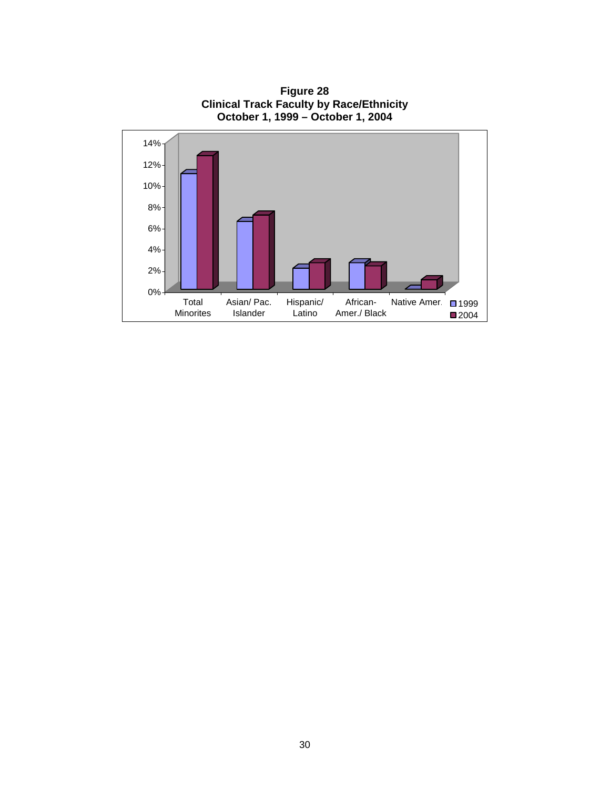

**Figure 28 Clinical Track Faculty by Race/Ethnicity**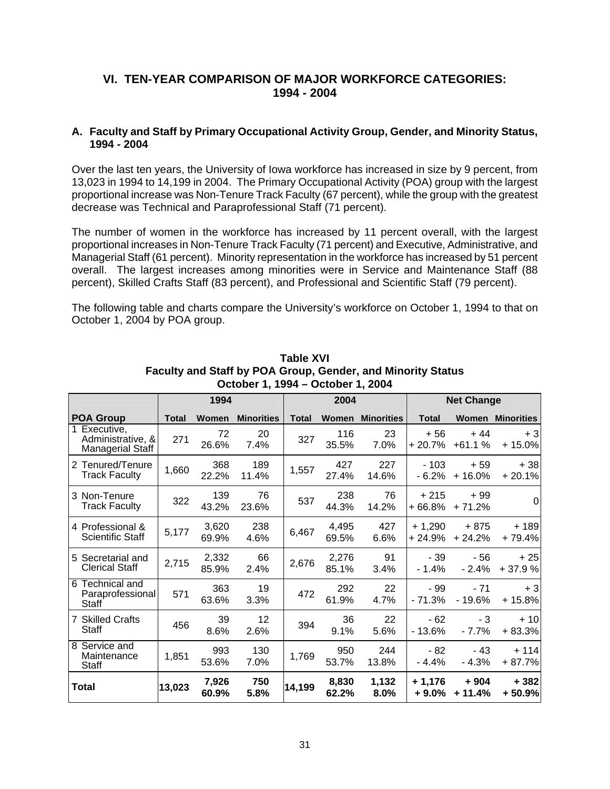# **VI. TEN-YEAR COMPARISON OF MAJOR WORKFORCE CATEGORIES: 1994 - 2004**

#### **A. Faculty and Staff by Primary Occupational Activity Group, Gender, and Minority Status, 1994 - 2004**

Over the last ten years, the University of Iowa workforce has increased in size by 9 percent, from 13,023 in 1994 to 14,199 in 2004. The Primary Occupational Activity (POA) group with the largest proportional increase was Non-Tenure Track Faculty (67 percent), while the group with the greatest decrease was Technical and Paraprofessional Staff (71 percent).

The number of women in the workforce has increased by 11 percent overall, with the largest proportional increases in Non-Tenure Track Faculty (71 percent) and Executive, Administrative, and Managerial Staff (61 percent). Minority representation in the workforce has increased by 51 percent overall. The largest increases among minorities were in Service and Maintenance Staff (88 percent), Skilled Crafts Staff (83 percent), and Professional and Scientific Staff (79 percent).

The following table and charts compare the University's workforce on October 1, 1994 to that on October 1, 2004 by POA group.

|                                                              | 1994         |                |                   | 2004         |                |                   | <b>Net Change</b>    |                    |                         |
|--------------------------------------------------------------|--------------|----------------|-------------------|--------------|----------------|-------------------|----------------------|--------------------|-------------------------|
| <b>POA Group</b>                                             | <b>Total</b> | Women          | <b>Minorities</b> | <b>Total</b> | Women          | <b>Minorities</b> | <b>Total</b>         |                    | <b>Women Minorities</b> |
| 1 Executive,<br>Administrative, &<br><b>Managerial Staff</b> | 271          | 72<br>26.6%    | 20<br>7.4%        | 327          | 116<br>35.5%   | 23<br>7.0%        | $+56$<br>$+20.7%$    | $+44$<br>$+61.1%$  | $+3$<br>$+15.0%$        |
| 2 Tenured/Tenure<br><b>Track Faculty</b>                     | 1,660        | 368<br>22.2%   | 189<br>11.4%      | 1,557        | 427<br>27.4%   | 227<br>14.6%      | $-103$<br>$-6.2%$    | $+59$<br>$+16.0%$  | $+38$<br>$+20.1%$       |
| 3 Non-Tenure<br><b>Track Faculty</b>                         | 322          | 139<br>43.2%   | 76<br>23.6%       | 537          | 238<br>44.3%   | 76<br>14.2%       | $+215$<br>$+66.8%$   | + 99<br>$+71.2%$   | 0                       |
| 4 Professional &<br><b>Scientific Staff</b>                  | 5,177        | 3,620<br>69.9% | 238<br>4.6%       | 6,467        | 4,495<br>69.5% | 427<br>6.6%       | $+1,290$<br>$+24.9%$ | $+875$<br>$+24.2%$ | $+189$<br>$+79.4%$      |
| 5 Secretarial and<br><b>Clerical Staff</b>                   | 2,715        | 2,332<br>85.9% | 66<br>2.4%        | 2,676        | 2,276<br>85.1% | 91<br>3.4%        | $-39$<br>- 1.4%      | - 56<br>$-2.4%$    | $+25$<br>$+37.9%$       |
| 6 Technical and<br>Paraprofessional<br>Staff                 | 571          | 363<br>63.6%   | 19<br>3.3%        | 472          | 292<br>61.9%   | 22<br>4.7%        | - 99<br>$-71.3%$     | $-71$<br>$-19.6%$  | $+3$<br>$+ 15.8%$       |
| 7 Skilled Crafts<br><b>Staff</b>                             | 456          | 39<br>8.6%     | 12<br>2.6%        | 394          | 36<br>9.1%     | 22<br>5.6%        | - 62<br>$-13.6%$     | - 3<br>$-7.7%$     | $+10$<br>$+83.3%$       |
| 8 Service and<br>Maintenance<br>Staff                        | 1,851        | 993<br>53.6%   | 130<br>7.0%       | 1,769        | 950<br>53.7%   | 244<br>13.8%      | - 82<br>- 4.4%       | $-43$<br>$-4.3%$   | $+ 114$<br>$+87.7%$     |
| <b>Total</b>                                                 | 13,023       | 7,926<br>60.9% | 750<br>5.8%       | 14,199       | 8,830<br>62.2% | 1,132<br>8.0%     | + 1,176<br>$+9.0%$   | $+904$<br>$+11.4%$ | $+382$<br>$+50.9%$      |

#### **Table XVI Faculty and Staff by POA Group, Gender, and Minority Status October 1, 1994 – October 1, 2004**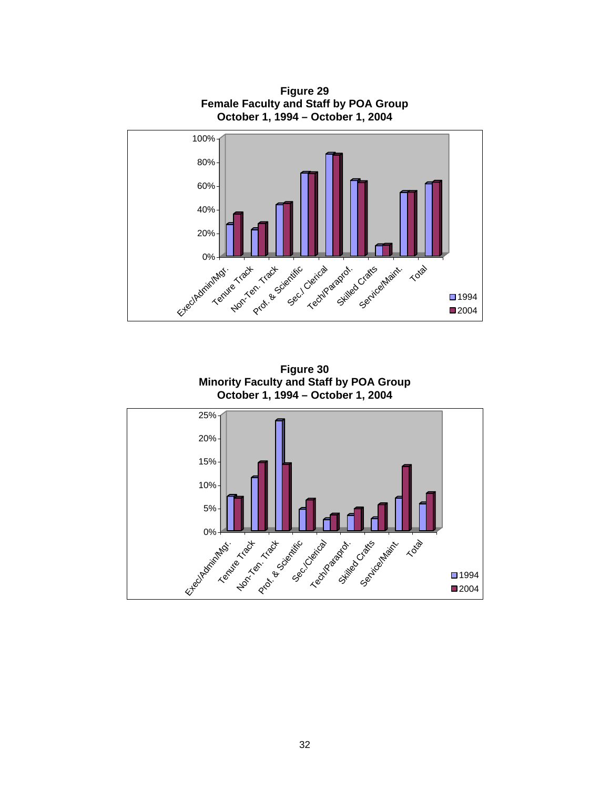

**Figure 30 Minority Faculty and Staff by POA Group October 1, 1994 – October 1, 2004**

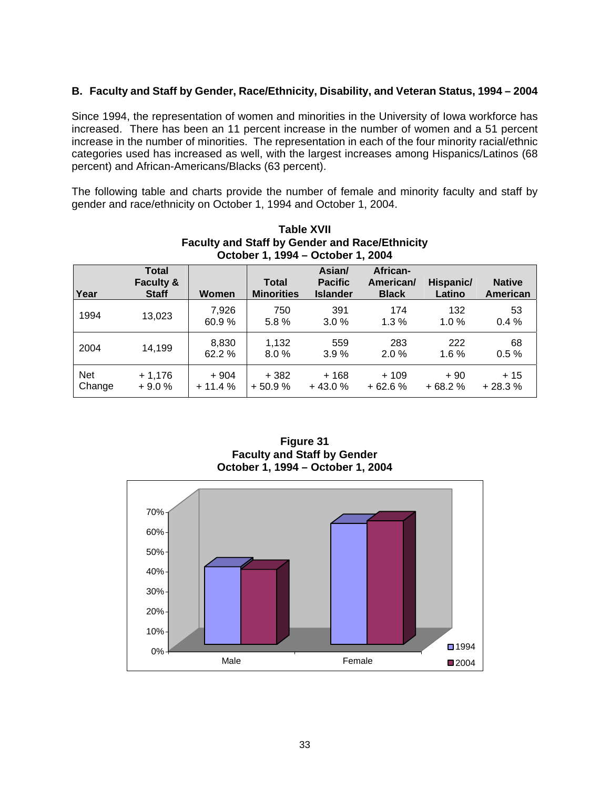# **B. Faculty and Staff by Gender, Race/Ethnicity, Disability, and Veteran Status, 1994 – 2004**

Since 1994, the representation of women and minorities in the University of Iowa workforce has increased. There has been an 11 percent increase in the number of women and a 51 percent increase in the number of minorities. The representation in each of the four minority racial/ethnic categories used has increased as well, with the largest increases among Hispanics/Latinos (68 percent) and African-Americans/Blacks (63 percent).

The following table and charts provide the number of female and minority faculty and staff by gender and race/ethnicity on October 1, 1994 and October 1, 2004.

|                      | October 1, 1994 - October 1, 2004                    |                    |                                   |                                             |                                       |                     |                           |  |  |
|----------------------|------------------------------------------------------|--------------------|-----------------------------------|---------------------------------------------|---------------------------------------|---------------------|---------------------------|--|--|
| Year                 | <b>Total</b><br><b>Faculty &amp;</b><br><b>Staff</b> | <b>Women</b>       | <b>Total</b><br><b>Minorities</b> | Asian/<br><b>Pacific</b><br><b>Islander</b> | African-<br>American/<br><b>Black</b> | Hispanic/<br>Latino | <b>Native</b><br>American |  |  |
| 1994                 | 13,023                                               | 7,926<br>60.9%     | 750<br>5.8%                       | 391<br>3.0%                                 | 174<br>$1.3\%$                        | 132<br>$1.0 \%$     | 53<br>$0.4\%$             |  |  |
| 2004                 | 14,199                                               | 8,830<br>62.2 %    | 1,132<br>8.0%                     | 559<br>3.9%                                 | 283<br>2.0%                           | 222<br>$1.6\%$      | 68<br>0.5%                |  |  |
| <b>Net</b><br>Change | $+1,176$<br>$+9.0%$                                  | $+904$<br>$+11.4%$ | + 382<br>$+50.9%$                 | $+168$<br>$+43.0%$                          | $+109$<br>$+62.6%$                    | $+90$<br>$+68.2%$   | + 15<br>$+28.3%$          |  |  |

**Table XVII Faculty and Staff by Gender and Race/Ethnicity** 

**Figure 31 Faculty and Staff by Gender October 1, 1994 – October 1, 2004**

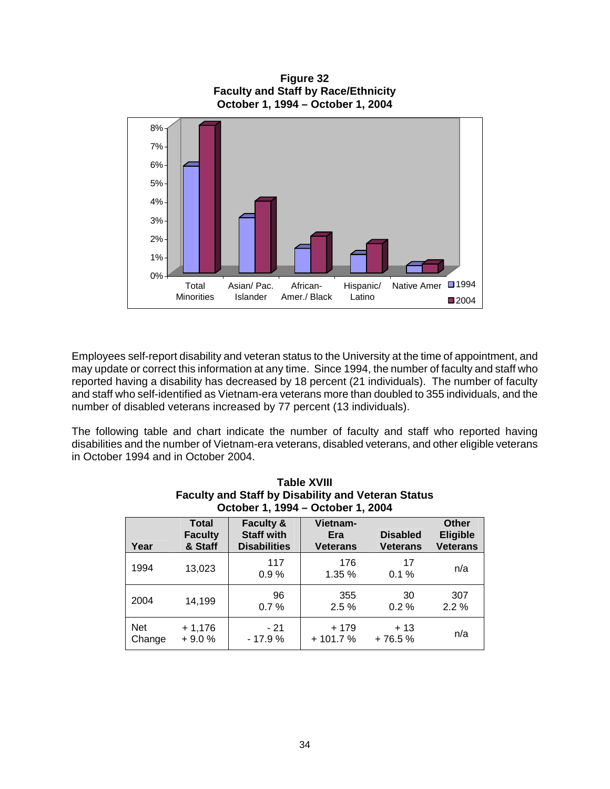

**Figure 32** 

Employees self-report disability and veteran status to the University at the time of appointment, and may update or correct this information at any time. Since 1994, the number of faculty and staff who reported having a disability has decreased by 18 percent (21 individuals). The number of faculty and staff who self-identified as Vietnam-era veterans more than doubled to 355 individuals, and the number of disabled veterans increased by 77 percent (13 individuals).

The following table and chart indicate the number of faculty and staff who reported having disabilities and the number of Vietnam-era veterans, disabled veterans, and other eligible veterans in October 1994 and in October 2004.

|               | Faculty and Staff by Disability and veteran Status<br>October 1, 1994 - October 1, 2004 |                                                                  |                                    |                                    |                                                    |  |  |  |  |
|---------------|-----------------------------------------------------------------------------------------|------------------------------------------------------------------|------------------------------------|------------------------------------|----------------------------------------------------|--|--|--|--|
| Year          | Total<br><b>Faculty</b><br>& Staff                                                      | <b>Faculty &amp;</b><br><b>Staff with</b><br><b>Disabilities</b> | Vietnam-<br>Era<br><b>Veterans</b> | <b>Disabled</b><br><b>Veterans</b> | <b>Other</b><br><b>Eligible</b><br><b>Veterans</b> |  |  |  |  |
| 1994          | 13,023                                                                                  | 117<br>0.9%                                                      | 176<br>1.35 %                      | 17<br>0.1%                         | n/a                                                |  |  |  |  |
| 2004          | 14,199                                                                                  | 96<br>0.7%                                                       | 355<br>2.5%                        | 30<br>$0.2 \%$                     | 307<br>2.2%                                        |  |  |  |  |
| Net<br>Change | $+1,176$<br>$+9.0%$                                                                     | $-21$<br>$-17.9%$                                                | $+179$<br>$+101.7%$                | $+13$<br>$+76.5%$                  | n/a                                                |  |  |  |  |

**Table XVIII Faculty and Staff by Disability and Veteran Status**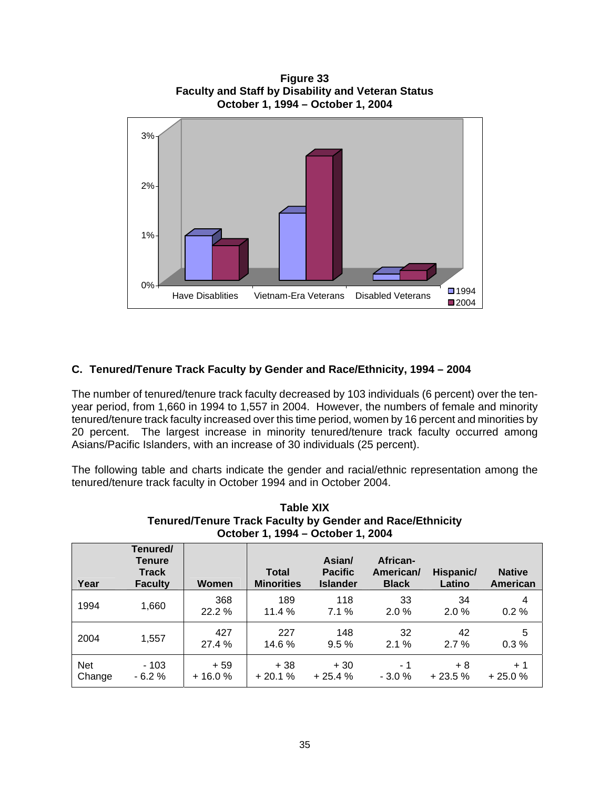

# **Figure 33**

# **C. Tenured/Tenure Track Faculty by Gender and Race/Ethnicity, 1994 – 2004**

The number of tenured/tenure track faculty decreased by 103 individuals (6 percent) over the tenyear period, from 1,660 in 1994 to 1,557 in 2004. However, the numbers of female and minority tenured/tenure track faculty increased over this time period, women by 16 percent and minorities by 20 percent. The largest increase in minority tenured/tenure track faculty occurred among Asians/Pacific Islanders, with an increase of 30 individuals (25 percent).

The following table and charts indicate the gender and racial/ethnic representation among the tenured/tenure track faculty in October 1994 and in October 2004.

|                      | <b>Tenured/Tenure Track Faculty by Gender and Race/Ethnicity</b><br>October 1, 1994 - October 1, 2004 |                   |                                   |                                             |                                       |                     |                           |  |  |  |
|----------------------|-------------------------------------------------------------------------------------------------------|-------------------|-----------------------------------|---------------------------------------------|---------------------------------------|---------------------|---------------------------|--|--|--|
| Year                 | Tenured/<br><b>Tenure</b><br><b>Track</b><br><b>Faculty</b>                                           | Women             | <b>Total</b><br><b>Minorities</b> | Asian/<br><b>Pacific</b><br><b>Islander</b> | African-<br>American/<br><b>Black</b> | Hispanic/<br>Latino | <b>Native</b><br>American |  |  |  |
| 1994                 | 1,660                                                                                                 | 368<br>22.2 %     | 189<br>11.4%                      | 118<br>7.1%                                 | 33<br>2.0%                            | 34<br>2.0%          | 4<br>0.2%                 |  |  |  |
| 2004                 | 1,557                                                                                                 | 427<br>27.4 %     | 227<br>14.6 %                     | 148<br>9.5%                                 | 32<br>2.1%                            | 42<br>2.7%          | 5<br>0.3%                 |  |  |  |
| <b>Net</b><br>Change | $-103$<br>$-6.2%$                                                                                     | $+59$<br>$+16.0%$ | $+38$<br>$+20.1%$                 | $+30$<br>$+25.4%$                           | - 1<br>$-3.0%$                        | $+8$<br>$+23.5%$    | $+1$<br>$+25.0%$          |  |  |  |

# **Table XIX**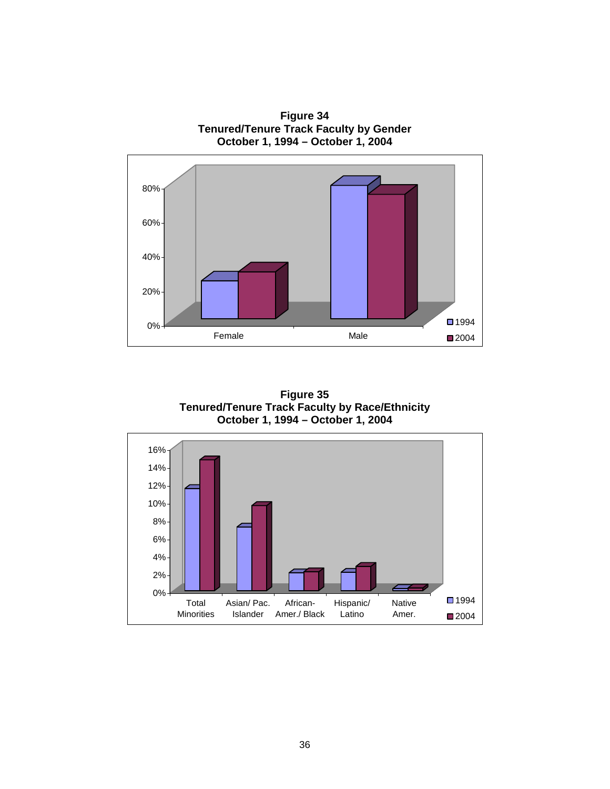

**Figure 35 Tenured/Tenure Track Faculty by Race/Ethnicity October 1, 1994 – October 1, 2004**

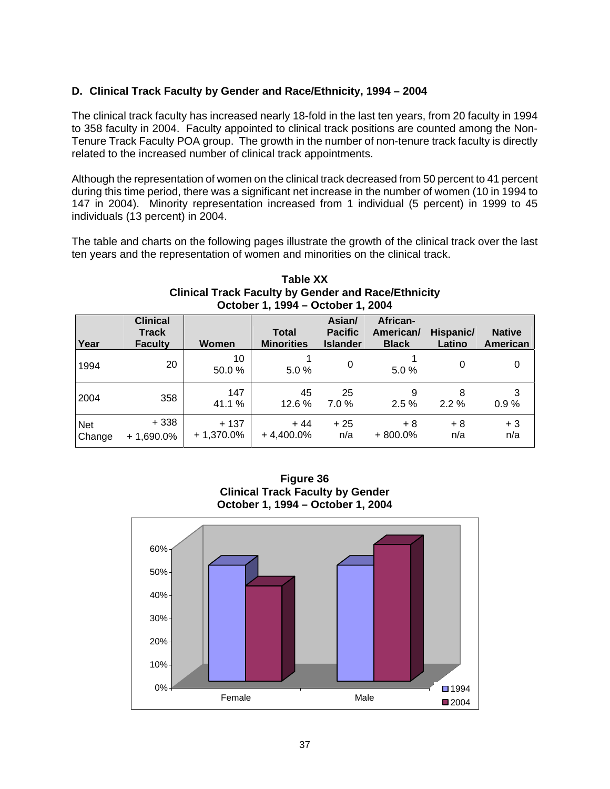# **D. Clinical Track Faculty by Gender and Race/Ethnicity, 1994 – 2004**

The clinical track faculty has increased nearly 18-fold in the last ten years, from 20 faculty in 1994 to 358 faculty in 2004. Faculty appointed to clinical track positions are counted among the Non-Tenure Track Faculty POA group. The growth in the number of non-tenure track faculty is directly related to the increased number of clinical track appointments.

Although the representation of women on the clinical track decreased from 50 percent to 41 percent during this time period, there was a significant net increase in the number of women (10 in 1994 to 147 in 2004). Minority representation increased from 1 individual (5 percent) in 1999 to 45 individuals (13 percent) in 2004.

The table and charts on the following pages illustrate the growth of the clinical track over the last ten years and the representation of women and minorities on the clinical track.

| Year                 | <b>Clinical</b><br><b>Track</b><br><b>Faculty</b> | Women                  | <b>Total</b><br><b>Minorities</b> | Asian/<br><b>Pacific</b><br><b>Islander</b> | African-<br>American/<br><b>Black</b> | Hispanic/<br>Latino | <b>Native</b><br>American |
|----------------------|---------------------------------------------------|------------------------|-----------------------------------|---------------------------------------------|---------------------------------------|---------------------|---------------------------|
| 1994                 | 20                                                | 10<br>50.0%            | 5.0%                              | 0                                           | 5.0%                                  | 0                   | 0                         |
| 2004                 | 358                                               | 147<br>41.1 %          | 45<br>12.6%                       | 25<br>7.0%                                  | 9<br>2.5%                             | 8<br>2.2%           | 3<br>0.9%                 |
| <b>Net</b><br>Change | $+338$<br>$+1,690.0\%$                            | $+137$<br>$+1,370.0\%$ | $+44$<br>$+4,400.0\%$             | $+25$<br>n/a                                | $+8$<br>$+800.0\%$                    | $+8$<br>n/a         | $+3$<br>n/a               |

**Table XX Clinical Track Faculty by Gender and Race/Ethnicity October 1, 1994 – October 1, 2004**

**Figure 36 Clinical Track Faculty by Gender October 1, 1994 – October 1, 2004**

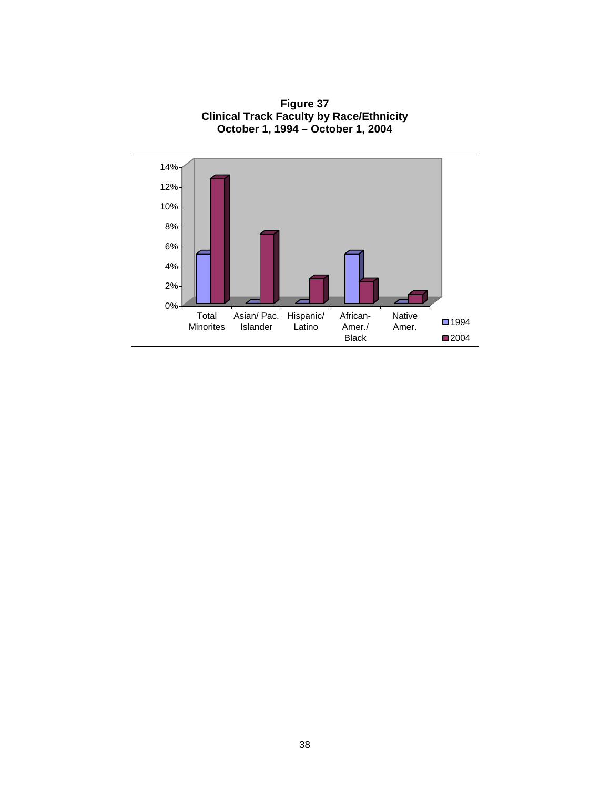

**Figure 37 Clinical Track Faculty by Race/Ethnicity October 1, 1994 – October 1, 2004**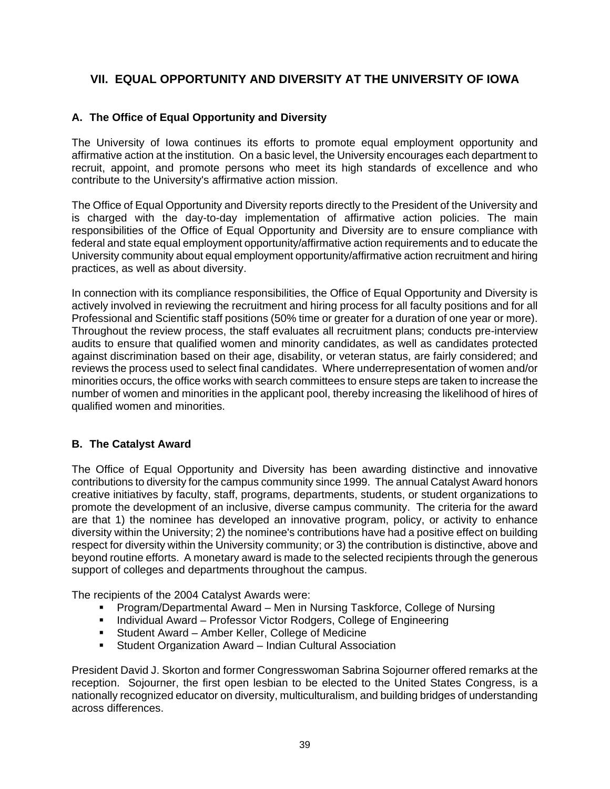# **VII. EQUAL OPPORTUNITY AND DIVERSITY AT THE UNIVERSITY OF IOWA**

# **A. The Office of Equal Opportunity and Diversity**

The University of Iowa continues its efforts to promote equal employment opportunity and affirmative action at the institution. On a basic level, the University encourages each department to recruit, appoint, and promote persons who meet its high standards of excellence and who contribute to the University's affirmative action mission.

The Office of Equal Opportunity and Diversity reports directly to the President of the University and is charged with the day-to-day implementation of affirmative action policies. The main responsibilities of the Office of Equal Opportunity and Diversity are to ensure compliance with federal and state equal employment opportunity/affirmative action requirements and to educate the University community about equal employment opportunity/affirmative action recruitment and hiring practices, as well as about diversity.

In connection with its compliance responsibilities, the Office of Equal Opportunity and Diversity is actively involved in reviewing the recruitment and hiring process for all faculty positions and for all Professional and Scientific staff positions (50% time or greater for a duration of one year or more). Throughout the review process, the staff evaluates all recruitment plans; conducts pre-interview audits to ensure that qualified women and minority candidates, as well as candidates protected against discrimination based on their age, disability, or veteran status, are fairly considered; and reviews the process used to select final candidates. Where underrepresentation of women and/or minorities occurs, the office works with search committees to ensure steps are taken to increase the number of women and minorities in the applicant pool, thereby increasing the likelihood of hires of qualified women and minorities.

# **B. The Catalyst Award**

The Office of Equal Opportunity and Diversity has been awarding distinctive and innovative contributions to diversity for the campus community since 1999. The annual Catalyst Award honors creative initiatives by faculty, staff, programs, departments, students, or student organizations to promote the development of an inclusive, diverse campus community. The criteria for the award are that 1) the nominee has developed an innovative program, policy, or activity to enhance diversity within the University; 2) the nominee's contributions have had a positive effect on building respect for diversity within the University community; or 3) the contribution is distinctive, above and beyond routine efforts. A monetary award is made to the selected recipients through the generous support of colleges and departments throughout the campus.

The recipients of the 2004 Catalyst Awards were:

- Program/Departmental Award Men in Nursing Taskforce, College of Nursing
- Individual Award Professor Victor Rodgers, College of Engineering<br>In Student Award Amber Keller, College of Medicine
- Student Award Amber Keller, College of Medicine
- Student Organization Award Indian Cultural Association

President David J. Skorton and former Congresswoman Sabrina Sojourner offered remarks at the reception. Sojourner, the first open lesbian to be elected to the United States Congress, is a nationally recognized educator on diversity, multiculturalism, and building bridges of understanding across differences.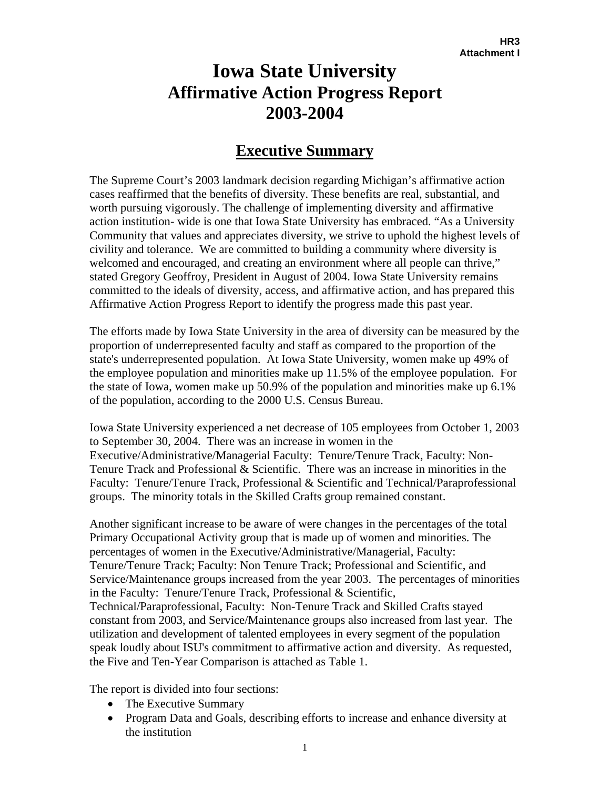# **Iowa State University Affirmative Action Progress Report 2003-2004**

# **Executive Summary**

The Supreme Court's 2003 landmark decision regarding Michigan's affirmative action cases reaffirmed that the benefits of diversity. These benefits are real, substantial, and worth pursuing vigorously. The challenge of implementing diversity and affirmative action institution- wide is one that Iowa State University has embraced. "As a University Community that values and appreciates diversity, we strive to uphold the highest levels of civility and tolerance. We are committed to building a community where diversity is welcomed and encouraged, and creating an environment where all people can thrive," stated Gregory Geoffroy, President in August of 2004. Iowa State University remains committed to the ideals of diversity, access, and affirmative action, and has prepared this Affirmative Action Progress Report to identify the progress made this past year.

The efforts made by Iowa State University in the area of diversity can be measured by the proportion of underrepresented faculty and staff as compared to the proportion of the state's underrepresented population. At Iowa State University, women make up 49% of the employee population and minorities make up 11.5% of the employee population. For the state of Iowa, women make up 50.9% of the population and minorities make up 6.1% of the population, according to the 2000 U.S. Census Bureau.

Iowa State University experienced a net decrease of 105 employees from October 1, 2003 to September 30, 2004. There was an increase in women in the Executive/Administrative/Managerial Faculty: Tenure/Tenure Track, Faculty: Non-Tenure Track and Professional & Scientific. There was an increase in minorities in the Faculty: Tenure/Tenure Track, Professional & Scientific and Technical/Paraprofessional groups. The minority totals in the Skilled Crafts group remained constant.

Another significant increase to be aware of were changes in the percentages of the total Primary Occupational Activity group that is made up of women and minorities. The percentages of women in the Executive/Administrative/Managerial, Faculty: Tenure/Tenure Track; Faculty: Non Tenure Track; Professional and Scientific, and Service/Maintenance groups increased from the year 2003. The percentages of minorities in the Faculty: Tenure/Tenure Track, Professional & Scientific, Technical/Paraprofessional, Faculty: Non-Tenure Track and Skilled Crafts stayed constant from 2003, and Service/Maintenance groups also increased from last year. The utilization and development of talented employees in every segment of the population speak loudly about ISU's commitment to affirmative action and diversity. As requested, the Five and Ten-Year Comparison is attached as Table 1.

The report is divided into four sections:

- The Executive Summary
- Program Data and Goals, describing efforts to increase and enhance diversity at the institution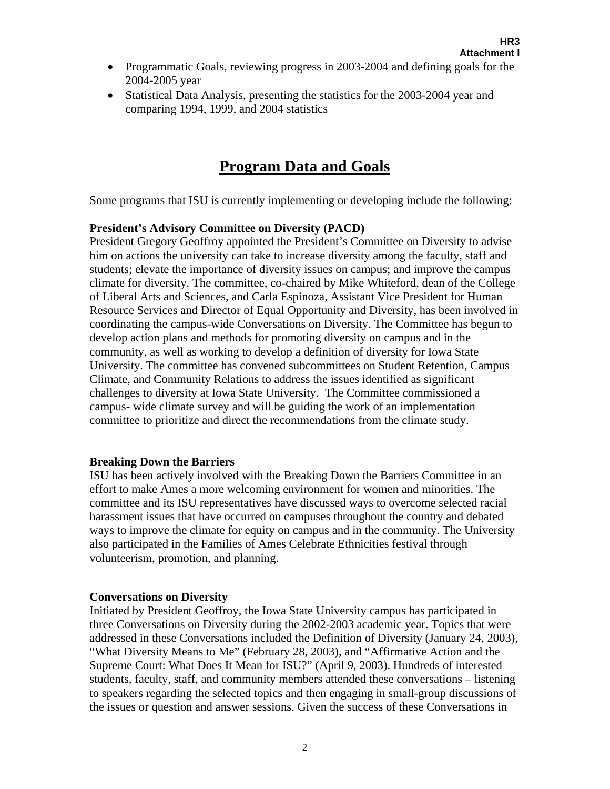- Programmatic Goals, reviewing progress in 2003-2004 and defining goals for the 2004-2005 year
- Statistical Data Analysis, presenting the statistics for the 2003-2004 year and comparing 1994, 1999, and 2004 statistics

# **Program Data and Goals**

Some programs that ISU is currently implementing or developing include the following:

## **President's Advisory Committee on Diversity (PACD)**

President Gregory Geoffroy appointed the President's Committee on Diversity to advise him on actions the university can take to increase diversity among the faculty, staff and students; elevate the importance of diversity issues on campus; and improve the campus climate for diversity. The committee, co-chaired by Mike Whiteford, dean of the College of Liberal Arts and Sciences, and Carla Espinoza, Assistant Vice President for Human Resource Services and Director of Equal Opportunity and Diversity, has been involved in coordinating the campus-wide Conversations on Diversity. The Committee has begun to develop action plans and methods for promoting diversity on campus and in the community, as well as working to develop a definition of diversity for Iowa State University. The committee has convened subcommittees on Student Retention, Campus Climate, and Community Relations to address the issues identified as significant challenges to diversity at Iowa State University. The Committee commissioned a campus- wide climate survey and will be guiding the work of an implementation committee to prioritize and direct the recommendations from the climate study.

## **Breaking Down the Barriers**

ISU has been actively involved with the Breaking Down the Barriers Committee in an effort to make Ames a more welcoming environment for women and minorities. The committee and its ISU representatives have discussed ways to overcome selected racial harassment issues that have occurred on campuses throughout the country and debated ways to improve the climate for equity on campus and in the community. The University also participated in the Families of Ames Celebrate Ethnicities festival through volunteerism, promotion, and planning.

## **Conversations on Diversity**

Initiated by President Geoffroy, the Iowa State University campus has participated in three Conversations on Diversity during the 2002-2003 academic year. Topics that were addressed in these Conversations included the Definition of Diversity (January 24, 2003), "What Diversity Means to Me" (February 28, 2003), and "Affirmative Action and the Supreme Court: What Does It Mean for ISU?" (April 9, 2003). Hundreds of interested students, faculty, staff, and community members attended these conversations – listening to speakers regarding the selected topics and then engaging in small-group discussions of the issues or question and answer sessions. Given the success of these Conversations in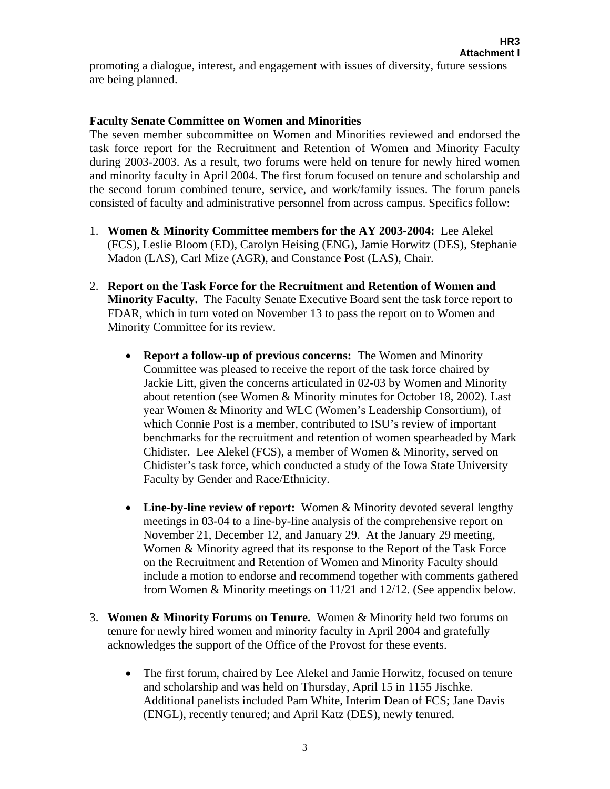promoting a dialogue, interest, and engagement with issues of diversity, future sessions are being planned.

# **Faculty Senate Committee on Women and Minorities**

The seven member subcommittee on Women and Minorities reviewed and endorsed the task force report for the Recruitment and Retention of Women and Minority Faculty during 2003-2003. As a result, two forums were held on tenure for newly hired women and minority faculty in April 2004. The first forum focused on tenure and scholarship and the second forum combined tenure, service, and work/family issues. The forum panels consisted of faculty and administrative personnel from across campus. Specifics follow:

- 1. **Women & Minority Committee members for the AY 2003-2004:** Lee Alekel (FCS), Leslie Bloom (ED), Carolyn Heising (ENG), Jamie Horwitz (DES), Stephanie Madon (LAS), Carl Mize (AGR), and Constance Post (LAS), Chair.
- 2. **Report on the Task Force for the Recruitment and Retention of Women and Minority Faculty.** The Faculty Senate Executive Board sent the task force report to FDAR, which in turn voted on November 13 to pass the report on to Women and Minority Committee for its review.
	- **Report a follow-up of previous concerns:** The Women and Minority Committee was pleased to receive the report of the task force chaired by Jackie Litt, given the concerns articulated in 02-03 by Women and Minority about retention (see Women & Minority minutes for October 18, 2002). Last year Women & Minority and WLC (Women's Leadership Consortium), of which Connie Post is a member, contributed to ISU's review of important benchmarks for the recruitment and retention of women spearheaded by Mark Chidister. Lee Alekel (FCS), a member of Women & Minority, served on Chidister's task force, which conducted a study of the Iowa State University Faculty by Gender and Race/Ethnicity.
	- Line-by-line review of report: Women & Minority devoted several lengthy meetings in 03-04 to a line-by-line analysis of the comprehensive report on November 21, December 12, and January 29. At the January 29 meeting, Women & Minority agreed that its response to the Report of the Task Force on the Recruitment and Retention of Women and Minority Faculty should include a motion to endorse and recommend together with comments gathered from Women & Minority meetings on 11/21 and 12/12. (See appendix below.
- 3. **Women & Minority Forums on Tenure.** Women & Minority held two forums on tenure for newly hired women and minority faculty in April 2004 and gratefully acknowledges the support of the Office of the Provost for these events.
	- The first forum, chaired by Lee Alekel and Jamie Horwitz, focused on tenure and scholarship and was held on Thursday, April 15 in 1155 Jischke. Additional panelists included Pam White, Interim Dean of FCS; Jane Davis (ENGL), recently tenured; and April Katz (DES), newly tenured.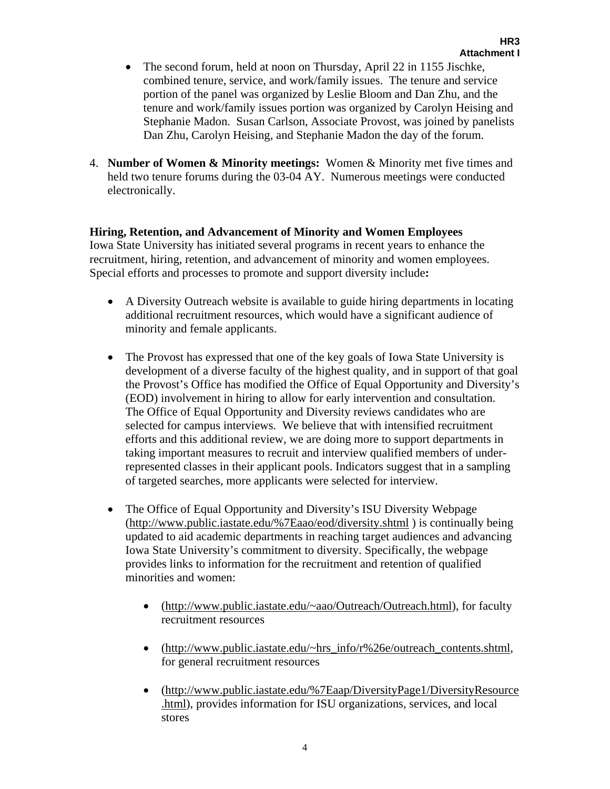- The second forum, held at noon on Thursday, April 22 in 1155 Jischke, combined tenure, service, and work/family issues. The tenure and service portion of the panel was organized by Leslie Bloom and Dan Zhu, and the tenure and work/family issues portion was organized by Carolyn Heising and Stephanie Madon. Susan Carlson, Associate Provost, was joined by panelists Dan Zhu, Carolyn Heising, and Stephanie Madon the day of the forum.
- 4. **Number of Women & Minority meetings:** Women & Minority met five times and held two tenure forums during the 03-04 AY. Numerous meetings were conducted electronically.

# **Hiring, Retention, and Advancement of Minority and Women Employees**

Iowa State University has initiated several programs in recent years to enhance the recruitment, hiring, retention, and advancement of minority and women employees. Special efforts and processes to promote and support diversity include**:** 

- A Diversity Outreach website is available to guide hiring departments in locating additional recruitment resources, which would have a significant audience of minority and female applicants.
- The Provost has expressed that one of the key goals of Iowa State University is development of a diverse faculty of the highest quality, and in support of that goal the Provost's Office has modified the Office of Equal Opportunity and Diversity's (EOD) involvement in hiring to allow for early intervention and consultation. The Office of Equal Opportunity and Diversity reviews candidates who are selected for campus interviews. We believe that with intensified recruitment efforts and this additional review, we are doing more to support departments in taking important measures to recruit and interview qualified members of underrepresented classes in their applicant pools. Indicators suggest that in a sampling of targeted searches, more applicants were selected for interview.
- The Office of Equal Opportunity and Diversity's ISU Diversity Webpage (http://www.public.iastate.edu/%7Eaao/eod/diversity.shtml ) is continually being updated to aid academic departments in reaching target audiences and advancing Iowa State University's commitment to diversity. Specifically, the webpage provides links to information for the recruitment and retention of qualified minorities and women:
	- (http://www.public.iastate.edu/~aao/Outreach/Outreach.html), for faculty recruitment resources
	- (http://www.public.iastate.edu/~hrs\_info/r%26e/outreach\_contents.shtml, for general recruitment resources
	- (http://www.public.iastate.edu/%7Eaap/DiversityPage1/DiversityResource .html), provides information for ISU organizations, services, and local stores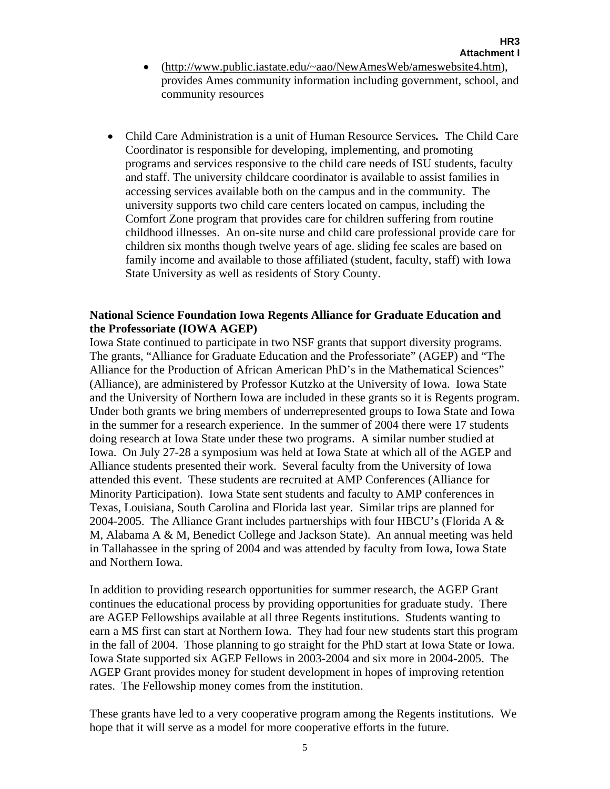- (http://www.public.iastate.edu/~aao/NewAmesWeb/ameswebsite4.htm), provides Ames community information including government, school, and community resources
- Child Care Administration is a unit of Human Resource Services*.* The Child Care Coordinator is responsible for developing, implementing, and promoting programs and services responsive to the child care needs of ISU students, faculty and staff. The university childcare coordinator is available to assist families in accessing services available both on the campus and in the community. The university supports two child care centers located on campus, including the Comfort Zone program that provides care for children suffering from routine childhood illnesses. An on-site nurse and child care professional provide care for children six months though twelve years of age. sliding fee scales are based on family income and available to those affiliated (student, faculty, staff) with Iowa State University as well as residents of Story County.

### **National Science Foundation Iowa Regents Alliance for Graduate Education and the Professoriate (IOWA AGEP)**

Iowa State continued to participate in two NSF grants that support diversity programs. The grants, "Alliance for Graduate Education and the Professoriate" (AGEP) and "The Alliance for the Production of African American PhD's in the Mathematical Sciences" (Alliance), are administered by Professor Kutzko at the University of Iowa. Iowa State and the University of Northern Iowa are included in these grants so it is Regents program. Under both grants we bring members of underrepresented groups to Iowa State and Iowa in the summer for a research experience. In the summer of 2004 there were 17 students doing research at Iowa State under these two programs. A similar number studied at Iowa. On July 27-28 a symposium was held at Iowa State at which all of the AGEP and Alliance students presented their work. Several faculty from the University of Iowa attended this event. These students are recruited at AMP Conferences (Alliance for Minority Participation). Iowa State sent students and faculty to AMP conferences in Texas, Louisiana, South Carolina and Florida last year. Similar trips are planned for 2004-2005. The Alliance Grant includes partnerships with four HBCU's (Florida A  $\&$ M, Alabama A & M, Benedict College and Jackson State). An annual meeting was held in Tallahassee in the spring of 2004 and was attended by faculty from Iowa, Iowa State and Northern Iowa.

In addition to providing research opportunities for summer research, the AGEP Grant continues the educational process by providing opportunities for graduate study. There are AGEP Fellowships available at all three Regents institutions. Students wanting to earn a MS first can start at Northern Iowa. They had four new students start this program in the fall of 2004. Those planning to go straight for the PhD start at Iowa State or Iowa. Iowa State supported six AGEP Fellows in 2003-2004 and six more in 2004-2005. The AGEP Grant provides money for student development in hopes of improving retention rates. The Fellowship money comes from the institution.

These grants have led to a very cooperative program among the Regents institutions. We hope that it will serve as a model for more cooperative efforts in the future.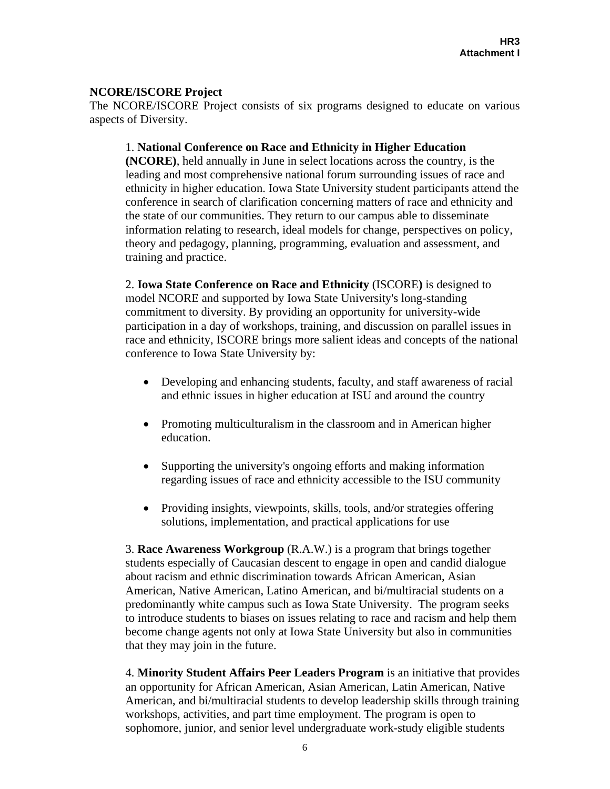# **NCORE/ISCORE Project**

The NCORE/ISCORE Project consists of six programs designed to educate on various aspects of Diversity.

### 1. **National Conference on Race and Ethnicity in Higher Education**

**(NCORE)**, held annually in June in select locations across the country, is the leading and most comprehensive national forum surrounding issues of race and ethnicity in higher education. Iowa State University student participants attend the conference in search of clarification concerning matters of race and ethnicity and the state of our communities. They return to our campus able to disseminate information relating to research, ideal models for change, perspectives on policy, theory and pedagogy, planning, programming, evaluation and assessment, and training and practice.

2. **Iowa State Conference on Race and Ethnicity** (ISCORE**)** is designed to model NCORE and supported by Iowa State University's long-standing commitment to diversity. By providing an opportunity for university-wide participation in a day of workshops, training, and discussion on parallel issues in race and ethnicity, ISCORE brings more salient ideas and concepts of the national conference to Iowa State University by:

- Developing and enhancing students, faculty, and staff awareness of racial and ethnic issues in higher education at ISU and around the country
- Promoting multiculturalism in the classroom and in American higher education.
- Supporting the university's ongoing efforts and making information regarding issues of race and ethnicity accessible to the ISU community
- Providing insights, viewpoints, skills, tools, and/or strategies offering solutions, implementation, and practical applications for use

3. **Race Awareness Workgroup** (R.A.W.) is a program that brings together students especially of Caucasian descent to engage in open and candid dialogue about racism and ethnic discrimination towards African American, Asian American, Native American, Latino American, and bi/multiracial students on a predominantly white campus such as Iowa State University. The program seeks to introduce students to biases on issues relating to race and racism and help them become change agents not only at Iowa State University but also in communities that they may join in the future.

4. **Minority Student Affairs Peer Leaders Program** is an initiative that provides an opportunity for African American, Asian American, Latin American, Native American, and bi/multiracial students to develop leadership skills through training workshops, activities, and part time employment. The program is open to sophomore, junior, and senior level undergraduate work-study eligible students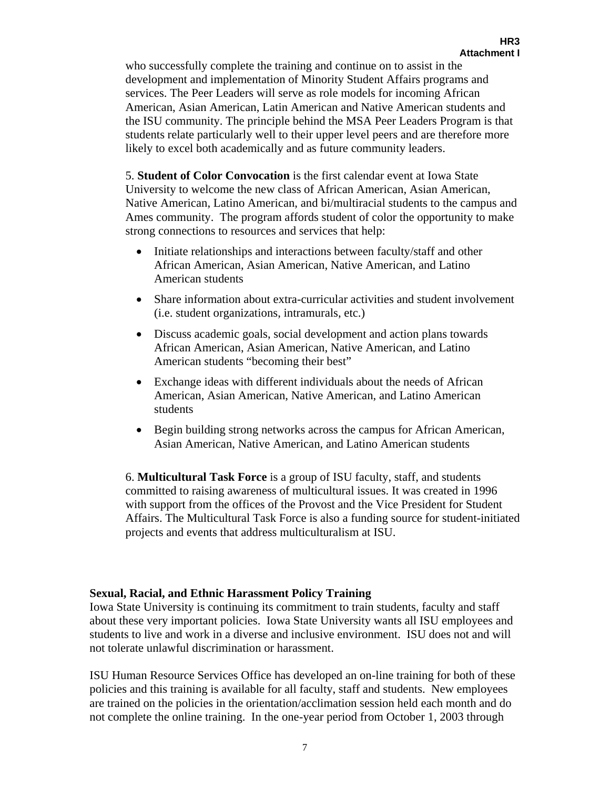who successfully complete the training and continue on to assist in the development and implementation of Minority Student Affairs programs and services. The Peer Leaders will serve as role models for incoming African American, Asian American, Latin American and Native American students and the ISU community. The principle behind the MSA Peer Leaders Program is that students relate particularly well to their upper level peers and are therefore more likely to excel both academically and as future community leaders.

5. **Student of Color Convocation** is the first calendar event at Iowa State University to welcome the new class of African American, Asian American, Native American, Latino American, and bi/multiracial students to the campus and Ames community. The program affords student of color the opportunity to make strong connections to resources and services that help:

- Initiate relationships and interactions between faculty/staff and other African American, Asian American, Native American, and Latino American students
- Share information about extra-curricular activities and student involvement (i.e. student organizations, intramurals, etc.)
- Discuss academic goals, social development and action plans towards African American, Asian American, Native American, and Latino American students "becoming their best"
- Exchange ideas with different individuals about the needs of African American, Asian American, Native American, and Latino American students
- Begin building strong networks across the campus for African American, Asian American, Native American, and Latino American students

6. **Multicultural Task Force** is a group of ISU faculty, staff, and students committed to raising awareness of multicultural issues. It was created in 1996 with support from the offices of the Provost and the Vice President for Student Affairs. The Multicultural Task Force is also a funding source for student-initiated projects and events that address multiculturalism at ISU.

### **Sexual, Racial, and Ethnic Harassment Policy Training**

Iowa State University is continuing its commitment to train students, faculty and staff about these very important policies. Iowa State University wants all ISU employees and students to live and work in a diverse and inclusive environment. ISU does not and will not tolerate unlawful discrimination or harassment.

ISU Human Resource Services Office has developed an on-line training for both of these policies and this training is available for all faculty, staff and students. New employees are trained on the policies in the orientation/acclimation session held each month and do not complete the online training. In the one-year period from October 1, 2003 through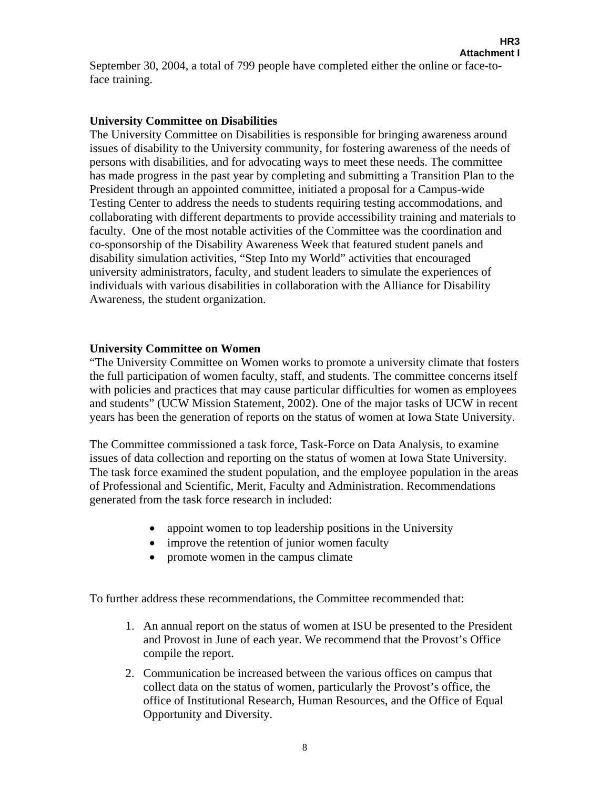September 30, 2004, a total of 799 people have completed either the online or face-toface training.

### **University Committee on Disabilities**

The University Committee on Disabilities is responsible for bringing awareness around issues of disability to the University community, for fostering awareness of the needs of persons with disabilities, and for advocating ways to meet these needs. The committee has made progress in the past year by completing and submitting a Transition Plan to the President through an appointed committee, initiated a proposal for a Campus-wide Testing Center to address the needs to students requiring testing accommodations, and collaborating with different departments to provide accessibility training and materials to faculty. One of the most notable activities of the Committee was the coordination and co-sponsorship of the Disability Awareness Week that featured student panels and disability simulation activities, "Step Into my World" activities that encouraged university administrators, faculty, and student leaders to simulate the experiences of individuals with various disabilities in collaboration with the Alliance for Disability Awareness, the student organization.

### **University Committee on Women**

"The University Committee on Women works to promote a university climate that fosters the full participation of women faculty, staff, and students. The committee concerns itself with policies and practices that may cause particular difficulties for women as employees and students" (UCW Mission Statement, 2002). One of the major tasks of UCW in recent years has been the generation of reports on the status of women at Iowa State University.

The Committee commissioned a task force, Task-Force on Data Analysis*,* to examine issues of data collection and reporting on the status of women at Iowa State University. The task force examined the student population, and the employee population in the areas of Professional and Scientific, Merit, Faculty and Administration. Recommendations generated from the task force research in included:

- appoint women to top leadership positions in the University
- improve the retention of junior women faculty
- promote women in the campus climate

To further address these recommendations, the Committee recommended that:

- 1. An annual report on the status of women at ISU be presented to the President and Provost in June of each year. We recommend that the Provost's Office compile the report.
- 2. Communication be increased between the various offices on campus that collect data on the status of women, particularly the Provost's office, the office of Institutional Research, Human Resources, and the Office of Equal Opportunity and Diversity.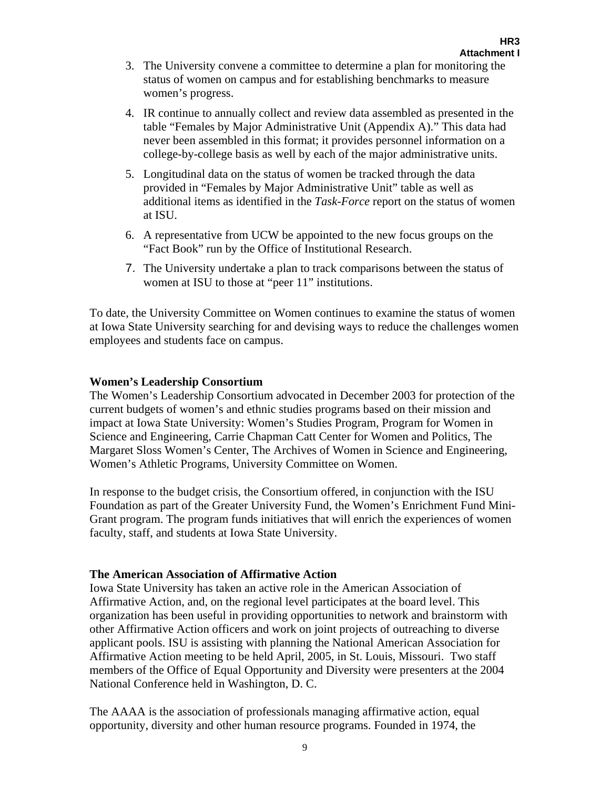- 3. The University convene a committee to determine a plan for monitoring the status of women on campus and for establishing benchmarks to measure women's progress.
- 4. IR continue to annually collect and review data assembled as presented in the table "Females by Major Administrative Unit (Appendix A)." This data had never been assembled in this format; it provides personnel information on a college-by-college basis as well by each of the major administrative units.
- 5. Longitudinal data on the status of women be tracked through the data provided in "Females by Major Administrative Unit" table as well as additional items as identified in the *Task-Force* report on the status of women at ISU.
- 6. A representative from UCW be appointed to the new focus groups on the "Fact Book" run by the Office of Institutional Research.
- 7. The University undertake a plan to track comparisons between the status of women at ISU to those at "peer 11" institutions.

To date, the University Committee on Women continues to examine the status of women at Iowa State University searching for and devising ways to reduce the challenges women employees and students face on campus.

### **Women's Leadership Consortium**

The Women's Leadership Consortium advocated in December 2003 for protection of the current budgets of women's and ethnic studies programs based on their mission and impact at Iowa State University: Women's Studies Program, Program for Women in Science and Engineering, Carrie Chapman Catt Center for Women and Politics, The Margaret Sloss Women's Center, The Archives of Women in Science and Engineering, Women's Athletic Programs, University Committee on Women.

In response to the budget crisis, the Consortium offered, in conjunction with the ISU Foundation as part of the Greater University Fund, the Women's Enrichment Fund Mini-Grant program. The program funds initiatives that will enrich the experiences of women faculty, staff, and students at Iowa State University.

#### **The American Association of Affirmative Action**

Iowa State University has taken an active role in the American Association of Affirmative Action, and, on the regional level participates at the board level. This organization has been useful in providing opportunities to network and brainstorm with other Affirmative Action officers and work on joint projects of outreaching to diverse applicant pools. ISU is assisting with planning the National American Association for Affirmative Action meeting to be held April, 2005, in St. Louis, Missouri. Two staff members of the Office of Equal Opportunity and Diversity were presenters at the 2004 National Conference held in Washington, D. C.

The AAAA is the association of professionals managing affirmative action, equal opportunity, diversity and other human resource programs. Founded in 1974, the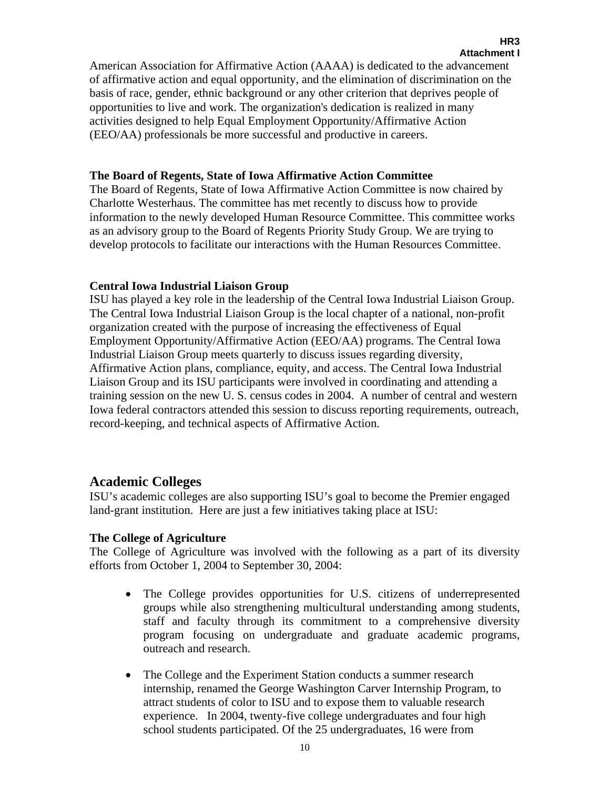American Association for Affirmative Action (AAAA) is dedicated to the advancement of affirmative action and equal opportunity, and the elimination of discrimination on the basis of race, gender, ethnic background or any other criterion that deprives people of opportunities to live and work. The organization's dedication is realized in many activities designed to help Equal Employment Opportunity/Affirmative Action (EEO/AA) professionals be more successful and productive in careers.

### **The Board of Regents, State of Iowa Affirmative Action Committee**

The Board of Regents, State of Iowa Affirmative Action Committee is now chaired by Charlotte Westerhaus. The committee has met recently to discuss how to provide information to the newly developed Human Resource Committee. This committee works as an advisory group to the Board of Regents Priority Study Group. We are trying to develop protocols to facilitate our interactions with the Human Resources Committee.

# **Central Iowa Industrial Liaison Group**

ISU has played a key role in the leadership of the Central Iowa Industrial Liaison Group. The Central Iowa Industrial Liaison Group is the local chapter of a national, non-profit organization created with the purpose of increasing the effectiveness of Equal Employment Opportunity/Affirmative Action (EEO/AA) programs. The Central Iowa Industrial Liaison Group meets quarterly to discuss issues regarding diversity, Affirmative Action plans, compliance, equity, and access. The Central Iowa Industrial Liaison Group and its ISU participants were involved in coordinating and attending a training session on the new U. S. census codes in 2004. A number of central and western Iowa federal contractors attended this session to discuss reporting requirements, outreach, record-keeping, and technical aspects of Affirmative Action.

# **Academic Colleges**

ISU's academic colleges are also supporting ISU's goal to become the Premier engaged land-grant institution. Here are just a few initiatives taking place at ISU:

# **The College of Agriculture**

The College of Agriculture was involved with the following as a part of its diversity efforts from October 1, 2004 to September 30, 2004:

- The College provides opportunities for U.S. citizens of underrepresented groups while also strengthening multicultural understanding among students, staff and faculty through its commitment to a comprehensive diversity program focusing on undergraduate and graduate academic programs, outreach and research.
- The College and the Experiment Station conducts a summer research internship, renamed the George Washington Carver Internship Program, to attract students of color to ISU and to expose them to valuable research experience. In 2004, twenty-five college undergraduates and four high school students participated. Of the 25 undergraduates, 16 were from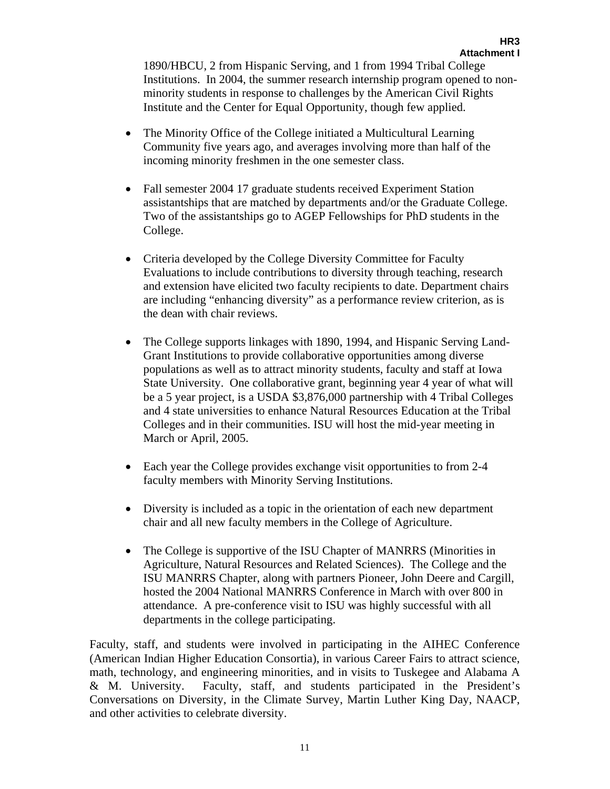1890/HBCU, 2 from Hispanic Serving, and 1 from 1994 Tribal College Institutions. In 2004, the summer research internship program opened to nonminority students in response to challenges by the American Civil Rights Institute and the Center for Equal Opportunity, though few applied.

- The Minority Office of the College initiated a Multicultural Learning Community five years ago, and averages involving more than half of the incoming minority freshmen in the one semester class.
- Fall semester 2004 17 graduate students received Experiment Station assistantships that are matched by departments and/or the Graduate College. Two of the assistantships go to AGEP Fellowships for PhD students in the College.
- Criteria developed by the College Diversity Committee for Faculty Evaluations to include contributions to diversity through teaching, research and extension have elicited two faculty recipients to date. Department chairs are including "enhancing diversity" as a performance review criterion, as is the dean with chair reviews.
- The College supports linkages with 1890, 1994, and Hispanic Serving Land-Grant Institutions to provide collaborative opportunities among diverse populations as well as to attract minority students, faculty and staff at Iowa State University. One collaborative grant, beginning year 4 year of what will be a 5 year project, is a USDA \$3,876,000 partnership with 4 Tribal Colleges and 4 state universities to enhance Natural Resources Education at the Tribal Colleges and in their communities. ISU will host the mid-year meeting in March or April, 2005.
- Each year the College provides exchange visit opportunities to from 2-4 faculty members with Minority Serving Institutions.
- Diversity is included as a topic in the orientation of each new department chair and all new faculty members in the College of Agriculture.
- The College is supportive of the ISU Chapter of MANRRS (Minorities in Agriculture, Natural Resources and Related Sciences). The College and the ISU MANRRS Chapter, along with partners Pioneer, John Deere and Cargill, hosted the 2004 National MANRRS Conference in March with over 800 in attendance. A pre-conference visit to ISU was highly successful with all departments in the college participating.

Faculty, staff, and students were involved in participating in the AIHEC Conference (American Indian Higher Education Consortia), in various Career Fairs to attract science, math, technology, and engineering minorities, and in visits to Tuskegee and Alabama A & M. University. Faculty, staff, and students participated in the President's Conversations on Diversity, in the Climate Survey, Martin Luther King Day, NAACP, and other activities to celebrate diversity.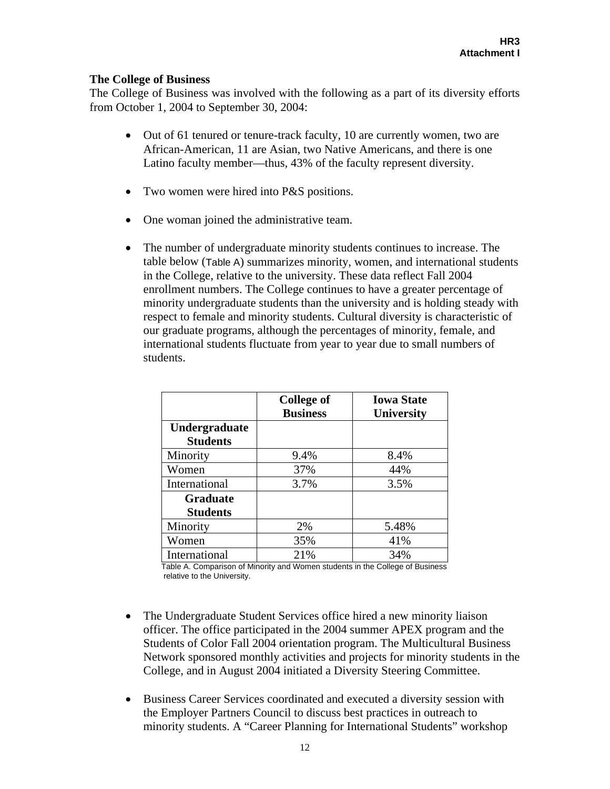### **The College of Business**

The College of Business was involved with the following as a part of its diversity efforts from October 1, 2004 to September 30, 2004:

- Out of 61 tenured or tenure-track faculty, 10 are currently women, two are African-American, 11 are Asian, two Native Americans, and there is one Latino faculty member—thus, 43% of the faculty represent diversity.
- Two women were hired into P&S positions.
- One woman joined the administrative team.
- The number of undergraduate minority students continues to increase. The table below (Table A) summarizes minority, women, and international students in the College, relative to the university. These data reflect Fall 2004 enrollment numbers. The College continues to have a greater percentage of minority undergraduate students than the university and is holding steady with respect to female and minority students. Cultural diversity is characteristic of our graduate programs, although the percentages of minority, female, and international students fluctuate from year to year due to small numbers of students.

|                                    | <b>College of</b><br><b>Business</b> | <b>Iowa State</b><br><b>University</b> |
|------------------------------------|--------------------------------------|----------------------------------------|
| Undergraduate<br><b>Students</b>   |                                      |                                        |
| Minority                           | 9.4%                                 | 8.4%                                   |
| Women                              | 37%                                  | 44%                                    |
| International                      | 3.7%                                 | 3.5%                                   |
| <b>Graduate</b><br><b>Students</b> |                                      |                                        |
| Minority                           | 2%                                   | 5.48%                                  |
| Women                              | 35%                                  | 41%                                    |
| International                      | 21%                                  | 34%                                    |

Table A. Comparison of Minority and Women students in the College of Business relative to the University.

- The Undergraduate Student Services office hired a new minority liaison officer. The office participated in the 2004 summer APEX program and the Students of Color Fall 2004 orientation program. The Multicultural Business Network sponsored monthly activities and projects for minority students in the College, and in August 2004 initiated a Diversity Steering Committee.
- Business Career Services coordinated and executed a diversity session with the Employer Partners Council to discuss best practices in outreach to minority students. A "Career Planning for International Students" workshop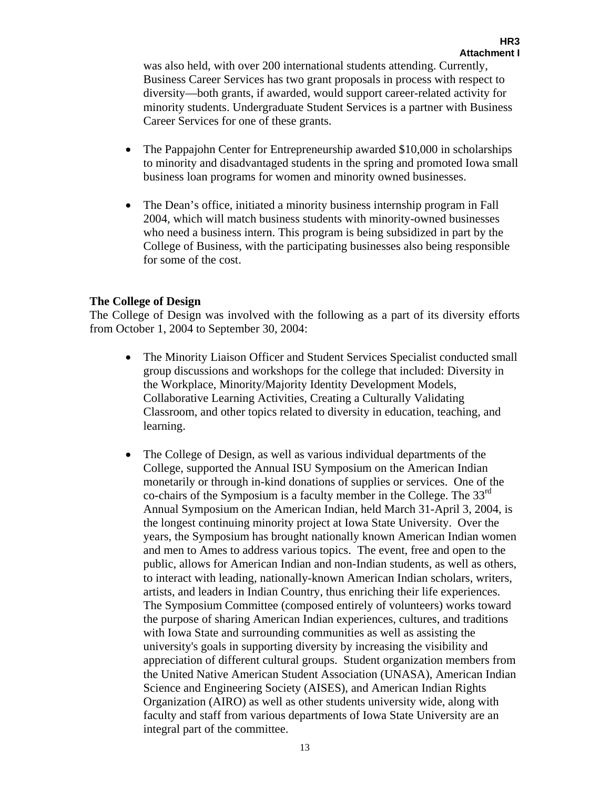was also held, with over 200 international students attending. Currently, Business Career Services has two grant proposals in process with respect to diversity—both grants, if awarded, would support career-related activity for minority students. Undergraduate Student Services is a partner with Business Career Services for one of these grants.

- The Pappajohn Center for Entrepreneurship awarded \$10,000 in scholarships to minority and disadvantaged students in the spring and promoted Iowa small business loan programs for women and minority owned businesses.
- The Dean's office, initiated a minority business internship program in Fall 2004, which will match business students with minority-owned businesses who need a business intern. This program is being subsidized in part by the College of Business, with the participating businesses also being responsible for some of the cost.

#### **The College of Design**

The College of Design was involved with the following as a part of its diversity efforts from October 1, 2004 to September 30, 2004:

- The Minority Liaison Officer and Student Services Specialist conducted small group discussions and workshops for the college that included: Diversity in the Workplace, Minority/Majority Identity Development Models, Collaborative Learning Activities, Creating a Culturally Validating Classroom, and other topics related to diversity in education, teaching, and learning.
- The College of Design, as well as various individual departments of the College, supported the Annual ISU Symposium on the American Indian monetarily or through in-kind donations of supplies or services. One of the co-chairs of the Symposium is a faculty member in the College. The 33rd Annual Symposium on the American Indian, held March 31-April 3, 2004, is the longest continuing minority project at Iowa State University. Over the years, the Symposium has brought nationally known American Indian women and men to Ames to address various topics. The event, free and open to the public, allows for American Indian and non-Indian students, as well as others, to interact with leading, nationally-known American Indian scholars, writers, artists, and leaders in Indian Country, thus enriching their life experiences. The Symposium Committee (composed entirely of volunteers) works toward the purpose of sharing American Indian experiences, cultures, and traditions with Iowa State and surrounding communities as well as assisting the university's goals in supporting diversity by increasing the visibility and appreciation of different cultural groups. Student organization members from the United Native American Student Association (UNASA), American Indian Science and Engineering Society (AISES), and American Indian Rights Organization (AIRO) as well as other students university wide, along with faculty and staff from various departments of Iowa State University are an integral part of the committee.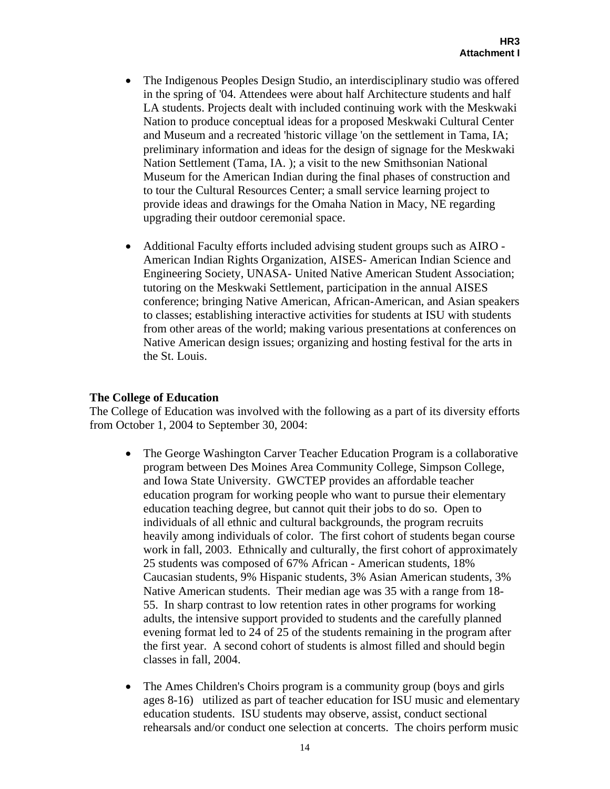- The Indigenous Peoples Design Studio, an interdisciplinary studio was offered in the spring of '04. Attendees were about half Architecture students and half LA students. Projects dealt with included continuing work with the Meskwaki Nation to produce conceptual ideas for a proposed Meskwaki Cultural Center and Museum and a recreated 'historic village 'on the settlement in Tama, IA; preliminary information and ideas for the design of signage for the Meskwaki Nation Settlement (Tama, IA. ); a visit to the new Smithsonian National Museum for the American Indian during the final phases of construction and to tour the Cultural Resources Center; a small service learning project to provide ideas and drawings for the Omaha Nation in Macy, NE regarding upgrading their outdoor ceremonial space.
- Additional Faculty efforts included advising student groups such as AIRO American Indian Rights Organization, AISES- American Indian Science and Engineering Society, UNASA- United Native American Student Association; tutoring on the Meskwaki Settlement, participation in the annual AISES conference; bringing Native American, African-American, and Asian speakers to classes; establishing interactive activities for students at ISU with students from other areas of the world; making various presentations at conferences on Native American design issues; organizing and hosting festival for the arts in the St. Louis.

#### **The College of Education**

The College of Education was involved with the following as a part of its diversity efforts from October 1, 2004 to September 30, 2004:

- The George Washington Carver Teacher Education Program is a collaborative program between Des Moines Area Community College, Simpson College, and Iowa State University. GWCTEP provides an affordable teacher education program for working people who want to pursue their elementary education teaching degree, but cannot quit their jobs to do so. Open to individuals of all ethnic and cultural backgrounds, the program recruits heavily among individuals of color. The first cohort of students began course work in fall, 2003. Ethnically and culturally, the first cohort of approximately 25 students was composed of 67% African - American students, 18% Caucasian students, 9% Hispanic students, 3% Asian American students, 3% Native American students. Their median age was 35 with a range from 18- 55. In sharp contrast to low retention rates in other programs for working adults, the intensive support provided to students and the carefully planned evening format led to 24 of 25 of the students remaining in the program after the first year. A second cohort of students is almost filled and should begin classes in fall, 2004.
- The Ames Children's Choirs program is a community group (boys and girls ages 8-16) utilized as part of teacher education for ISU music and elementary education students. ISU students may observe, assist, conduct sectional rehearsals and/or conduct one selection at concerts. The choirs perform music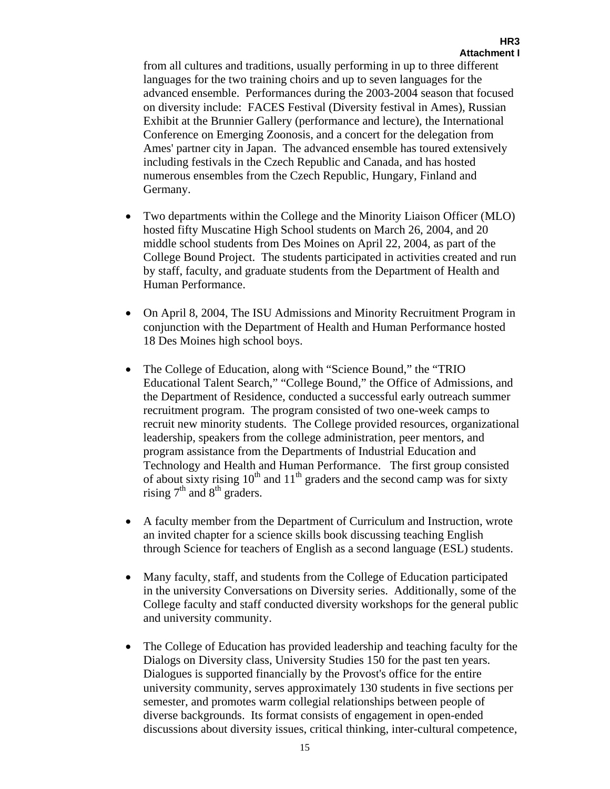from all cultures and traditions, usually performing in up to three different languages for the two training choirs and up to seven languages for the advanced ensemble. Performances during the 2003-2004 season that focused on diversity include: FACES Festival (Diversity festival in Ames), Russian Exhibit at the Brunnier Gallery (performance and lecture), the International Conference on Emerging Zoonosis, and a concert for the delegation from Ames' partner city in Japan. The advanced ensemble has toured extensively including festivals in the Czech Republic and Canada, and has hosted numerous ensembles from the Czech Republic, Hungary, Finland and Germany.

- Two departments within the College and the Minority Liaison Officer (MLO) hosted fifty Muscatine High School students on March 26, 2004, and 20 middle school students from Des Moines on April 22, 2004, as part of the College Bound Project. The students participated in activities created and run by staff, faculty, and graduate students from the Department of Health and Human Performance.
- On April 8, 2004, The ISU Admissions and Minority Recruitment Program in conjunction with the Department of Health and Human Performance hosted 18 Des Moines high school boys.
- The College of Education, along with "Science Bound," the "TRIO" Educational Talent Search," "College Bound," the Office of Admissions, and the Department of Residence, conducted a successful early outreach summer recruitment program. The program consisted of two one-week camps to recruit new minority students. The College provided resources, organizational leadership, speakers from the college administration, peer mentors, and program assistance from the Departments of Industrial Education and Technology and Health and Human Performance. The first group consisted of about sixty rising  $10^{th}$  and  $11^{th}$  graders and the second camp was for sixty rising  $7<sup>th</sup>$  and  $8<sup>th</sup>$  graders.
- A faculty member from the Department of Curriculum and Instruction, wrote an invited chapter for a science skills book discussing teaching English through Science for teachers of English as a second language (ESL) students.
- Many faculty, staff, and students from the College of Education participated in the university Conversations on Diversity series. Additionally, some of the College faculty and staff conducted diversity workshops for the general public and university community.
- The College of Education has provided leadership and teaching faculty for the Dialogs on Diversity class, University Studies 150 for the past ten years. Dialogues is supported financially by the Provost's office for the entire university community, serves approximately 130 students in five sections per semester, and promotes warm collegial relationships between people of diverse backgrounds. Its format consists of engagement in open-ended discussions about diversity issues, critical thinking, inter-cultural competence,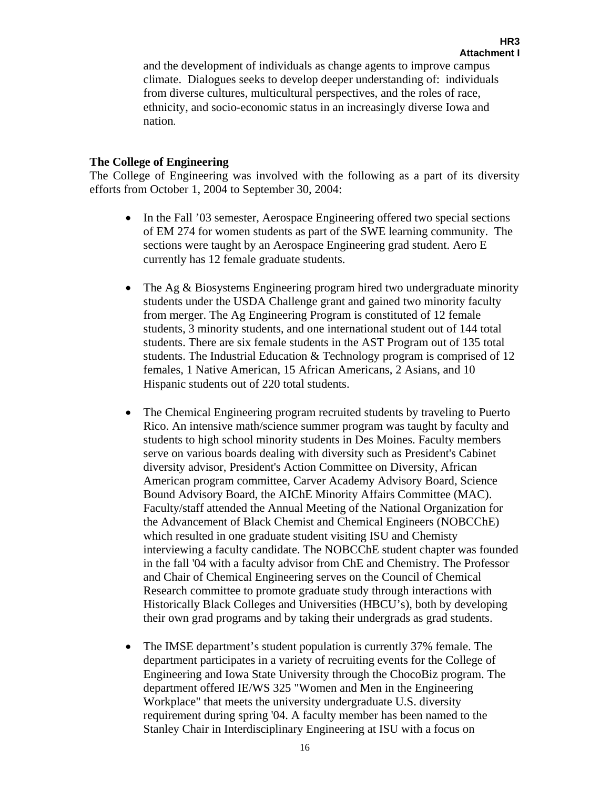and the development of individuals as change agents to improve campus climate. Dialogues seeks to develop deeper understanding of: individuals from diverse cultures, multicultural perspectives, and the roles of race, ethnicity, and socio-economic status in an increasingly diverse Iowa and nation.

### **The College of Engineering**

The College of Engineering was involved with the following as a part of its diversity efforts from October 1, 2004 to September 30, 2004:

- In the Fall '03 semester, Aerospace Engineering offered two special sections of EM 274 for women students as part of the SWE learning community. The sections were taught by an Aerospace Engineering grad student. Aero E currently has 12 female graduate students.
- The Ag & Biosystems Engineering program hired two undergraduate minority students under the USDA Challenge grant and gained two minority faculty from merger. The Ag Engineering Program is constituted of 12 female students, 3 minority students, and one international student out of 144 total students. There are six female students in the AST Program out of 135 total students. The Industrial Education & Technology program is comprised of 12 females, 1 Native American, 15 African Americans, 2 Asians, and 10 Hispanic students out of 220 total students.
- The Chemical Engineering program recruited students by traveling to Puerto Rico. An intensive math/science summer program was taught by faculty and students to high school minority students in Des Moines. Faculty members serve on various boards dealing with diversity such as President's Cabinet diversity advisor, President's Action Committee on Diversity, African American program committee, Carver Academy Advisory Board, Science Bound Advisory Board, the AIChE Minority Affairs Committee (MAC). Faculty/staff attended the Annual Meeting of the National Organization for the Advancement of Black Chemist and Chemical Engineers (NOBCChE) which resulted in one graduate student visiting ISU and Chemisty interviewing a faculty candidate. The NOBCChE student chapter was founded in the fall '04 with a faculty advisor from ChE and Chemistry. The Professor and Chair of Chemical Engineering serves on the Council of Chemical Research committee to promote graduate study through interactions with Historically Black Colleges and Universities (HBCU's), both by developing their own grad programs and by taking their undergrads as grad students.
- The IMSE department's student population is currently 37% female. The department participates in a variety of recruiting events for the College of Engineering and Iowa State University through the ChocoBiz program. The department offered IE/WS 325 "Women and Men in the Engineering Workplace" that meets the university undergraduate U.S. diversity requirement during spring '04. A faculty member has been named to the Stanley Chair in Interdisciplinary Engineering at ISU with a focus on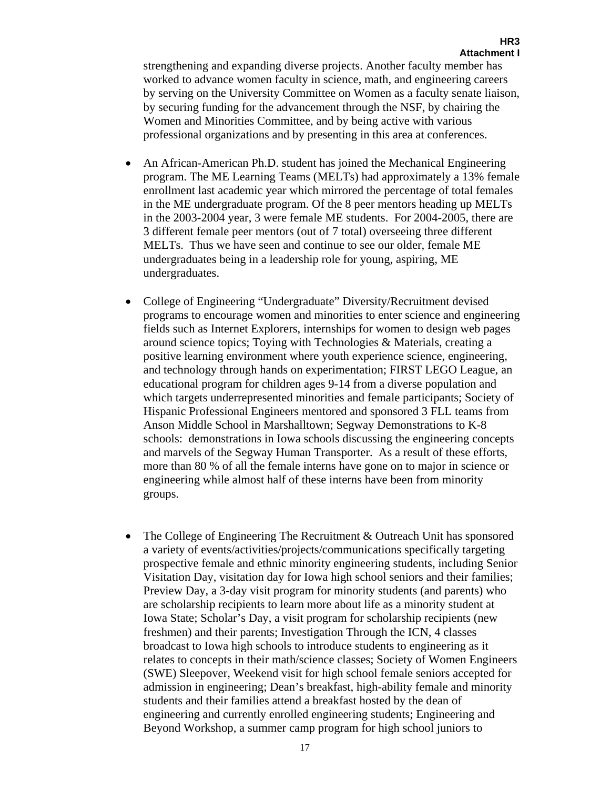strengthening and expanding diverse projects. Another faculty member has worked to advance women faculty in science, math, and engineering careers by serving on the University Committee on Women as a faculty senate liaison, by securing funding for the advancement through the NSF, by chairing the Women and Minorities Committee, and by being active with various professional organizations and by presenting in this area at conferences.

- An African-American Ph.D. student has joined the Mechanical Engineering program. The ME Learning Teams (MELTs) had approximately a 13% female enrollment last academic year which mirrored the percentage of total females in the ME undergraduate program. Of the 8 peer mentors heading up MELTs in the 2003-2004 year, 3 were female ME students. For 2004-2005, there are 3 different female peer mentors (out of 7 total) overseeing three different MELTs. Thus we have seen and continue to see our older, female ME undergraduates being in a leadership role for young, aspiring, ME undergraduates.
- College of Engineering "Undergraduate" Diversity/Recruitment devised programs to encourage women and minorities to enter science and engineering fields such as Internet Explorers, internships for women to design web pages around science topics; Toying with Technologies & Materials, creating a positive learning environment where youth experience science, engineering, and technology through hands on experimentation; FIRST LEGO League, an educational program for children ages 9-14 from a diverse population and which targets underrepresented minorities and female participants; Society of Hispanic Professional Engineers mentored and sponsored 3 FLL teams from Anson Middle School in Marshalltown; Segway Demonstrations to K-8 schools: demonstrations in Iowa schools discussing the engineering concepts and marvels of the Segway Human Transporter. As a result of these efforts, more than 80 % of all the female interns have gone on to major in science or engineering while almost half of these interns have been from minority groups.
- The College of Engineering The Recruitment & Outreach Unit has sponsored a variety of events/activities/projects/communications specifically targeting prospective female and ethnic minority engineering students, including Senior Visitation Day, visitation day for Iowa high school seniors and their families; Preview Day, a 3-day visit program for minority students (and parents) who are scholarship recipients to learn more about life as a minority student at Iowa State; Scholar's Day, a visit program for scholarship recipients (new freshmen) and their parents; Investigation Through the ICN, 4 classes broadcast to Iowa high schools to introduce students to engineering as it relates to concepts in their math/science classes; Society of Women Engineers (SWE) Sleepover, Weekend visit for high school female seniors accepted for admission in engineering; Dean's breakfast, high-ability female and minority students and their families attend a breakfast hosted by the dean of engineering and currently enrolled engineering students; Engineering and Beyond Workshop, a summer camp program for high school juniors to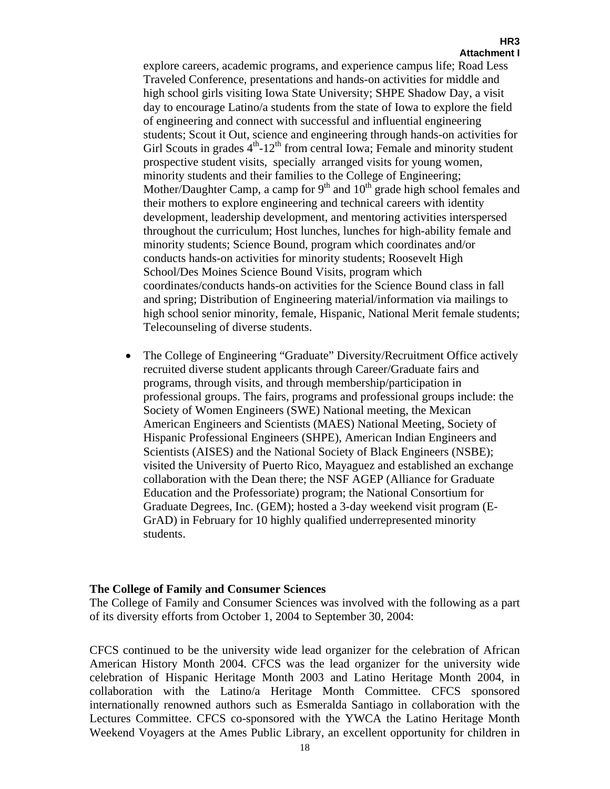explore careers, academic programs, and experience campus life; Road Less Traveled Conference, presentations and hands-on activities for middle and high school girls visiting Iowa State University; SHPE Shadow Day, a visit day to encourage Latino/a students from the state of Iowa to explore the field of engineering and connect with successful and influential engineering students; Scout it Out, science and engineering through hands-on activities for Girl Scouts in grades  $4<sup>th</sup>$ -12<sup>th</sup> from central Iowa; Female and minority student prospective student visits, specially arranged visits for young women, minority students and their families to the College of Engineering; Mother/Daughter Camp, a camp for  $9<sup>th</sup>$  and  $10<sup>th</sup>$  grade high school females and their mothers to explore engineering and technical careers with identity development, leadership development, and mentoring activities interspersed throughout the curriculum; Host lunches, lunches for high-ability female and minority students; Science Bound, program which coordinates and/or conducts hands-on activities for minority students; Roosevelt High School/Des Moines Science Bound Visits, program which coordinates/conducts hands-on activities for the Science Bound class in fall and spring; Distribution of Engineering material/information via mailings to high school senior minority, female, Hispanic, National Merit female students; Telecounseling of diverse students.

• The College of Engineering "Graduate" Diversity/Recruitment Office actively recruited diverse student applicants through Career/Graduate fairs and programs, through visits, and through membership/participation in professional groups. The fairs, programs and professional groups include: the Society of Women Engineers (SWE) National meeting, the Mexican American Engineers and Scientists (MAES) National Meeting, Society of Hispanic Professional Engineers (SHPE), American Indian Engineers and Scientists (AISES) and the National Society of Black Engineers (NSBE); visited the University of Puerto Rico, Mayaguez and established an exchange collaboration with the Dean there; the NSF AGEP (Alliance for Graduate Education and the Professoriate) program; the National Consortium for Graduate Degrees, Inc. (GEM); hosted a 3-day weekend visit program (E-GrAD) in February for 10 highly qualified underrepresented minority students.

### **The College of Family and Consumer Sciences**

The College of Family and Consumer Sciences was involved with the following as a part of its diversity efforts from October 1, 2004 to September 30, 2004:

CFCS continued to be the university wide lead organizer for the celebration of African American History Month 2004. CFCS was the lead organizer for the university wide celebration of Hispanic Heritage Month 2003 and Latino Heritage Month 2004, in collaboration with the Latino/a Heritage Month Committee. CFCS sponsored internationally renowned authors such as Esmeralda Santiago in collaboration with the Lectures Committee. CFCS co-sponsored with the YWCA the Latino Heritage Month Weekend Voyagers at the Ames Public Library, an excellent opportunity for children in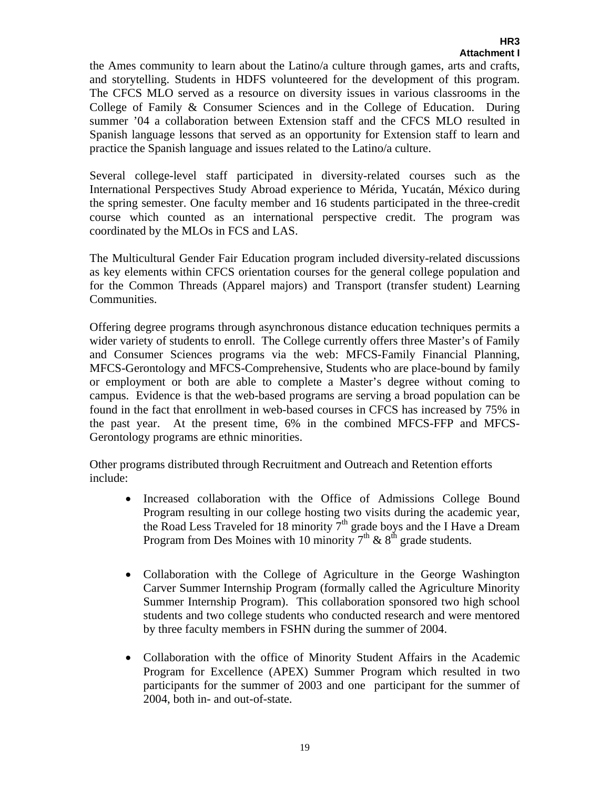the Ames community to learn about the Latino/a culture through games, arts and crafts, and storytelling. Students in HDFS volunteered for the development of this program. The CFCS MLO served as a resource on diversity issues in various classrooms in the College of Family & Consumer Sciences and in the College of Education. During summer '04 a collaboration between Extension staff and the CFCS MLO resulted in Spanish language lessons that served as an opportunity for Extension staff to learn and practice the Spanish language and issues related to the Latino/a culture.

Several college-level staff participated in diversity-related courses such as the International Perspectives Study Abroad experience to Mérida, Yucatán, México during the spring semester. One faculty member and 16 students participated in the three-credit course which counted as an international perspective credit. The program was coordinated by the MLOs in FCS and LAS.

The Multicultural Gender Fair Education program included diversity-related discussions as key elements within CFCS orientation courses for the general college population and for the Common Threads (Apparel majors) and Transport (transfer student) Learning Communities.

Offering degree programs through asynchronous distance education techniques permits a wider variety of students to enroll. The College currently offers three Master's of Family and Consumer Sciences programs via the web: MFCS-Family Financial Planning, MFCS-Gerontology and MFCS-Comprehensive, Students who are place-bound by family or employment or both are able to complete a Master's degree without coming to campus. Evidence is that the web-based programs are serving a broad population can be found in the fact that enrollment in web-based courses in CFCS has increased by 75% in the past year. At the present time, 6% in the combined MFCS-FFP and MFCS-Gerontology programs are ethnic minorities.

Other programs distributed through Recruitment and Outreach and Retention efforts include:

- Increased collaboration with the Office of Admissions College Bound Program resulting in our college hosting two visits during the academic year, the Road Less Traveled for 18 minority  $7<sup>th</sup>$  grade boys and the I Have a Dream Program from Des Moines with 10 minority  $7<sup>th</sup>$  &  $8<sup>th</sup>$  grade students.
- Collaboration with the College of Agriculture in the George Washington Carver Summer Internship Program (formally called the Agriculture Minority Summer Internship Program). This collaboration sponsored two high school students and two college students who conducted research and were mentored by three faculty members in FSHN during the summer of 2004.
- Collaboration with the office of Minority Student Affairs in the Academic Program for Excellence (APEX) Summer Program which resulted in two participants for the summer of 2003 and one participant for the summer of 2004, both in- and out-of-state.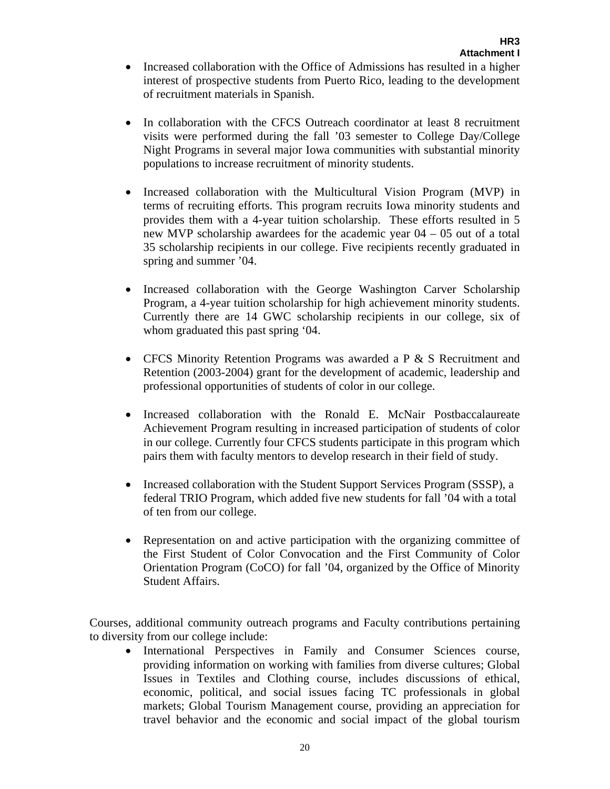- Increased collaboration with the Office of Admissions has resulted in a higher interest of prospective students from Puerto Rico, leading to the development of recruitment materials in Spanish.
- In collaboration with the CFCS Outreach coordinator at least 8 recruitment visits were performed during the fall '03 semester to College Day/College Night Programs in several major Iowa communities with substantial minority populations to increase recruitment of minority students.
- Increased collaboration with the Multicultural Vision Program (MVP) in terms of recruiting efforts. This program recruits Iowa minority students and provides them with a 4-year tuition scholarship. These efforts resulted in 5 new MVP scholarship awardees for the academic year 04 – 05 out of a total 35 scholarship recipients in our college. Five recipients recently graduated in spring and summer '04.
- Increased collaboration with the George Washington Carver Scholarship Program, a 4-year tuition scholarship for high achievement minority students. Currently there are 14 GWC scholarship recipients in our college, six of whom graduated this past spring '04.
- CFCS Minority Retention Programs was awarded a P & S Recruitment and Retention (2003-2004) grant for the development of academic, leadership and professional opportunities of students of color in our college.
- Increased collaboration with the Ronald E. McNair Postbaccalaureate Achievement Program resulting in increased participation of students of color in our college. Currently four CFCS students participate in this program which pairs them with faculty mentors to develop research in their field of study.
- Increased collaboration with the Student Support Services Program (SSSP), a federal TRIO Program, which added five new students for fall '04 with a total of ten from our college.
- Representation on and active participation with the organizing committee of the First Student of Color Convocation and the First Community of Color Orientation Program (CoCO) for fall '04, organized by the Office of Minority Student Affairs.

Courses, additional community outreach programs and Faculty contributions pertaining to diversity from our college include:

• International Perspectives in Family and Consumer Sciences course, providing information on working with families from diverse cultures; Global Issues in Textiles and Clothing course, includes discussions of ethical, economic, political, and social issues facing TC professionals in global markets; Global Tourism Management course, providing an appreciation for travel behavior and the economic and social impact of the global tourism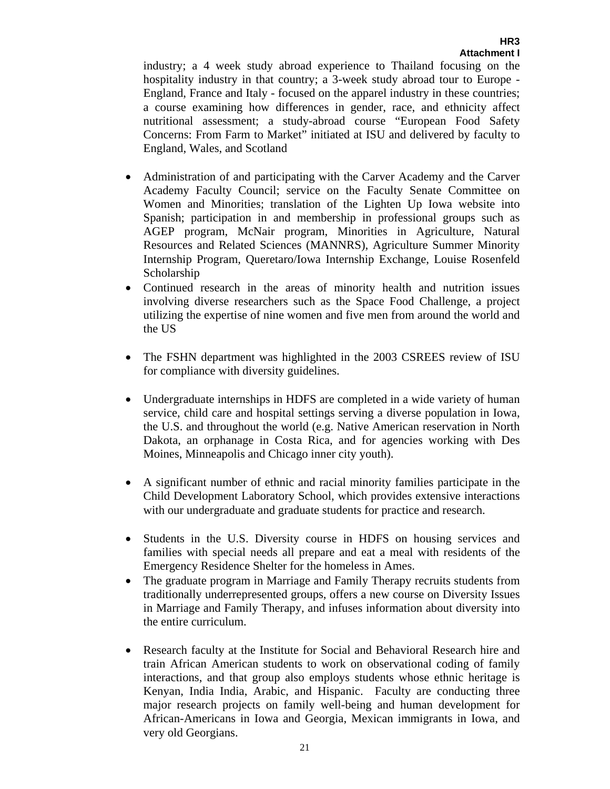industry; a 4 week study abroad experience to Thailand focusing on the hospitality industry in that country; a 3-week study abroad tour to Europe - England, France and Italy - focused on the apparel industry in these countries; a course examining how differences in gender, race, and ethnicity affect nutritional assessment; a study-abroad course "European Food Safety Concerns: From Farm to Market" initiated at ISU and delivered by faculty to England, Wales, and Scotland

- Administration of and participating with the Carver Academy and the Carver Academy Faculty Council; service on the Faculty Senate Committee on Women and Minorities; translation of the Lighten Up Iowa website into Spanish; participation in and membership in professional groups such as AGEP program, McNair program, Minorities in Agriculture, Natural Resources and Related Sciences (MANNRS), Agriculture Summer Minority Internship Program, Queretaro/Iowa Internship Exchange, Louise Rosenfeld Scholarship
- Continued research in the areas of minority health and nutrition issues involving diverse researchers such as the Space Food Challenge, a project utilizing the expertise of nine women and five men from around the world and the US
- The FSHN department was highlighted in the 2003 CSREES review of ISU for compliance with diversity guidelines.
- Undergraduate internships in HDFS are completed in a wide variety of human service, child care and hospital settings serving a diverse population in Iowa, the U.S. and throughout the world (e.g. Native American reservation in North Dakota, an orphanage in Costa Rica, and for agencies working with Des Moines, Minneapolis and Chicago inner city youth).
- A significant number of ethnic and racial minority families participate in the Child Development Laboratory School, which provides extensive interactions with our undergraduate and graduate students for practice and research.
- Students in the U.S. Diversity course in HDFS on housing services and families with special needs all prepare and eat a meal with residents of the Emergency Residence Shelter for the homeless in Ames.
- The graduate program in Marriage and Family Therapy recruits students from traditionally underrepresented groups, offers a new course on Diversity Issues in Marriage and Family Therapy, and infuses information about diversity into the entire curriculum.
- Research faculty at the Institute for Social and Behavioral Research hire and train African American students to work on observational coding of family interactions, and that group also employs students whose ethnic heritage is Kenyan, India India, Arabic, and Hispanic. Faculty are conducting three major research projects on family well-being and human development for African-Americans in Iowa and Georgia, Mexican immigrants in Iowa, and very old Georgians.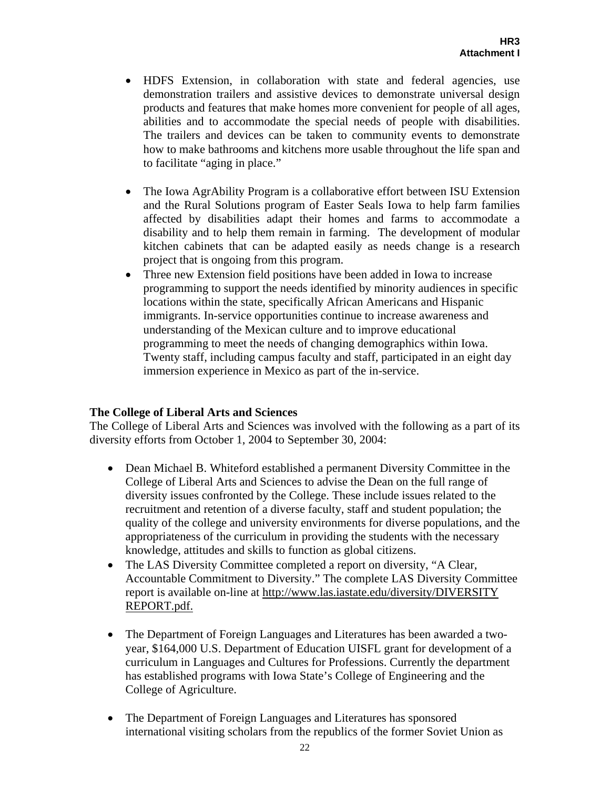- HDFS Extension, in collaboration with state and federal agencies, use demonstration trailers and assistive devices to demonstrate universal design products and features that make homes more convenient for people of all ages, abilities and to accommodate the special needs of people with disabilities. The trailers and devices can be taken to community events to demonstrate how to make bathrooms and kitchens more usable throughout the life span and to facilitate "aging in place."
- The Iowa AgrAbility Program is a collaborative effort between ISU Extension and the Rural Solutions program of Easter Seals Iowa to help farm families affected by disabilities adapt their homes and farms to accommodate a disability and to help them remain in farming. The development of modular kitchen cabinets that can be adapted easily as needs change is a research project that is ongoing from this program.
- Three new Extension field positions have been added in Iowa to increase programming to support the needs identified by minority audiences in specific locations within the state, specifically African Americans and Hispanic immigrants. In-service opportunities continue to increase awareness and understanding of the Mexican culture and to improve educational programming to meet the needs of changing demographics within Iowa. Twenty staff, including campus faculty and staff, participated in an eight day immersion experience in Mexico as part of the in-service.

### **The College of Liberal Arts and Sciences**

The College of Liberal Arts and Sciences was involved with the following as a part of its diversity efforts from October 1, 2004 to September 30, 2004:

- Dean Michael B. Whiteford established a permanent Diversity Committee in the College of Liberal Arts and Sciences to advise the Dean on the full range of diversity issues confronted by the College. These include issues related to the recruitment and retention of a diverse faculty, staff and student population; the quality of the college and university environments for diverse populations, and the appropriateness of the curriculum in providing the students with the necessary knowledge, attitudes and skills to function as global citizens.
- The LAS Diversity Committee completed a report on diversity, "A Clear, Accountable Commitment to Diversity." The complete LAS Diversity Committee report is available on-line at http://www.las.iastate.edu/diversity/DIVERSITY REPORT.pdf.
- The Department of Foreign Languages and Literatures has been awarded a twoyear, \$164,000 U.S. Department of Education UISFL grant for development of a curriculum in Languages and Cultures for Professions. Currently the department has established programs with Iowa State's College of Engineering and the College of Agriculture.
- The Department of Foreign Languages and Literatures has sponsored international visiting scholars from the republics of the former Soviet Union as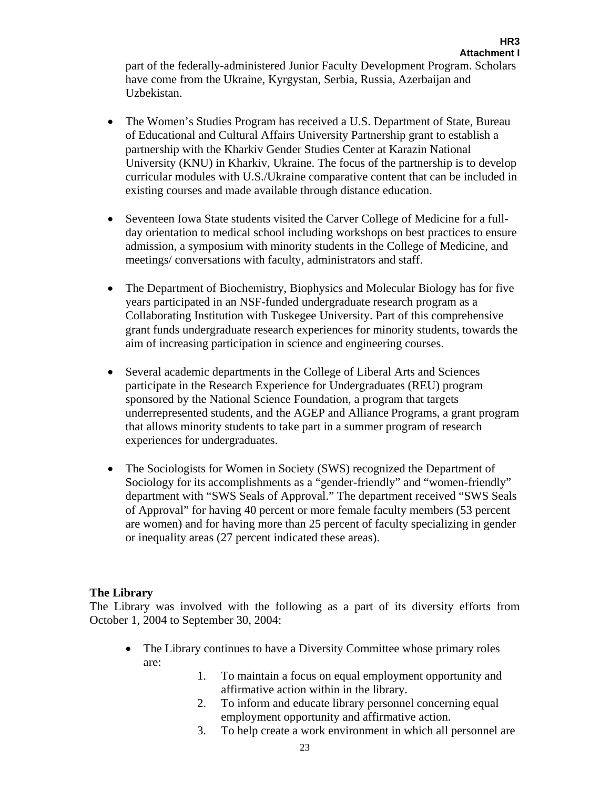part of the federally-administered Junior Faculty Development Program. Scholars have come from the Ukraine, Kyrgystan, Serbia, Russia, Azerbaijan and Uzbekistan.

- The Women's Studies Program has received a U.S. Department of State, Bureau of Educational and Cultural Affairs University Partnership grant to establish a partnership with the Kharkiv Gender Studies Center at Karazin National University (KNU) in Kharkiv, Ukraine. The focus of the partnership is to develop curricular modules with U.S./Ukraine comparative content that can be included in existing courses and made available through distance education.
- Seventeen Iowa State students visited the Carver College of Medicine for a fullday orientation to medical school including workshops on best practices to ensure admission, a symposium with minority students in the College of Medicine, and meetings/ conversations with faculty, administrators and staff.
- The Department of Biochemistry, Biophysics and Molecular Biology has for five years participated in an NSF-funded undergraduate research program as a Collaborating Institution with Tuskegee University. Part of this comprehensive grant funds undergraduate research experiences for minority students, towards the aim of increasing participation in science and engineering courses.
- Several academic departments in the College of Liberal Arts and Sciences participate in the Research Experience for Undergraduates (REU) program sponsored by the National Science Foundation, a program that targets underrepresented students, and the AGEP and Alliance Programs, a grant program that allows minority students to take part in a summer program of research experiences for undergraduates.
- The Sociologists for Women in Society (SWS) recognized the Department of Sociology for its accomplishments as a "gender-friendly" and "women-friendly" department with "SWS Seals of Approval." The department received "SWS Seals of Approval" for having 40 percent or more female faculty members (53 percent are women) and for having more than 25 percent of faculty specializing in gender or inequality areas (27 percent indicated these areas).

### **The Library**

The Library was involved with the following as a part of its diversity efforts from October 1, 2004 to September 30, 2004:

- The Library continues to have a Diversity Committee whose primary roles are:
	- 1. To maintain a focus on equal employment opportunity and affirmative action within in the library.
	- 2. To inform and educate library personnel concerning equal employment opportunity and affirmative action.
	- 3. To help create a work environment in which all personnel are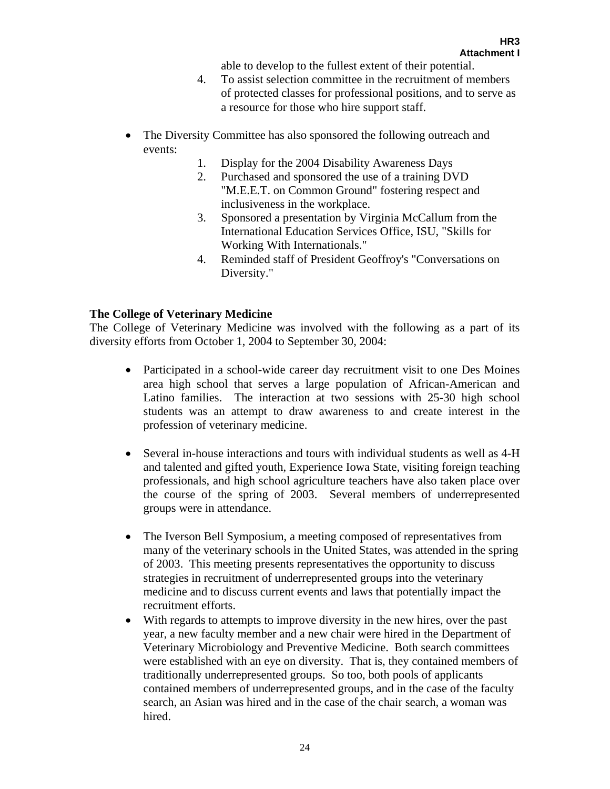able to develop to the fullest extent of their potential.

- 4. To assist selection committee in the recruitment of members of protected classes for professional positions, and to serve as a resource for those who hire support staff.
- The Diversity Committee has also sponsored the following outreach and events:
	- 1. Display for the 2004 Disability Awareness Days
	- 2. Purchased and sponsored the use of a training DVD "M.E.E.T. on Common Ground" fostering respect and inclusiveness in the workplace.
	- 3. Sponsored a presentation by Virginia McCallum from the International Education Services Office, ISU, "Skills for Working With Internationals."
	- 4. Reminded staff of President Geoffroy's "Conversations on Diversity."

# **The College of Veterinary Medicine**

The College of Veterinary Medicine was involved with the following as a part of its diversity efforts from October 1, 2004 to September 30, 2004:

- Participated in a school-wide career day recruitment visit to one Des Moines area high school that serves a large population of African-American and Latino families. The interaction at two sessions with 25-30 high school students was an attempt to draw awareness to and create interest in the profession of veterinary medicine.
- Several in-house interactions and tours with individual students as well as 4-H and talented and gifted youth, Experience Iowa State, visiting foreign teaching professionals, and high school agriculture teachers have also taken place over the course of the spring of 2003. Several members of underrepresented groups were in attendance.
- The Iverson Bell Symposium, a meeting composed of representatives from many of the veterinary schools in the United States, was attended in the spring of 2003. This meeting presents representatives the opportunity to discuss strategies in recruitment of underrepresented groups into the veterinary medicine and to discuss current events and laws that potentially impact the recruitment efforts.
- With regards to attempts to improve diversity in the new hires, over the past year, a new faculty member and a new chair were hired in the Department of Veterinary Microbiology and Preventive Medicine. Both search committees were established with an eye on diversity. That is, they contained members of traditionally underrepresented groups. So too, both pools of applicants contained members of underrepresented groups, and in the case of the faculty search, an Asian was hired and in the case of the chair search, a woman was hired.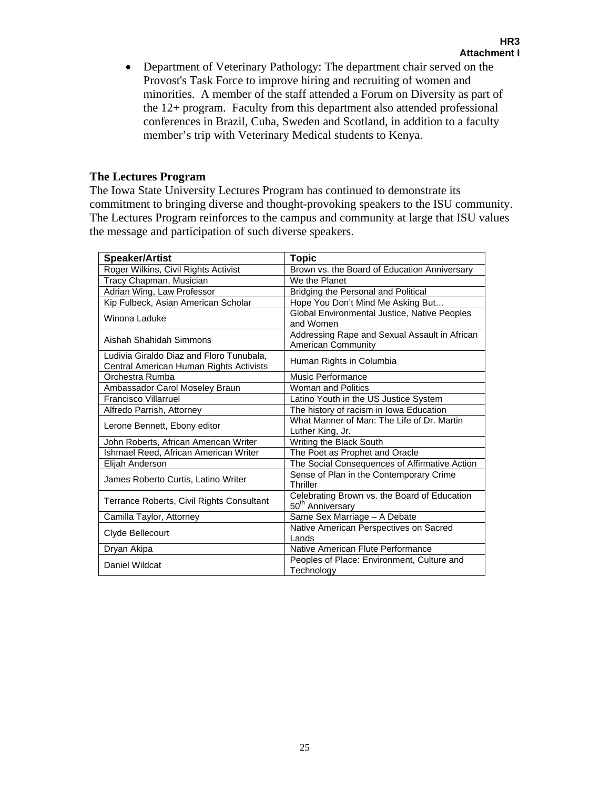• Department of Veterinary Pathology: The department chair served on the Provost's Task Force to improve hiring and recruiting of women and minorities. A member of the staff attended a Forum on Diversity as part of the 12+ program. Faculty from this department also attended professional conferences in Brazil, Cuba, Sweden and Scotland, in addition to a faculty member's trip with Veterinary Medical students to Kenya.

### **The Lectures Program**

The Iowa State University Lectures Program has continued to demonstrate its commitment to bringing diverse and thought-provoking speakers to the ISU community. The Lectures Program reinforces to the campus and community at large that ISU values the message and participation of such diverse speakers.

| <b>Speaker/Artist</b>                                                               | <b>Topic</b>                                                                 |
|-------------------------------------------------------------------------------------|------------------------------------------------------------------------------|
| Roger Wilkins, Civil Rights Activist                                                | Brown vs. the Board of Education Anniversary                                 |
| Tracy Chapman, Musician                                                             | We the Planet                                                                |
| Adrian Wing, Law Professor                                                          | Bridging the Personal and Political                                          |
| Kip Fulbeck, Asian American Scholar                                                 | Hope You Don't Mind Me Asking But                                            |
| Winona Laduke                                                                       | Global Environmental Justice, Native Peoples<br>and Women                    |
| Aishah Shahidah Simmons                                                             | Addressing Rape and Sexual Assault in African<br>American Community          |
| Ludivia Giraldo Diaz and Floro Tunubala.<br>Central American Human Rights Activists | Human Rights in Columbia                                                     |
| Orchestra Rumba                                                                     | <b>Music Performance</b>                                                     |
| Ambassador Carol Moseley Braun                                                      | Woman and Politics                                                           |
| Francisco Villarruel                                                                | Latino Youth in the US Justice System                                        |
| Alfredo Parrish, Attorney                                                           | The history of racism in Iowa Education                                      |
| Lerone Bennett, Ebony editor                                                        | What Manner of Man: The Life of Dr. Martin<br>Luther King, Jr.               |
| John Roberts, African American Writer                                               | Writing the Black South                                                      |
| Ishmael Reed, African American Writer                                               | The Poet as Prophet and Oracle                                               |
| Elijah Anderson                                                                     | The Social Consequences of Affirmative Action                                |
| James Roberto Curtis, Latino Writer                                                 | Sense of Plan in the Contemporary Crime<br>Thriller                          |
| Terrance Roberts, Civil Rights Consultant                                           | Celebrating Brown vs. the Board of Education<br>50 <sup>th</sup> Anniversary |
| Camilla Taylor, Attorney                                                            | Same Sex Marriage - A Debate                                                 |
| Clyde Bellecourt                                                                    | Native American Perspectives on Sacred<br>Lands                              |
| Dryan Akipa                                                                         | Native American Flute Performance                                            |
| Daniel Wildcat                                                                      | Peoples of Place: Environment, Culture and<br>Technology                     |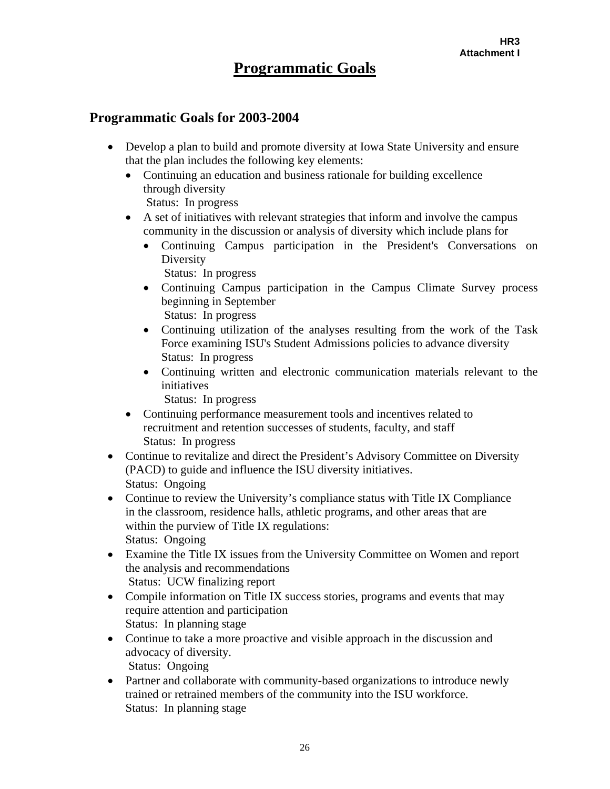# **Programmatic Goals**

# **Programmatic Goals for 2003-2004**

- Develop a plan to build and promote diversity at Iowa State University and ensure that the plan includes the following key elements:
	- Continuing an education and business rationale for building excellence through diversity
		- Status: In progress
	- A set of initiatives with relevant strategies that inform and involve the campus community in the discussion or analysis of diversity which include plans for
		- Continuing Campus participation in the President's Conversations on Diversity

Status: In progress

- Continuing Campus participation in the Campus Climate Survey process beginning in September Status: In progress
- Continuing utilization of the analyses resulting from the work of the Task Force examining ISU's Student Admissions policies to advance diversity Status: In progress
- Continuing written and electronic communication materials relevant to the initiatives

Status: In progress

- Continuing performance measurement tools and incentives related to recruitment and retention successes of students, faculty, and staff Status: In progress
- Continue to revitalize and direct the President's Advisory Committee on Diversity (PACD) to guide and influence the ISU diversity initiatives. Status: Ongoing
- Continue to review the University's compliance status with Title IX Compliance in the classroom, residence halls, athletic programs, and other areas that are within the purview of Title IX regulations: Status: Ongoing
- Examine the Title IX issues from the University Committee on Women and report the analysis and recommendations Status: UCW finalizing report
- Compile information on Title IX success stories, programs and events that may require attention and participation Status: In planning stage
- Continue to take a more proactive and visible approach in the discussion and advocacy of diversity. Status: Ongoing
- Partner and collaborate with community-based organizations to introduce newly trained or retrained members of the community into the ISU workforce. Status: In planning stage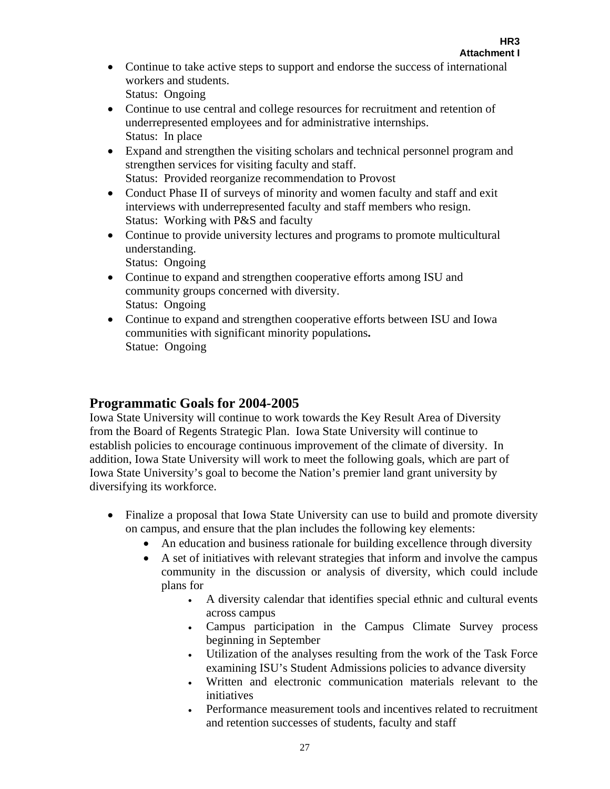- Continue to take active steps to support and endorse the success of international workers and students. Status: Ongoing
- Continue to use central and college resources for recruitment and retention of underrepresented employees and for administrative internships. Status: In place
- Expand and strengthen the visiting scholars and technical personnel program and strengthen services for visiting faculty and staff. Status: Provided reorganize recommendation to Provost
- Conduct Phase II of surveys of minority and women faculty and staff and exit interviews with underrepresented faculty and staff members who resign. Status: Working with P&S and faculty
- Continue to provide university lectures and programs to promote multicultural understanding.

Status: Ongoing

- Continue to expand and strengthen cooperative efforts among ISU and community groups concerned with diversity. Status: Ongoing
- Continue to expand and strengthen cooperative efforts between ISU and Iowa communities with significant minority populations**.** Statue: Ongoing

# **Programmatic Goals for 2004-2005**

Iowa State University will continue to work towards the Key Result Area of Diversity from the Board of Regents Strategic Plan. Iowa State University will continue to establish policies to encourage continuous improvement of the climate of diversity. In addition, Iowa State University will work to meet the following goals, which are part of Iowa State University's goal to become the Nation's premier land grant university by diversifying its workforce.

- Finalize a proposal that Iowa State University can use to build and promote diversity on campus, and ensure that the plan includes the following key elements:
	- An education and business rationale for building excellence through diversity
	- A set of initiatives with relevant strategies that inform and involve the campus community in the discussion or analysis of diversity, which could include plans for
		- A diversity calendar that identifies special ethnic and cultural events across campus
		- Campus participation in the Campus Climate Survey process beginning in September
		- Utilization of the analyses resulting from the work of the Task Force examining ISU's Student Admissions policies to advance diversity
		- Written and electronic communication materials relevant to the initiatives
		- Performance measurement tools and incentives related to recruitment and retention successes of students, faculty and staff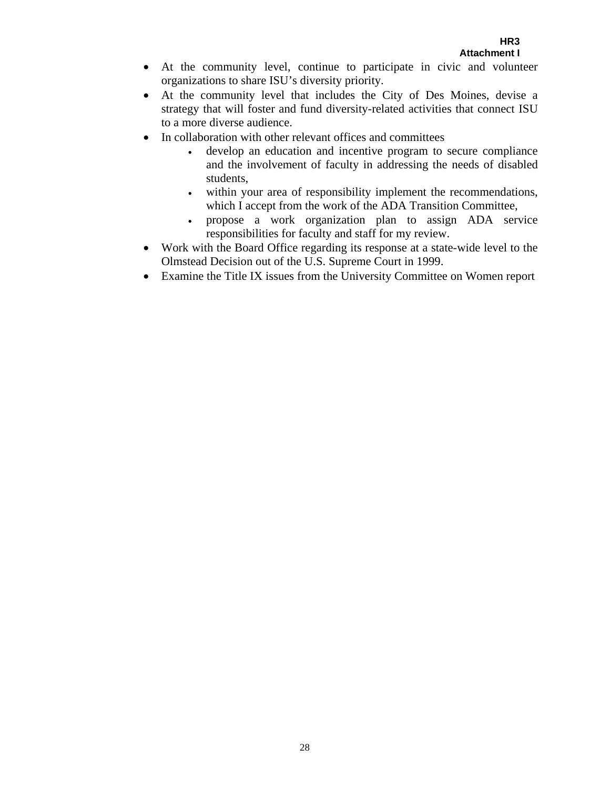- At the community level, continue to participate in civic and volunteer organizations to share ISU's diversity priority.
- At the community level that includes the City of Des Moines, devise a strategy that will foster and fund diversity-related activities that connect ISU to a more diverse audience.
- In collaboration with other relevant offices and committees
	- develop an education and incentive program to secure compliance and the involvement of faculty in addressing the needs of disabled students,
	- within your area of responsibility implement the recommendations, which I accept from the work of the ADA Transition Committee,
	- propose a work organization plan to assign ADA service responsibilities for faculty and staff for my review.
- Work with the Board Office regarding its response at a state-wide level to the Olmstead Decision out of the U.S. Supreme Court in 1999.
- Examine the Title IX issues from the University Committee on Women report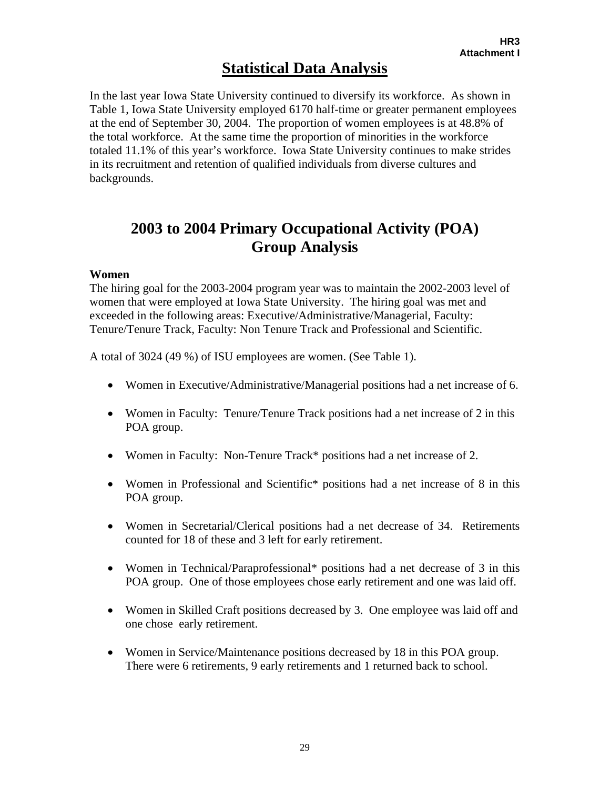# **Statistical Data Analysis**

In the last year Iowa State University continued to diversify its workforce. As shown in Table 1, Iowa State University employed 6170 half-time or greater permanent employees at the end of September 30, 2004. The proportion of women employees is at 48.8% of the total workforce. At the same time the proportion of minorities in the workforce totaled 11.1% of this year's workforce. Iowa State University continues to make strides in its recruitment and retention of qualified individuals from diverse cultures and backgrounds.

# **2003 to 2004 Primary Occupational Activity (POA) Group Analysis**

# **Women**

The hiring goal for the 2003-2004 program year was to maintain the 2002-2003 level of women that were employed at Iowa State University. The hiring goal was met and exceeded in the following areas: Executive/Administrative/Managerial, Faculty: Tenure/Tenure Track, Faculty: Non Tenure Track and Professional and Scientific.

A total of 3024 (49 %) of ISU employees are women. (See Table 1).

- Women in Executive/Administrative/Managerial positions had a net increase of 6.
- Women in Faculty: Tenure/Tenure Track positions had a net increase of 2 in this POA group.
- Women in Faculty: Non-Tenure Track\* positions had a net increase of 2.
- Women in Professional and Scientific\* positions had a net increase of 8 in this POA group.
- Women in Secretarial/Clerical positions had a net decrease of 34. Retirements counted for 18 of these and 3 left for early retirement.
- Women in Technical/Paraprofessional\* positions had a net decrease of 3 in this POA group. One of those employees chose early retirement and one was laid off.
- Women in Skilled Craft positions decreased by 3. One employee was laid off and one chose early retirement.
- Women in Service/Maintenance positions decreased by 18 in this POA group. There were 6 retirements, 9 early retirements and 1 returned back to school.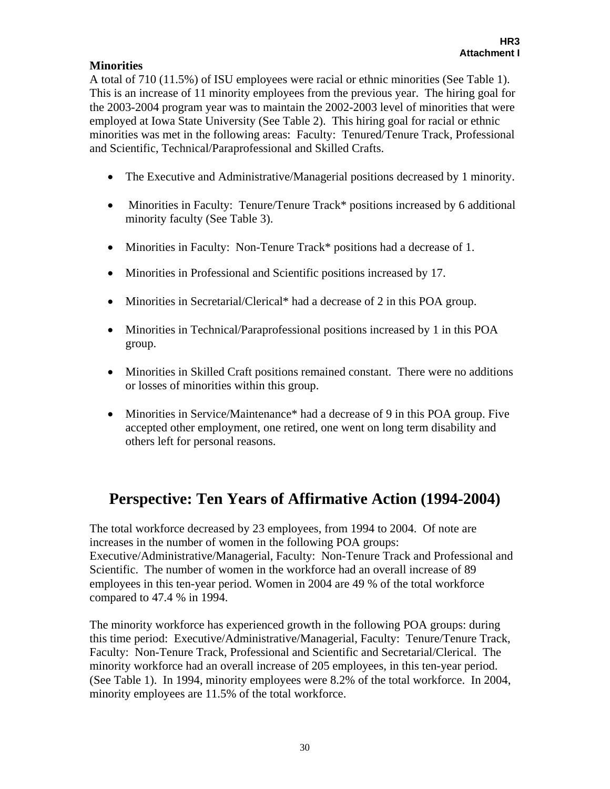# **Minorities**

A total of 710 (11.5%) of ISU employees were racial or ethnic minorities (See Table 1). This is an increase of 11 minority employees from the previous year. The hiring goal for the 2003-2004 program year was to maintain the 2002-2003 level of minorities that were employed at Iowa State University (See Table 2). This hiring goal for racial or ethnic minorities was met in the following areas: Faculty: Tenured/Tenure Track, Professional and Scientific, Technical/Paraprofessional and Skilled Crafts.

- The Executive and Administrative/Managerial positions decreased by 1 minority.
- Minorities in Faculty: Tenure/Tenure Track\* positions increased by 6 additional minority faculty (See Table 3).
- Minorities in Faculty: Non-Tenure Track\* positions had a decrease of 1.
- Minorities in Professional and Scientific positions increased by 17.
- Minorities in Secretarial/Clerical\* had a decrease of 2 in this POA group.
- Minorities in Technical/Paraprofessional positions increased by 1 in this POA group.
- Minorities in Skilled Craft positions remained constant. There were no additions or losses of minorities within this group.
- Minorities in Service/Maintenance\* had a decrease of 9 in this POA group. Five accepted other employment, one retired, one went on long term disability and others left for personal reasons.

# **Perspective: Ten Years of Affirmative Action (1994-2004)**

The total workforce decreased by 23 employees, from 1994 to 2004. Of note are increases in the number of women in the following POA groups: Executive/Administrative/Managerial, Faculty: Non-Tenure Track and Professional and Scientific. The number of women in the workforce had an overall increase of 89 employees in this ten-year period. Women in 2004 are 49 % of the total workforce compared to 47.4 % in 1994.

The minority workforce has experienced growth in the following POA groups: during this time period: Executive/Administrative/Managerial, Faculty: Tenure/Tenure Track, Faculty: Non-Tenure Track, Professional and Scientific and Secretarial/Clerical. The minority workforce had an overall increase of 205 employees, in this ten-year period. (See Table 1). In 1994, minority employees were 8.2% of the total workforce. In 2004, minority employees are 11.5% of the total workforce.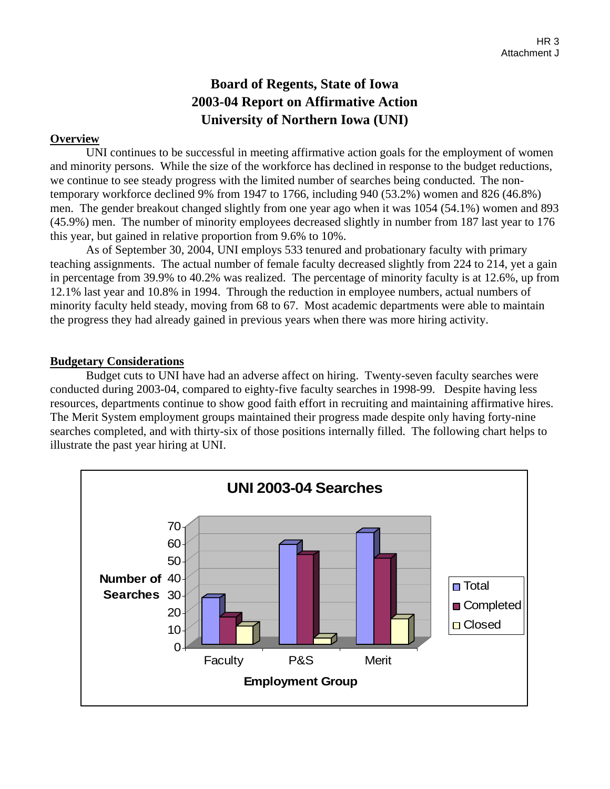# **Board of Regents, State of Iowa 2003-04 Report on Affirmative Action University of Northern Iowa (UNI)**

# **Overview**

 UNI continues to be successful in meeting affirmative action goals for the employment of women and minority persons. While the size of the workforce has declined in response to the budget reductions, we continue to see steady progress with the limited number of searches being conducted. The nontemporary workforce declined 9% from 1947 to 1766, including 940 (53.2%) women and 826 (46.8%) men. The gender breakout changed slightly from one year ago when it was 1054 (54.1%) women and 893 (45.9%) men. The number of minority employees decreased slightly in number from 187 last year to 176 this year, but gained in relative proportion from 9.6% to 10%.

 As of September 30, 2004, UNI employs 533 tenured and probationary faculty with primary teaching assignments. The actual number of female faculty decreased slightly from 224 to 214, yet a gain in percentage from 39.9% to 40.2% was realized. The percentage of minority faculty is at 12.6%, up from 12.1% last year and 10.8% in 1994. Through the reduction in employee numbers, actual numbers of minority faculty held steady, moving from 68 to 67. Most academic departments were able to maintain the progress they had already gained in previous years when there was more hiring activity.

# **Budgetary Considerations**

 Budget cuts to UNI have had an adverse affect on hiring. Twenty-seven faculty searches were conducted during 2003-04, compared to eighty-five faculty searches in 1998-99. Despite having less resources, departments continue to show good faith effort in recruiting and maintaining affirmative hires. The Merit System employment groups maintained their progress made despite only having forty-nine searches completed, and with thirty-six of those positions internally filled. The following chart helps to illustrate the past year hiring at UNI.

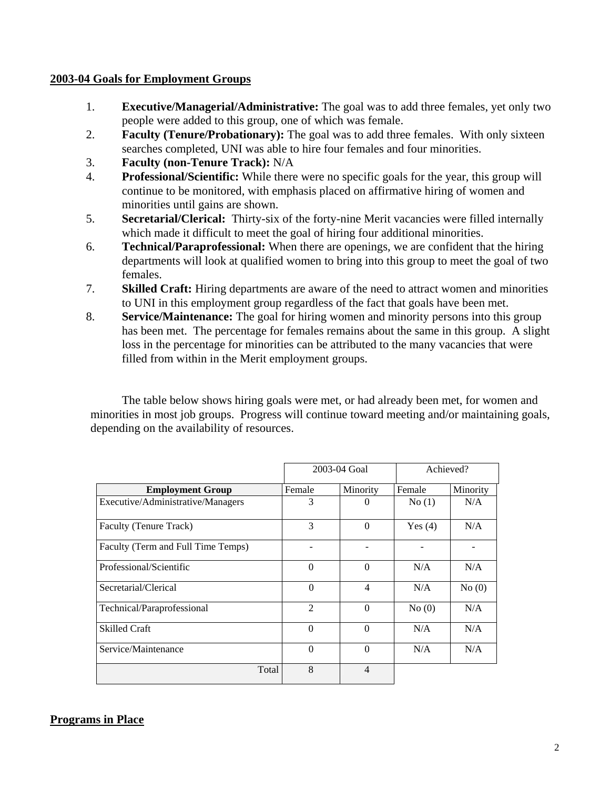# **2003-04 Goals for Employment Groups**

- 1. **Executive/Managerial/Administrative:** The goal was to add three females, yet only two people were added to this group, one of which was female.
- 2. **Faculty (Tenure/Probationary):** The goal was to add three females. With only sixteen searches completed, UNI was able to hire four females and four minorities.
- 3. **Faculty (non-Tenure Track):** N/A
- 4. **Professional/Scientific:** While there were no specific goals for the year, this group will continue to be monitored, with emphasis placed on affirmative hiring of women and minorities until gains are shown.
- 5. **Secretarial/Clerical:** Thirty-six of the forty-nine Merit vacancies were filled internally which made it difficult to meet the goal of hiring four additional minorities.
- 6. **Technical/Paraprofessional:** When there are openings, we are confident that the hiring departments will look at qualified women to bring into this group to meet the goal of two females.
- 7. **Skilled Craft:** Hiring departments are aware of the need to attract women and minorities to UNI in this employment group regardless of the fact that goals have been met.
- 8. **Service/Maintenance:** The goal for hiring women and minority persons into this group has been met. The percentage for females remains about the same in this group. A slight loss in the percentage for minorities can be attributed to the many vacancies that were filled from within in the Merit employment groups.

 The table below shows hiring goals were met, or had already been met, for women and minorities in most job groups. Progress will continue toward meeting and/or maintaining goals, depending on the availability of resources.

|                                    | 2003-04 Goal   |                | Achieved? |          |
|------------------------------------|----------------|----------------|-----------|----------|
| <b>Employment Group</b>            | Female         | Minority       | Female    | Minority |
| Executive/Administrative/Managers  | 3              | O              | No(1)     | N/A      |
| Faculty (Tenure Track)             | 3              | $\Omega$       | Yes $(4)$ | N/A      |
| Faculty (Term and Full Time Temps) |                |                |           |          |
| Professional/Scientific            | $\Omega$       | $\theta$       | N/A       | N/A      |
| Secretarial/Clerical               | $\Omega$       | 4              | N/A       | No(0)    |
| Technical/Paraprofessional         | $\overline{2}$ | $\overline{0}$ | No(0)     | N/A      |
| <b>Skilled Craft</b>               | $\Omega$       | $\theta$       | N/A       | N/A      |
| Service/Maintenance                | $\Omega$       | $\theta$       | N/A       | N/A      |
| Total                              | 8              | $\overline{4}$ |           |          |

# **Programs in Place**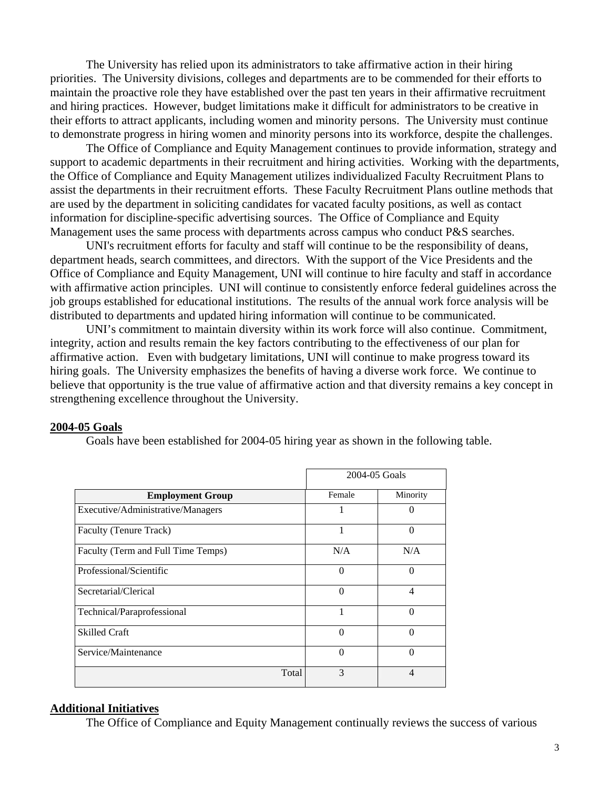The University has relied upon its administrators to take affirmative action in their hiring priorities. The University divisions, colleges and departments are to be commended for their efforts to maintain the proactive role they have established over the past ten years in their affirmative recruitment and hiring practices. However, budget limitations make it difficult for administrators to be creative in their efforts to attract applicants, including women and minority persons. The University must continue to demonstrate progress in hiring women and minority persons into its workforce, despite the challenges.

The Office of Compliance and Equity Management continues to provide information, strategy and support to academic departments in their recruitment and hiring activities. Working with the departments, the Office of Compliance and Equity Management utilizes individualized Faculty Recruitment Plans to assist the departments in their recruitment efforts. These Faculty Recruitment Plans outline methods that are used by the department in soliciting candidates for vacated faculty positions, as well as contact information for discipline-specific advertising sources. The Office of Compliance and Equity Management uses the same process with departments across campus who conduct P&S searches.

UNI's recruitment efforts for faculty and staff will continue to be the responsibility of deans, department heads, search committees, and directors. With the support of the Vice Presidents and the Office of Compliance and Equity Management, UNI will continue to hire faculty and staff in accordance with affirmative action principles. UNI will continue to consistently enforce federal guidelines across the job groups established for educational institutions. The results of the annual work force analysis will be distributed to departments and updated hiring information will continue to be communicated.

UNI's commitment to maintain diversity within its work force will also continue. Commitment, integrity, action and results remain the key factors contributing to the effectiveness of our plan for affirmative action. Even with budgetary limitations, UNI will continue to make progress toward its hiring goals. The University emphasizes the benefits of having a diverse work force. We continue to believe that opportunity is the true value of affirmative action and that diversity remains a key concept in strengthening excellence throughout the University.

#### **2004-05 Goals**

Goals have been established for 2004-05 hiring year as shown in the following table.

|                                    | 2004-05 Goals |          |  |
|------------------------------------|---------------|----------|--|
| <b>Employment Group</b>            | Female        | Minority |  |
| Executive/Administrative/Managers  | 1             |          |  |
| Faculty (Tenure Track)             | 1             | $\Omega$ |  |
| Faculty (Term and Full Time Temps) | N/A           | N/A      |  |
| Professional/Scientific            | $\Omega$      | $\Omega$ |  |
| Secretarial/Clerical               | $\Omega$      | 4        |  |
| Technical/Paraprofessional         | 1             | $\Omega$ |  |
| <b>Skilled Craft</b>               | $\Omega$      | 0        |  |
| Service/Maintenance                | $\Omega$      | $\Omega$ |  |
| Total                              | 3             |          |  |

### **Additional Initiatives**

The Office of Compliance and Equity Management continually reviews the success of various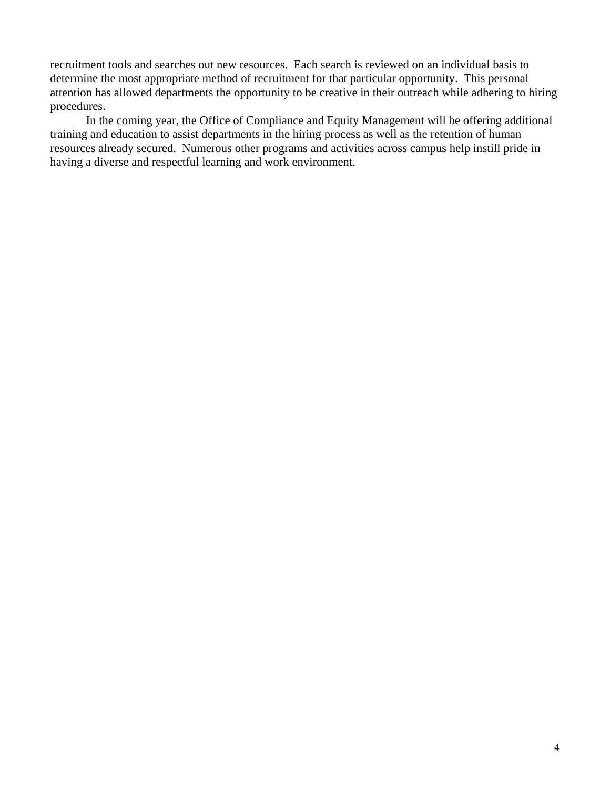recruitment tools and searches out new resources. Each search is reviewed on an individual basis to determine the most appropriate method of recruitment for that particular opportunity. This personal attention has allowed departments the opportunity to be creative in their outreach while adhering to hiring procedures.

 In the coming year, the Office of Compliance and Equity Management will be offering additional training and education to assist departments in the hiring process as well as the retention of human resources already secured. Numerous other programs and activities across campus help instill pride in having a diverse and respectful learning and work environment.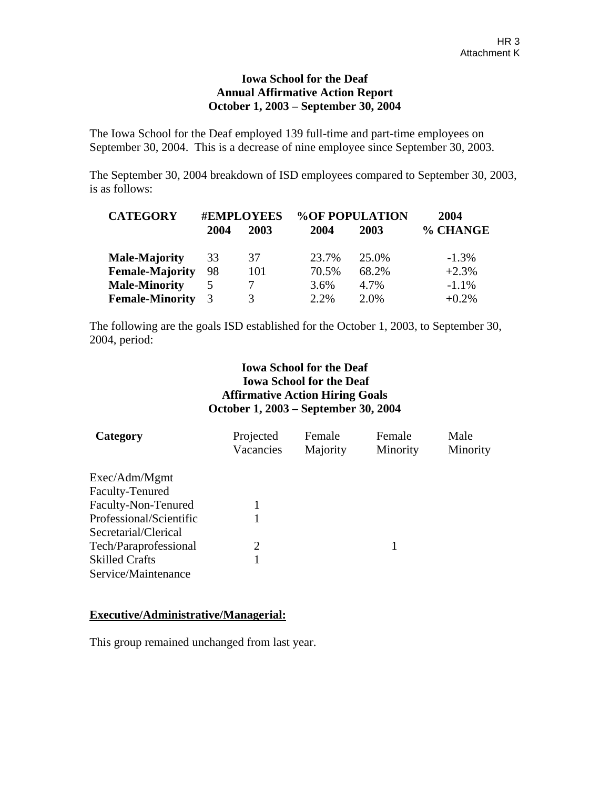### **Iowa School for the Deaf Annual Affirmative Action Report October 1, 2003 – September 30, 2004**

The Iowa School for the Deaf employed 139 full-time and part-time employees on September 30, 2004. This is a decrease of nine employee since September 30, 2003.

The September 30, 2004 breakdown of ISD employees compared to September 30, 2003, is as follows:

| <b>CATEGORY</b>        | <b>#EMPLOYEES</b> |      | <b>%OF POPULATION</b> |         | 2004     |  |
|------------------------|-------------------|------|-----------------------|---------|----------|--|
|                        | 2004              | 2003 | 2004                  | 2003    | % CHANGE |  |
| <b>Male-Majority</b>   | 33                | 37   | 23.7%                 | 25.0%   | $-1.3\%$ |  |
| <b>Female-Majority</b> | 98                | 101  | 70.5%                 | 68.2%   | $+2.3%$  |  |
| <b>Male-Minority</b>   |                   |      | $3.6\%$               | 4.7%    | $-1.1\%$ |  |
| <b>Female-Minority</b> | 3                 | 3    | 2.2%                  | $2.0\%$ | $+0.2\%$ |  |

The following are the goals ISD established for the October 1, 2003, to September 30, 2004, period:

# **Iowa School for the Deaf Iowa School for the Deaf Affirmative Action Hiring Goals October 1, 2003 – September 30, 2004**

| Category                | Projected<br>Vacancies | Female<br>Majority | Female<br>Minority | Male<br>Minority |
|-------------------------|------------------------|--------------------|--------------------|------------------|
|                         |                        |                    |                    |                  |
| Exec/Adm/Mgmt           |                        |                    |                    |                  |
| Faculty-Tenured         |                        |                    |                    |                  |
| Faculty-Non-Tenured     |                        |                    |                    |                  |
| Professional/Scientific |                        |                    |                    |                  |
| Secretarial/Clerical    |                        |                    |                    |                  |
| Tech/Paraprofessional   | 2                      |                    |                    |                  |
| <b>Skilled Crafts</b>   |                        |                    |                    |                  |
| Service/Maintenance     |                        |                    |                    |                  |

# **Executive/Administrative/Managerial:**

This group remained unchanged from last year.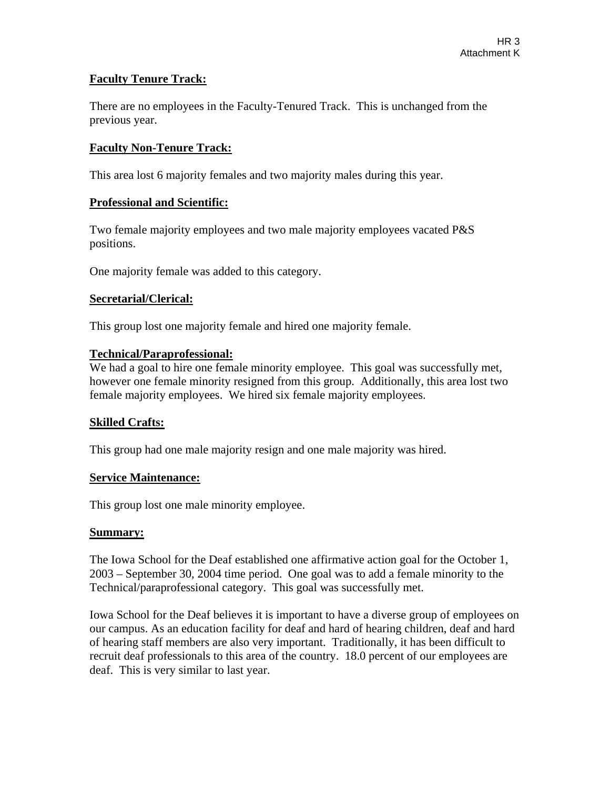# **Faculty Tenure Track:**

There are no employees in the Faculty-Tenured Track. This is unchanged from the previous year.

# **Faculty Non-Tenure Track:**

This area lost 6 majority females and two majority males during this year.

# **Professional and Scientific:**

Two female majority employees and two male majority employees vacated P&S positions.

One majority female was added to this category.

# **Secretarial/Clerical:**

This group lost one majority female and hired one majority female.

# **Technical/Paraprofessional:**

We had a goal to hire one female minority employee. This goal was successfully met, however one female minority resigned from this group. Additionally, this area lost two female majority employees. We hired six female majority employees.

# **Skilled Crafts:**

This group had one male majority resign and one male majority was hired.

### **Service Maintenance:**

This group lost one male minority employee.

### **Summary:**

The Iowa School for the Deaf established one affirmative action goal for the October 1, 2003 – September 30, 2004 time period. One goal was to add a female minority to the Technical/paraprofessional category. This goal was successfully met.

Iowa School for the Deaf believes it is important to have a diverse group of employees on our campus. As an education facility for deaf and hard of hearing children, deaf and hard of hearing staff members are also very important. Traditionally, it has been difficult to recruit deaf professionals to this area of the country. 18.0 percent of our employees are deaf. This is very similar to last year.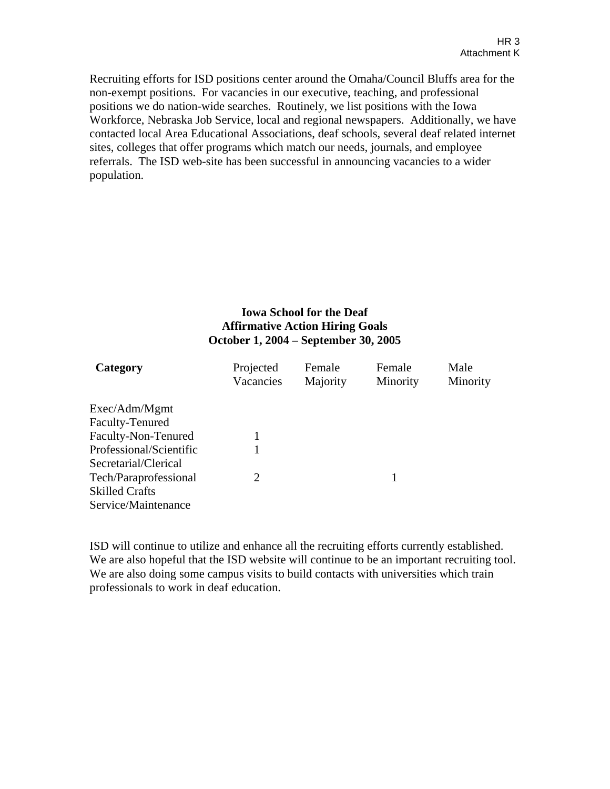Recruiting efforts for ISD positions center around the Omaha/Council Bluffs area for the non-exempt positions. For vacancies in our executive, teaching, and professional positions we do nation-wide searches. Routinely, we list positions with the Iowa Workforce, Nebraska Job Service, local and regional newspapers. Additionally, we have contacted local Area Educational Associations, deaf schools, several deaf related internet sites, colleges that offer programs which match our needs, journals, and employee referrals. The ISD web-site has been successful in announcing vacancies to a wider population.

# **Iowa School for the Deaf Affirmative Action Hiring Goals October 1, 2004 – September 30, 2005**

| Category                | Projected<br>Vacancies | Female<br>Majority | Female<br>Minority | Male<br>Minority |
|-------------------------|------------------------|--------------------|--------------------|------------------|
| Exec/Adm/Mgmt           |                        |                    |                    |                  |
| Faculty-Tenured         |                        |                    |                    |                  |
| Faculty-Non-Tenured     |                        |                    |                    |                  |
| Professional/Scientific |                        |                    |                    |                  |
| Secretarial/Clerical    |                        |                    |                    |                  |
| Tech/Paraprofessional   | 2                      |                    |                    |                  |
| <b>Skilled Crafts</b>   |                        |                    |                    |                  |
| Service/Maintenance     |                        |                    |                    |                  |

ISD will continue to utilize and enhance all the recruiting efforts currently established. We are also hopeful that the ISD website will continue to be an important recruiting tool. We are also doing some campus visits to build contacts with universities which train professionals to work in deaf education.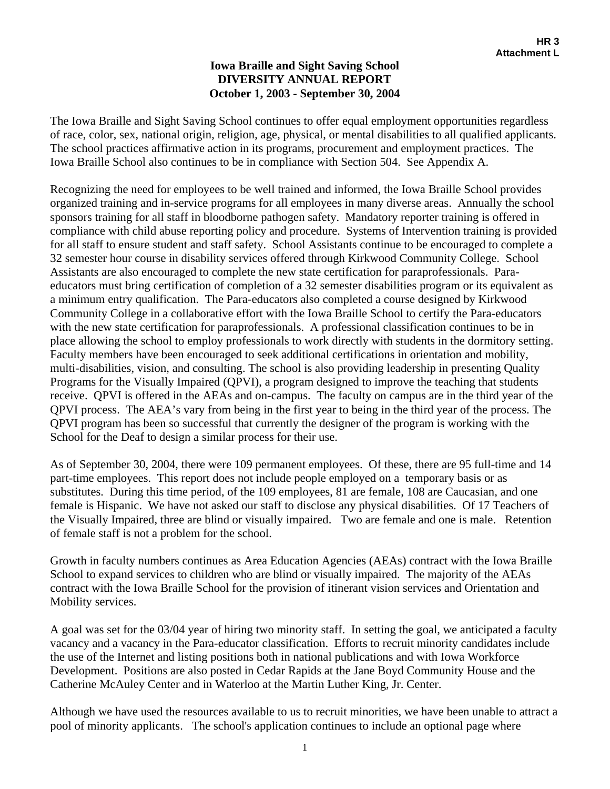# **Iowa Braille and Sight Saving School DIVERSITY ANNUAL REPORT October 1, 2003 - September 30, 2004**

The Iowa Braille and Sight Saving School continues to offer equal employment opportunities regardless of race, color, sex, national origin, religion, age, physical, or mental disabilities to all qualified applicants. The school practices affirmative action in its programs, procurement and employment practices. The Iowa Braille School also continues to be in compliance with Section 504. See Appendix A.

Recognizing the need for employees to be well trained and informed, the Iowa Braille School provides organized training and in-service programs for all employees in many diverse areas. Annually the school sponsors training for all staff in bloodborne pathogen safety. Mandatory reporter training is offered in compliance with child abuse reporting policy and procedure. Systems of Intervention training is provided for all staff to ensure student and staff safety. School Assistants continue to be encouraged to complete a 32 semester hour course in disability services offered through Kirkwood Community College. School Assistants are also encouraged to complete the new state certification for paraprofessionals. Paraeducators must bring certification of completion of a 32 semester disabilities program or its equivalent as a minimum entry qualification. The Para-educators also completed a course designed by Kirkwood Community College in a collaborative effort with the Iowa Braille School to certify the Para-educators with the new state certification for paraprofessionals. A professional classification continues to be in place allowing the school to employ professionals to work directly with students in the dormitory setting. Faculty members have been encouraged to seek additional certifications in orientation and mobility, multi-disabilities, vision, and consulting. The school is also providing leadership in presenting Quality Programs for the Visually Impaired (QPVI), a program designed to improve the teaching that students receive. QPVI is offered in the AEAs and on-campus. The faculty on campus are in the third year of the QPVI process. The AEA's vary from being in the first year to being in the third year of the process. The QPVI program has been so successful that currently the designer of the program is working with the School for the Deaf to design a similar process for their use.

As of September 30, 2004, there were 109 permanent employees. Of these, there are 95 full-time and 14 part-time employees. This report does not include people employed on a temporary basis or as substitutes. During this time period, of the 109 employees, 81 are female, 108 are Caucasian, and one female is Hispanic. We have not asked our staff to disclose any physical disabilities. Of 17 Teachers of the Visually Impaired, three are blind or visually impaired. Two are female and one is male. Retention of female staff is not a problem for the school.

Growth in faculty numbers continues as Area Education Agencies (AEAs) contract with the Iowa Braille School to expand services to children who are blind or visually impaired. The majority of the AEAs contract with the Iowa Braille School for the provision of itinerant vision services and Orientation and Mobility services.

A goal was set for the 03/04 year of hiring two minority staff. In setting the goal, we anticipated a faculty vacancy and a vacancy in the Para-educator classification. Efforts to recruit minority candidates include the use of the Internet and listing positions both in national publications and with Iowa Workforce Development. Positions are also posted in Cedar Rapids at the Jane Boyd Community House and the Catherine McAuley Center and in Waterloo at the Martin Luther King, Jr. Center.

Although we have used the resources available to us to recruit minorities, we have been unable to attract a pool of minority applicants. The school's application continues to include an optional page where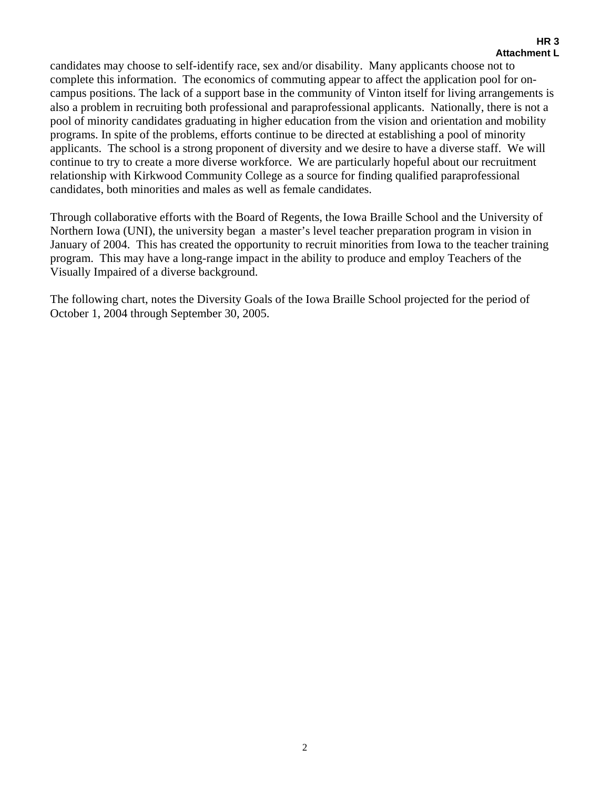candidates may choose to self-identify race, sex and/or disability. Many applicants choose not to complete this information. The economics of commuting appear to affect the application pool for oncampus positions. The lack of a support base in the community of Vinton itself for living arrangements is also a problem in recruiting both professional and paraprofessional applicants. Nationally, there is not a pool of minority candidates graduating in higher education from the vision and orientation and mobility programs. In spite of the problems, efforts continue to be directed at establishing a pool of minority applicants. The school is a strong proponent of diversity and we desire to have a diverse staff. We will continue to try to create a more diverse workforce. We are particularly hopeful about our recruitment relationship with Kirkwood Community College as a source for finding qualified paraprofessional candidates, both minorities and males as well as female candidates.

Through collaborative efforts with the Board of Regents, the Iowa Braille School and the University of Northern Iowa (UNI), the university began a master's level teacher preparation program in vision in January of 2004. This has created the opportunity to recruit minorities from Iowa to the teacher training program. This may have a long-range impact in the ability to produce and employ Teachers of the Visually Impaired of a diverse background.

The following chart, notes the Diversity Goals of the Iowa Braille School projected for the period of October 1, 2004 through September 30, 2005.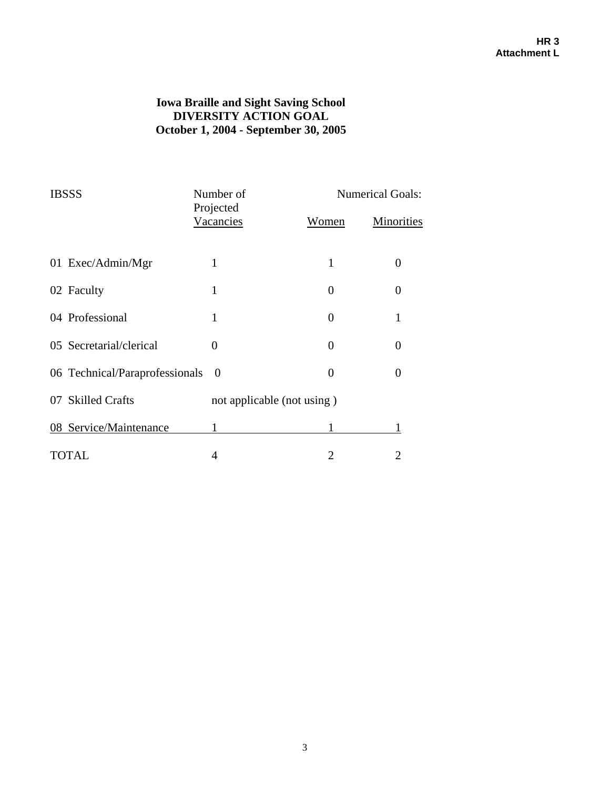# **Iowa Braille and Sight Saving School DIVERSITY ACTION GOAL October 1, 2004 - September 30, 2005**

| <b>IBSSS</b>                   | Number of                  | <b>Numerical Goals:</b> |                |
|--------------------------------|----------------------------|-------------------------|----------------|
|                                | Projected<br>Vacancies     | Women                   | Minorities     |
| 01 Exec/Admin/Mgr              |                            | 1                       | 0              |
| 02 Faculty                     | 1                          | 0                       | $\overline{0}$ |
| 04 Professional                | 1                          | 0                       | 1              |
| 05 Secretarial/clerical        | $\Omega$                   | $\theta$                | 0              |
| 06 Technical/Paraprofessionals | $\theta$                   | $\theta$                | 0              |
| 07 Skilled Crafts              | not applicable (not using) |                         |                |
| 08 Service/Maintenance         |                            |                         |                |
| TOTAL                          | 4                          |                         | 2              |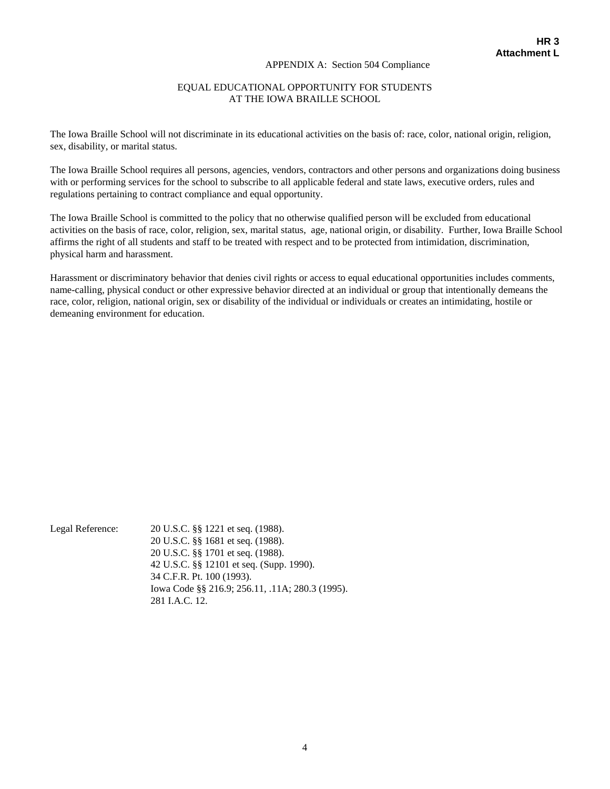#### APPENDIX A: Section 504 Compliance

## EQUAL EDUCATIONAL OPPORTUNITY FOR STUDENTS AT THE IOWA BRAILLE SCHOOL

The Iowa Braille School will not discriminate in its educational activities on the basis of: race, color, national origin, religion, sex, disability, or marital status.

The Iowa Braille School requires all persons, agencies, vendors, contractors and other persons and organizations doing business with or performing services for the school to subscribe to all applicable federal and state laws, executive orders, rules and regulations pertaining to contract compliance and equal opportunity.

The Iowa Braille School is committed to the policy that no otherwise qualified person will be excluded from educational activities on the basis of race, color, religion, sex, marital status, age, national origin, or disability. Further, Iowa Braille School affirms the right of all students and staff to be treated with respect and to be protected from intimidation, discrimination, physical harm and harassment.

Harassment or discriminatory behavior that denies civil rights or access to equal educational opportunities includes comments, name-calling, physical conduct or other expressive behavior directed at an individual or group that intentionally demeans the race, color, religion, national origin, sex or disability of the individual or individuals or creates an intimidating, hostile or demeaning environment for education.

Legal Reference: 20 U.S.C. §§ 1221 et seq. (1988). 20 U.S.C. §§ 1681 et seq. (1988). 20 U.S.C. §§ 1701 et seq. (1988). 42 U.S.C. §§ 12101 et seq. (Supp. 1990). 34 C.F.R. Pt. 100 (1993). Iowa Code §§ 216.9; 256.11, .11A; 280.3 (1995). 281 I.A.C. 12.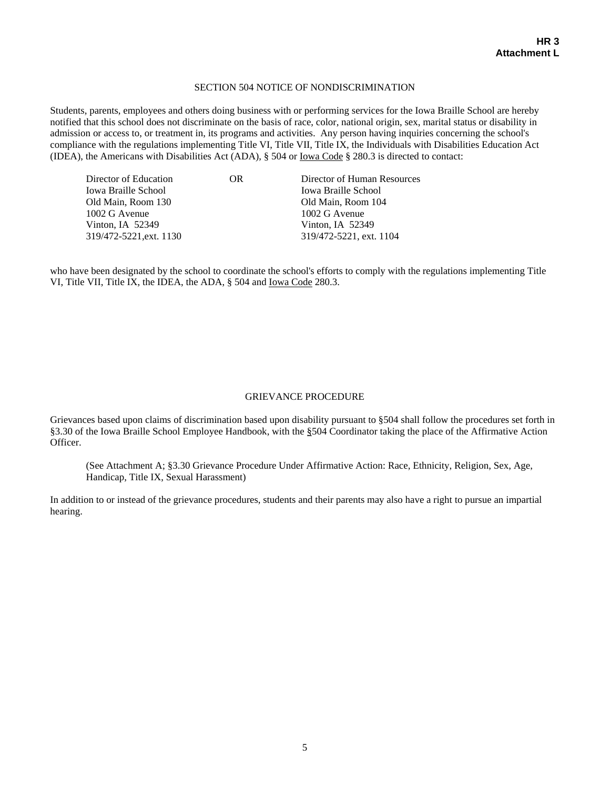# SECTION 504 NOTICE OF NONDISCRIMINATION

Students, parents, employees and others doing business with or performing services for the Iowa Braille School are hereby notified that this school does not discriminate on the basis of race, color, national origin, sex, marital status or disability in admission or access to, or treatment in, its programs and activities. Any person having inquiries concerning the school's compliance with the regulations implementing Title VI, Title VII, Title IX, the Individuals with Disabilities Education Act (IDEA), the Americans with Disabilities Act (ADA), § 504 or Iowa Code § 280.3 is directed to contact:

| OR | Director of Human Resources |
|----|-----------------------------|
|    | <b>Iowa Braille School</b>  |
|    | Old Main, Room 104          |
|    | 1002 G Avenue               |
|    | Vinton, IA 52349            |
|    | 319/472-5221, ext. 1104     |
|    |                             |

who have been designated by the school to coordinate the school's efforts to comply with the regulations implementing Title VI, Title VII, Title IX, the IDEA, the ADA, § 504 and Iowa Code 280.3.

## GRIEVANCE PROCEDURE

Grievances based upon claims of discrimination based upon disability pursuant to §504 shall follow the procedures set forth in §3.30 of the Iowa Braille School Employee Handbook, with the §504 Coordinator taking the place of the Affirmative Action Officer.

(See Attachment A; §3.30 Grievance Procedure Under Affirmative Action: Race, Ethnicity, Religion, Sex, Age, Handicap, Title IX, Sexual Harassment)

In addition to or instead of the grievance procedures, students and their parents may also have a right to pursue an impartial hearing.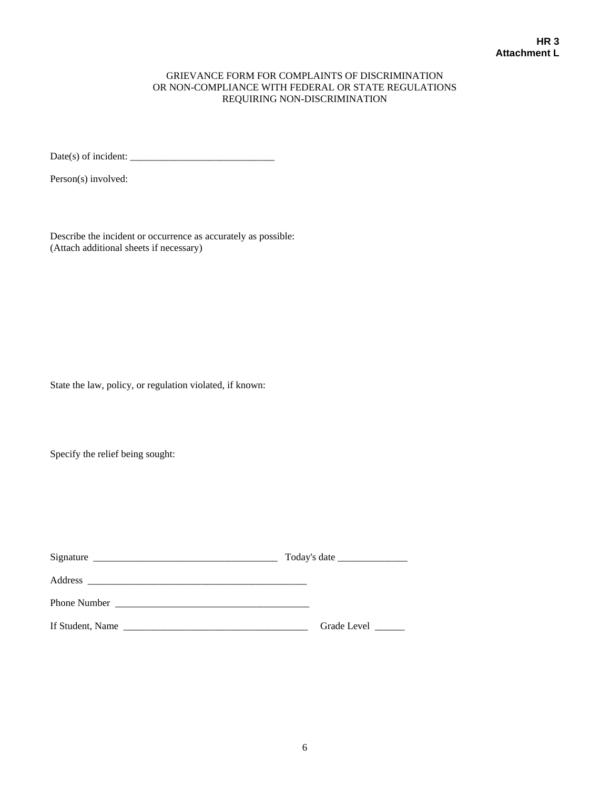# GRIEVANCE FORM FOR COMPLAINTS OF DISCRIMINATION OR NON-COMPLIANCE WITH FEDERAL OR STATE REGULATIONS REQUIRING NON-DISCRIMINATION

Date(s) of incident: \_\_\_\_\_\_\_\_\_\_\_\_\_\_\_\_\_\_\_\_\_\_\_\_\_\_\_\_\_

Person(s) involved:

Describe the incident or occurrence as accurately as possible: (Attach additional sheets if necessary)

State the law, policy, or regulation violated, if known:

Specify the relief being sought:

| Address          |             |
|------------------|-------------|
| Phone Number     |             |
| If Student, Name | Grade Level |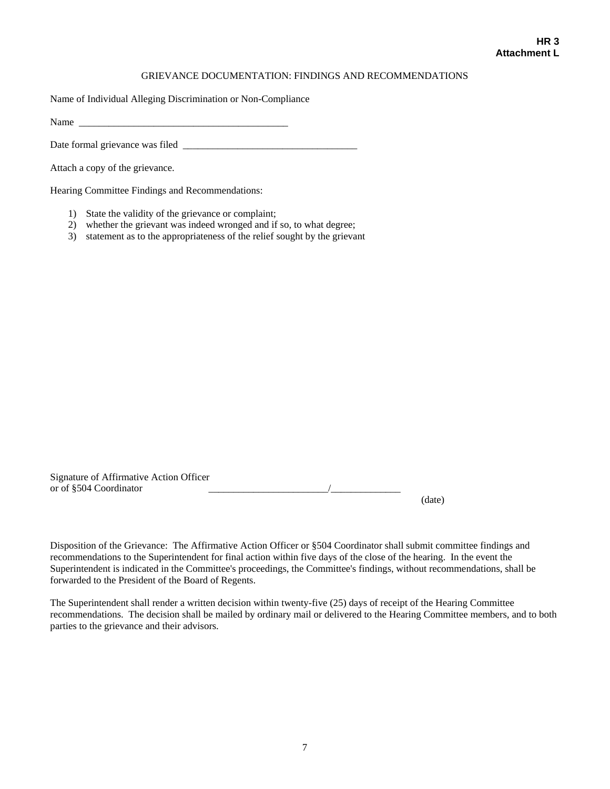## GRIEVANCE DOCUMENTATION: FINDINGS AND RECOMMENDATIONS

Name of Individual Alleging Discrimination or Non-Compliance

Name

Date formal grievance was filed \_\_\_\_\_\_\_\_\_\_\_\_\_\_\_\_\_\_\_\_\_\_\_\_\_\_\_\_\_\_\_\_\_\_\_

Attach a copy of the grievance.

Hearing Committee Findings and Recommendations:

- 1) State the validity of the grievance or complaint;
- 2) whether the grievant was indeed wronged and if so, to what degree;
- 3) statement as to the appropriateness of the relief sought by the grievant

Signature of Affirmative Action Officer or of §504 Coordinator

(date)

Disposition of the Grievance: The Affirmative Action Officer or §504 Coordinator shall submit committee findings and recommendations to the Superintendent for final action within five days of the close of the hearing. In the event the Superintendent is indicated in the Committee's proceedings, the Committee's findings, without recommendations, shall be forwarded to the President of the Board of Regents.

The Superintendent shall render a written decision within twenty-five (25) days of receipt of the Hearing Committee recommendations. The decision shall be mailed by ordinary mail or delivered to the Hearing Committee members, and to both parties to the grievance and their advisors.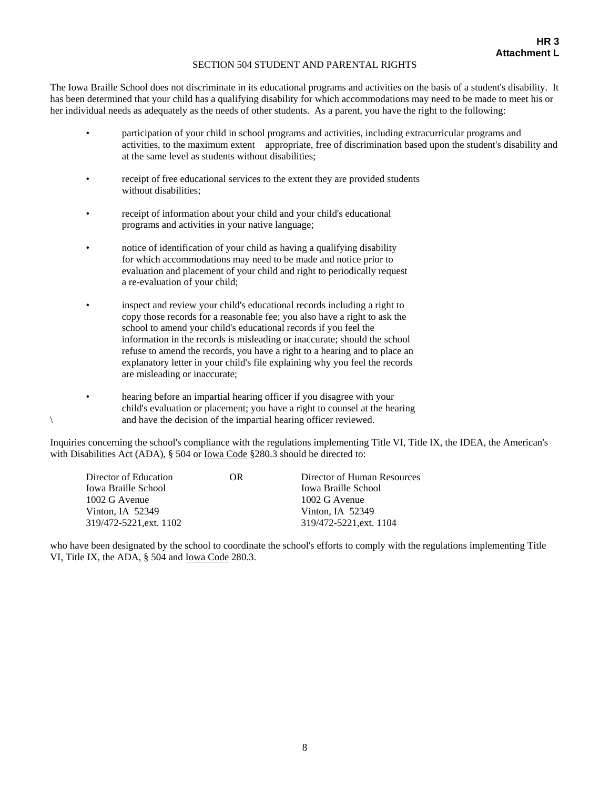## SECTION 504 STUDENT AND PARENTAL RIGHTS

The Iowa Braille School does not discriminate in its educational programs and activities on the basis of a student's disability. It has been determined that your child has a qualifying disability for which accommodations may need to be made to meet his or her individual needs as adequately as the needs of other students. As a parent, you have the right to the following:

- participation of your child in school programs and activities, including extracurricular programs and activities, to the maximum extent appropriate, free of discrimination based upon the student's disability and at the same level as students without disabilities;
- receipt of free educational services to the extent they are provided students without disabilities;
- receipt of information about your child and your child's educational programs and activities in your native language;
- notice of identification of your child as having a qualifying disability for which accommodations may need to be made and notice prior to evaluation and placement of your child and right to periodically request a re-evaluation of your child;
- inspect and review your child's educational records including a right to copy those records for a reasonable fee; you also have a right to ask the school to amend your child's educational records if you feel the information in the records is misleading or inaccurate; should the school refuse to amend the records, you have a right to a hearing and to place an explanatory letter in your child's file explaining why you feel the records are misleading or inaccurate;
- hearing before an impartial hearing officer if you disagree with your child's evaluation or placement; you have a right to counsel at the hearing \ and have the decision of the impartial hearing officer reviewed.

Inquiries concerning the school's compliance with the regulations implementing Title VI, Title IX, the IDEA, the American's with Disabilities Act (ADA), § 504 or <u>Iowa Code</u> § 280.3 should be directed to:

| Director of Education      | OR. | Director of Human Resources |
|----------------------------|-----|-----------------------------|
| <b>Iowa Braille School</b> |     | <b>Iowa Braille School</b>  |
| 1002 G Avenue              |     | 1002 G Avenue               |
| Vinton, IA $52349$         |     | Vinton, IA $52349$          |
| 319/472-5221, ext. 1102    |     | 319/472-5221, ext. 1104     |

who have been designated by the school to coordinate the school's efforts to comply with the regulations implementing Title VI, Title IX, the ADA, § 504 and Iowa Code 280.3.